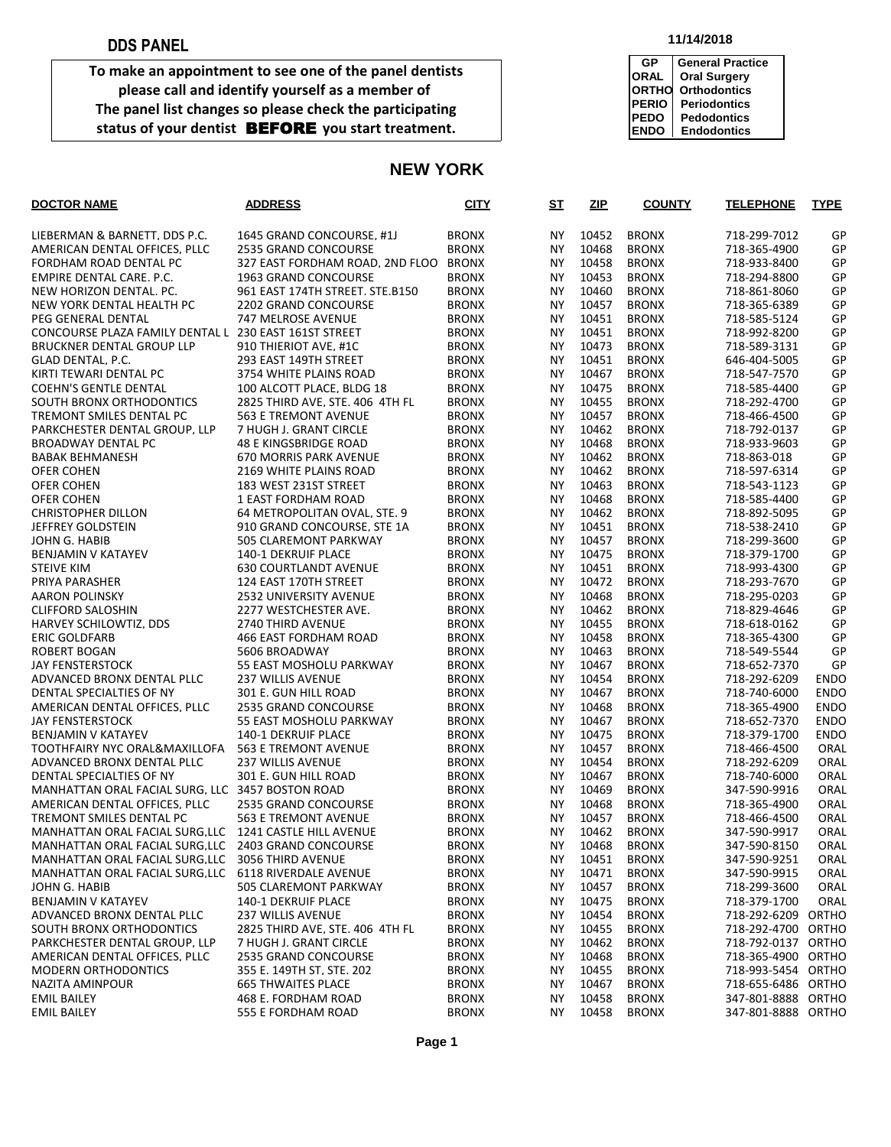**To make an appointment to see one of the panel dentists please call and identify yourself as a member of The panel list changes so please check the participating** status of your dentist **BEFORE** you start treatment.

#### **11/14/2018**

| GP           | <b>General Practice</b> |
|--------------|-------------------------|
| <b>ORAL</b>  | <b>Oral Surgery</b>     |
| <b>ORTHO</b> | <b>Orthodontics</b>     |
| <b>PERIO</b> | <b>Periodontics</b>     |
| <b>PEDO</b>  | <b>Pedodontics</b>      |
| <b>ENDO</b>  | <b>Endodontics</b>      |

#### **NEW YORK**

| <b>DOCTOR NAME</b>                                     | <b>ADDRESS</b>                                         | <b>CITY</b>                  | S <sub>T</sub>         | ZIP            | <b>COUNTY</b>                | <b>TELEPHONE</b>             | <b>TYPE</b> |
|--------------------------------------------------------|--------------------------------------------------------|------------------------------|------------------------|----------------|------------------------------|------------------------------|-------------|
| LIEBERMAN & BARNETT, DDS P.C.                          | 1645 GRAND CONCOURSE, #1J                              | <b>BRONX</b>                 | NY.                    | 10452          | <b>BRONX</b>                 | 718-299-7012                 | GP          |
| AMERICAN DENTAL OFFICES, PLLC                          | 2535 GRAND CONCOURSE                                   | <b>BRONX</b>                 | NY.                    | 10468          | <b>BRONX</b>                 | 718-365-4900                 | GP          |
| FORDHAM ROAD DENTAL PC                                 | 327 EAST FORDHAM ROAD, 2ND FLOO                        | <b>BRONX</b>                 | <b>NY</b>              | 10458          | <b>BRONX</b>                 | 718-933-8400                 | GP          |
| EMPIRE DENTAL CARE. P.C.                               | 1963 GRAND CONCOURSE                                   | <b>BRONX</b>                 | NY.                    | 10453          | <b>BRONX</b>                 | 718-294-8800                 | GP          |
| NEW HORIZON DENTAL. PC.                                | 961 EAST 174TH STREET. STE.B150                        | <b>BRONX</b>                 | <b>NY</b>              | 10460          | <b>BRONX</b>                 | 718-861-8060                 | GP          |
| NEW YORK DENTAL HEALTH PC                              | 2202 GRAND CONCOURSE                                   | <b>BRONX</b>                 | NY.                    | 10457          | <b>BRONX</b>                 | 718-365-6389                 | GP          |
| PEG GENERAL DENTAL                                     | 747 MELROSE AVENUE                                     | <b>BRONX</b>                 | <b>NY</b>              | 10451          | <b>BRONX</b>                 | 718-585-5124                 | GP          |
| CONCOURSE PLAZA FAMILY DENTAL L 230 EAST 161ST STREET  |                                                        | <b>BRONX</b>                 | NY.                    | 10451          | <b>BRONX</b>                 | 718-992-8200                 | GP          |
| <b>BRUCKNER DENTAL GROUP LLP</b>                       | 910 THIERIOT AVE. #1C                                  | <b>BRONX</b>                 | <b>NY</b>              | 10473          | <b>BRONX</b>                 | 718-589-3131                 | GP          |
| GLAD DENTAL. P.C.                                      | 293 EAST 149TH STREET                                  | <b>BRONX</b>                 | NY.                    | 10451          | <b>BRONX</b>                 | 646-404-5005                 | GP          |
| KIRTI TEWARI DENTAL PC                                 | 3754 WHITE PLAINS ROAD                                 | <b>BRONX</b>                 | <b>NY</b>              | 10467          | <b>BRONX</b>                 | 718-547-7570                 | GP          |
| <b>COEHN'S GENTLE DENTAL</b>                           | 100 ALCOTT PLACE. BLDG 18                              | <b>BRONX</b>                 | NY.                    | 10475          | <b>BRONX</b>                 | 718-585-4400                 | GP          |
| SOUTH BRONX ORTHODONTICS                               | 2825 THIRD AVE. STE. 406 4TH FL                        | <b>BRONX</b>                 | <b>NY</b>              | 10455          | <b>BRONX</b>                 | 718-292-4700                 | GP          |
| TREMONT SMILES DENTAL PC                               | <b>563 E TREMONT AVENUE</b>                            | <b>BRONX</b>                 | <b>NY</b>              | 10457          | <b>BRONX</b>                 | 718-466-4500                 | GP          |
| PARKCHESTER DENTAL GROUP. LLP                          | 7 HUGH J. GRANT CIRCLE                                 | <b>BRONX</b>                 | <b>NY</b>              | 10462          | <b>BRONX</b>                 | 718-792-0137                 | GP          |
| BROADWAY DENTAL PC                                     | 48 E KINGSBRIDGE ROAD                                  | <b>BRONX</b>                 | NY.                    | 10468          | <b>BRONX</b>                 | 718-933-9603                 | GP          |
| <b>BABAK BEHMANESH</b>                                 | <b>670 MORRIS PARK AVENUE</b>                          | <b>BRONX</b>                 | <b>NY</b>              | 10462          | <b>BRONX</b>                 | 718-863-018                  | GP          |
| OFER COHEN                                             | 2169 WHITE PLAINS ROAD                                 | <b>BRONX</b>                 | NY.                    | 10462          | <b>BRONX</b>                 | 718-597-6314                 | GP          |
| OFER COHEN                                             | 183 WEST 231ST STREET                                  | <b>BRONX</b>                 | NY.                    | 10463          | <b>BRONX</b>                 | 718-543-1123                 | GP          |
| OFER COHEN                                             | 1 EAST FORDHAM ROAD                                    | <b>BRONX</b>                 | <b>NY</b>              | 10468          | <b>BRONX</b>                 | 718-585-4400                 | GP          |
| <b>CHRISTOPHER DILLON</b>                              | 64 METROPOLITAN OVAL. STE. 9                           | <b>BRONX</b>                 | <b>NY</b>              | 10462          | <b>BRONX</b>                 | 718-892-5095                 | GP          |
| JEFFREY GOLDSTEIN                                      | 910 GRAND CONCOURSE. STE 1A                            | <b>BRONX</b>                 | <b>NY</b>              | 10451          | <b>BRONX</b>                 | 718-538-2410                 | GP          |
| JOHN G. HABIB                                          | <b>505 CLAREMONT PARKWAY</b>                           | <b>BRONX</b>                 | <b>NY</b>              | 10457          | <b>BRONX</b>                 | 718-299-3600                 | GP          |
| <b>BENJAMIN V KATAYEV</b>                              | 140-1 DEKRUIF PLACE                                    | <b>BRONX</b>                 | NY.                    | 10475<br>10451 | <b>BRONX</b>                 | 718-379-1700                 | GP          |
| <b>STEIVE KIM</b>                                      | <b>630 COURTLANDT AVENUE</b>                           | <b>BRONX</b>                 | <b>NY</b>              | 10472          | <b>BRONX</b><br><b>BRONX</b> | 718-993-4300                 | GP<br>GP    |
| PRIYA PARASHER                                         | 124 EAST 170TH STREET                                  | <b>BRONX</b><br><b>BRONX</b> | <b>NY</b><br><b>NY</b> | 10468          |                              | 718-293-7670                 | GP          |
| <b>AARON POLINSKY</b><br><b>CLIFFORD SALOSHIN</b>      | <b>2532 UNIVERSITY AVENUE</b><br>2277 WESTCHESTER AVE. | <b>BRONX</b>                 | <b>NY</b>              | 10462          | <b>BRONX</b><br><b>BRONX</b> | 718-295-0203<br>718-829-4646 | GP          |
| HARVEY SCHILOWTIZ, DDS                                 | 2740 THIRD AVENUE                                      | <b>BRONX</b>                 | NY.                    | 10455          | <b>BRONX</b>                 | 718-618-0162                 | GP          |
| <b>ERIC GOLDFARB</b>                                   | 466 EAST FORDHAM ROAD                                  | <b>BRONX</b>                 | NY.                    | 10458          | <b>BRONX</b>                 | 718-365-4300                 | GP          |
| <b>ROBERT BOGAN</b>                                    | 5606 BROADWAY                                          | <b>BRONX</b>                 | <b>NY</b>              | 10463          | <b>BRONX</b>                 | 718-549-5544                 | GP          |
| JAY FENSTERSTOCK                                       | 55 EAST MOSHOLU PARKWAY                                | <b>BRONX</b>                 | <b>NY</b>              | 10467          | <b>BRONX</b>                 | 718-652-7370                 | GP          |
| ADVANCED BRONX DENTAL PLLC                             | <b>237 WILLIS AVENUE</b>                               | <b>BRONX</b>                 | NY.                    | 10454          | <b>BRONX</b>                 | 718-292-6209                 | <b>ENDO</b> |
| DENTAL SPECIALTIES OF NY                               | 301 E. GUN HILL ROAD                                   | <b>BRONX</b>                 | <b>NY</b>              | 10467          | <b>BRONX</b>                 | 718-740-6000                 | <b>ENDO</b> |
| AMERICAN DENTAL OFFICES, PLLC                          | 2535 GRAND CONCOURSE                                   | <b>BRONX</b>                 | NY.                    | 10468          | <b>BRONX</b>                 | 718-365-4900                 | <b>ENDO</b> |
| <b>JAY FENSTERSTOCK</b>                                | 55 EAST MOSHOLU PARKWAY                                | <b>BRONX</b>                 | <b>NY</b>              | 10467          | <b>BRONX</b>                 | 718-652-7370                 | <b>ENDO</b> |
| <b>BENJAMIN V KATAYEV</b>                              | 140-1 DEKRUIF PLACE                                    | <b>BRONX</b>                 | NY.                    | 10475          | <b>BRONX</b>                 | 718-379-1700                 | <b>ENDO</b> |
| TOOTHFAIRY NYC ORAL&MAXILLOFA                          | 563 E TREMONT AVENUE                                   | <b>BRONX</b>                 | NY.                    | 10457          | <b>BRONX</b>                 | 718-466-4500                 | ORAL        |
| ADVANCED BRONX DENTAL PLLC                             | <b>237 WILLIS AVENUE</b>                               | <b>BRONX</b>                 | NY.                    | 10454          | <b>BRONX</b>                 | 718-292-6209                 | ORAL        |
| DENTAL SPECIALTIES OF NY                               | 301 E. GUN HILL ROAD                                   | <b>BRONX</b>                 | <b>NY</b>              | 10467          | <b>BRONX</b>                 | 718-740-6000                 | ORAL        |
| MANHATTAN ORAL FACIAL SURG. LLC 3457 BOSTON ROAD       |                                                        | <b>BRONX</b>                 | NY.                    | 10469          | <b>BRONX</b>                 | 347-590-9916                 | ORAL        |
| AMERICAN DENTAL OFFICES. PLLC                          | 2535 GRAND CONCOURSE                                   | <b>BRONX</b>                 | NY.                    | 10468          | <b>BRONX</b>                 | 718-365-4900                 | ORAL        |
| TREMONT SMILES DENTAL PC                               | <b>563 E TREMONT AVENUE</b>                            | <b>BRONX</b>                 | NY.                    | 10457          | <b>BRONX</b>                 | 718-466-4500                 | ORAL        |
| MANHATTAN ORAL FACIAL SURG.LLC 1241 CASTLE HILL AVENUE |                                                        | <b>BRONX</b>                 | <b>NY</b>              | 10462          | <b>BRONX</b>                 | 347-590-9917                 | ORAL        |
| MANHATTAN ORAL FACIAL SURG, LLC                        | 2403 GRAND CONCOURSE                                   | <b>BRONX</b>                 | NΥ                     | 10468          | <b>BRONX</b>                 | 347-590-8150                 | ORAL        |
| MANHATTAN ORAL FACIAL SURG, LLC                        | 3056 THIRD AVENUE                                      | <b>BRONX</b>                 | NΥ                     | 10451          | <b>BRONX</b>                 | 347-590-9251                 | ORAL        |
| MANHATTAN ORAL FACIAL SURG, LLC 6118 RIVERDALE AVENUE  |                                                        | <b>BRONX</b>                 | ΝY                     | 10471          | <b>BRONX</b>                 | 347-590-9915                 | ORAL        |
| JOHN G. HABIB                                          | 505 CLAREMONT PARKWAY                                  | <b>BRONX</b>                 | NΥ                     | 10457          | <b>BRONX</b>                 | 718-299-3600                 | ORAL        |
| <b>BENJAMIN V KATAYEV</b>                              | 140-1 DEKRUIF PLACE                                    | <b>BRONX</b>                 | NΥ                     | 10475          | <b>BRONX</b>                 | 718-379-1700                 | ORAL        |
| ADVANCED BRONX DENTAL PLLC                             | 237 WILLIS AVENUE                                      | <b>BRONX</b>                 | NΥ                     | 10454          | <b>BRONX</b>                 | 718-292-6209                 | ORTHO       |
| SOUTH BRONX ORTHODONTICS                               | 2825 THIRD AVE, STE. 406 4TH FL                        | <b>BRONX</b>                 | NΥ                     | 10455          | <b>BRONX</b>                 | 718-292-4700 ORTHO           |             |
| PARKCHESTER DENTAL GROUP. LLP                          | 7 HUGH J. GRANT CIRCLE                                 | <b>BRONX</b>                 | NΥ                     | 10462          | <b>BRONX</b>                 | 718-792-0137 ORTHO           |             |
| AMERICAN DENTAL OFFICES. PLLC                          | 2535 GRAND CONCOURSE                                   | <b>BRONX</b>                 | NΥ                     | 10468          | <b>BRONX</b>                 | 718-365-4900 ORTHO           |             |
| <b>MODERN ORTHODONTICS</b>                             | 355 E. 149TH ST, STE. 202                              | <b>BRONX</b>                 | NΥ                     | 10455          | <b>BRONX</b>                 | 718-993-5454 ORTHO           |             |
| NAZITA AMINPOUR                                        | <b>665 THWAITES PLACE</b>                              | <b>BRONX</b>                 | ΝY                     | 10467          | <b>BRONX</b>                 | 718-655-6486 ORTHO           |             |
| <b>EMIL BAILEY</b>                                     | 468 E. FORDHAM ROAD                                    | <b>BRONX</b>                 | NΥ                     | 10458          | <b>BRONX</b>                 | 347-801-8888 ORTHO           |             |
| <b>EMIL BAILEY</b>                                     | 555 E FORDHAM ROAD                                     | <b>BRONX</b>                 | NΥ                     | 10458          | <b>BRONX</b>                 | 347-801-8888 ORTHO           |             |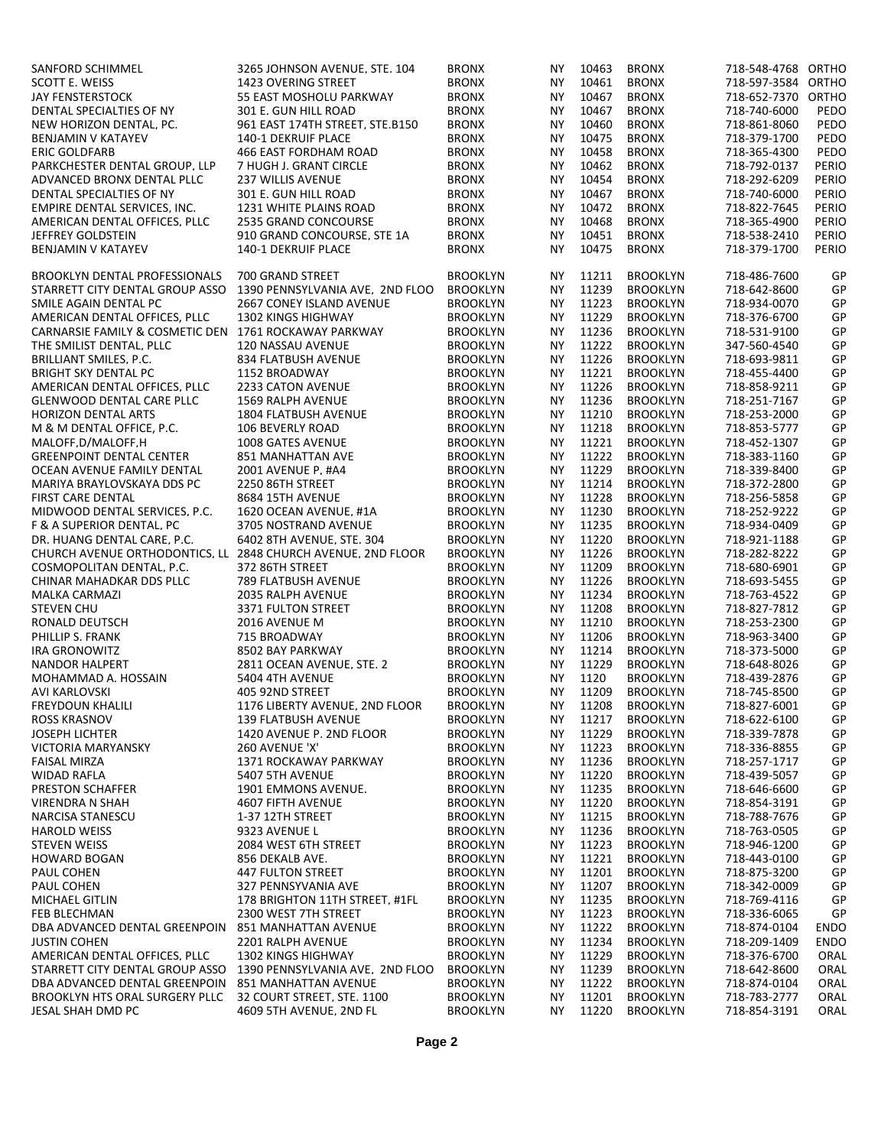| SANFORD SCHIMMEL                                             | 3265 JOHNSON AVENUE, STE. 104                         | <b>BRONX</b>    | ΝY        | 10463    | <b>BRONX</b>    | 718-548-4768 ORTHO |             |
|--------------------------------------------------------------|-------------------------------------------------------|-----------------|-----------|----------|-----------------|--------------------|-------------|
| SCOTT E. WEISS                                               | <b>1423 OVERING STREET</b>                            | <b>BRONX</b>    | NY.       | 10461    | <b>BRONX</b>    | 718-597-3584 ORTHO |             |
| <b>JAY FENSTERSTOCK</b>                                      | 55 EAST MOSHOLU PARKWAY                               | <b>BRONX</b>    | NY.       | 10467    | <b>BRONX</b>    | 718-652-7370 ORTHO |             |
|                                                              |                                                       |                 |           |          |                 |                    |             |
| DENTAL SPECIALTIES OF NY                                     | 301 E. GUN HILL ROAD                                  | <b>BRONX</b>    | <b>NY</b> | 10467    | <b>BRONX</b>    | 718-740-6000       | PEDO        |
| NEW HORIZON DENTAL. PC.                                      | 961 EAST 174TH STREET. STE.B150                       | <b>BRONX</b>    | <b>NY</b> | 10460    | <b>BRONX</b>    | 718-861-8060       | PEDO        |
| BENJAMIN V KATAYEV                                           | 140-1 DEKRUIF PLACE                                   | <b>BRONX</b>    | <b>NY</b> | 10475    | <b>BRONX</b>    | 718-379-1700       | PEDO        |
| <b>ERIC GOLDFARB</b>                                         | 466 EAST FORDHAM ROAD                                 | <b>BRONX</b>    | NY.       | 10458    | <b>BRONX</b>    | 718-365-4300       | PEDO        |
| PARKCHESTER DENTAL GROUP. LLP                                | 7 HUGH J. GRANT CIRCLE                                | <b>BRONX</b>    | <b>NY</b> | 10462    | <b>BRONX</b>    | 718-792-0137       | PERIO       |
|                                                              |                                                       |                 |           |          |                 |                    |             |
| ADVANCED BRONX DENTAL PLLC                                   | <b>237 WILLIS AVENUE</b>                              | <b>BRONX</b>    | <b>NY</b> | 10454    | <b>BRONX</b>    | 718-292-6209       | PERIO       |
| DENTAL SPECIALTIES OF NY                                     | 301 E. GUN HILL ROAD                                  | <b>BRONX</b>    | <b>NY</b> | 10467    | <b>BRONX</b>    | 718-740-6000       | PERIO       |
| EMPIRE DENTAL SERVICES. INC.                                 | <b>1231 WHITE PLAINS ROAD</b>                         | <b>BRONX</b>    | <b>NY</b> | 10472    | <b>BRONX</b>    | 718-822-7645       | PERIO       |
| AMERICAN DENTAL OFFICES. PLLC                                | <b>2535 GRAND CONCOURSE</b>                           | <b>BRONX</b>    | NY.       | 10468    | <b>BRONX</b>    | 718-365-4900       | PERIO       |
| JEFFREY GOLDSTEIN                                            | 910 GRAND CONCOURSE, STE 1A                           | <b>BRONX</b>    | <b>NY</b> | 10451    | <b>BRONX</b>    | 718-538-2410       | PERIO       |
|                                                              |                                                       |                 |           |          |                 |                    |             |
| BENJAMIN V KATAYEV                                           | 140-1 DEKRUIF PLACE                                   | <b>BRONX</b>    | NY.       | 10475    | <b>BRONX</b>    | 718-379-1700       | PERIO       |
|                                                              |                                                       |                 |           |          |                 |                    |             |
| <b>BROOKLYN DENTAL PROFESSIONALS</b>                         | 700 GRAND STREET                                      | <b>BROOKLYN</b> | NY.       | 11211    | <b>BROOKLYN</b> | 718-486-7600       | GP          |
| STARRETT CITY DENTAL GROUP ASSO                              | 1390 PENNSYLVANIA AVE, 2ND FLOO                       | <b>BROOKLYN</b> | <b>NY</b> | 11239    | <b>BROOKLYN</b> | 718-642-8600       | GP          |
| SMILE AGAIN DENTAL PC                                        | <b>2667 CONEY ISLAND AVENUE</b>                       | <b>BROOKLYN</b> | <b>NY</b> | 11223    | <b>BROOKLYN</b> | 718-934-0070       | GP          |
|                                                              |                                                       |                 |           |          |                 |                    |             |
| AMERICAN DENTAL OFFICES, PLLC                                | <b>1302 KINGS HIGHWAY</b>                             | <b>BROOKLYN</b> | NY.       | 11229    | <b>BROOKLYN</b> | 718-376-6700       | GP          |
| CARNARSIE FAMILY & COSMETIC DEN                              | 1761 ROCKAWAY PARKWAY                                 | <b>BROOKLYN</b> | <b>NY</b> | 11236    | <b>BROOKLYN</b> | 718-531-9100       | GP          |
| THE SMILIST DENTAL. PLLC                                     | 120 NASSAU AVENUE                                     | <b>BROOKLYN</b> | NY.       | 11222    | <b>BROOKLYN</b> | 347-560-4540       | GP          |
| BRILLIANT SMILES. P.C.                                       | 834 FLATBUSH AVENUE                                   | <b>BROOKLYN</b> | <b>NY</b> | 11226    | <b>BROOKLYN</b> | 718-693-9811       | GP          |
| <b>BRIGHT SKY DENTAL PC</b>                                  | 1152 BROADWAY                                         | <b>BROOKLYN</b> | NY.       | 11221    | <b>BROOKLYN</b> | 718-455-4400       | GP          |
|                                                              |                                                       |                 |           |          |                 |                    |             |
| AMERICAN DENTAL OFFICES. PLLC                                | 2233 CATON AVENUE                                     | <b>BROOKLYN</b> | <b>NY</b> | 11226    | <b>BROOKLYN</b> | 718-858-9211       | GP          |
| <b>GLENWOOD DENTAL CARE PLLC</b>                             | <b>1569 RALPH AVENUE</b>                              | <b>BROOKLYN</b> | NY.       | 11236    | <b>BROOKLYN</b> | 718-251-7167       | GP          |
| <b>HORIZON DENTAL ARTS</b>                                   | 1804 FLATBUSH AVENUE                                  | <b>BROOKLYN</b> | <b>NY</b> | 11210    | <b>BROOKLYN</b> | 718-253-2000       | GP          |
| M & M DENTAL OFFICE, P.C.                                    | 106 BEVERLY ROAD                                      | <b>BROOKLYN</b> | NY.       | 11218    | <b>BROOKLYN</b> | 718-853-5777       | GP          |
|                                                              | 1008 GATES AVENUE                                     |                 | <b>NY</b> | 11221    |                 |                    | GP          |
| MALOFF, D/MALOFF, H                                          |                                                       | <b>BROOKLYN</b> |           |          | <b>BROOKLYN</b> | 718-452-1307       |             |
| <b>GREENPOINT DENTAL CENTER</b>                              | 851 MANHATTAN AVE                                     | <b>BROOKLYN</b> | NY.       | 11222    | <b>BROOKLYN</b> | 718-383-1160       | GP          |
| OCEAN AVENUE FAMILY DENTAL                                   | 2001 AVENUE P, #A4                                    | <b>BROOKLYN</b> | <b>NY</b> | 11229    | <b>BROOKLYN</b> | 718-339-8400       | GP          |
| MARIYA BRAYLOVSKAYA DDS PC                                   | 2250 86TH STREET                                      | <b>BROOKLYN</b> | NY.       | 11214    | <b>BROOKLYN</b> | 718-372-2800       | GP          |
| <b>FIRST CARE DENTAL</b>                                     | <b>8684 15TH AVENUE</b>                               | <b>BROOKLYN</b> | NY.       | 11228    | <b>BROOKLYN</b> | 718-256-5858       | GP          |
|                                                              |                                                       |                 |           |          |                 |                    |             |
| MIDWOOD DENTAL SERVICES, P.C.                                | 1620 OCEAN AVENUE, #1A                                | <b>BROOKLYN</b> | NY.       | 11230    | <b>BROOKLYN</b> | 718-252-9222       | GP          |
| F & A SUPERIOR DENTAL. PC                                    | 3705 NOSTRAND AVENUE                                  | <b>BROOKLYN</b> | <b>NY</b> | 11235    | <b>BROOKLYN</b> | 718-934-0409       | GP          |
| DR. HUANG DENTAL CARE, P.C.                                  | 6402 8TH AVENUE, STE. 304                             | <b>BROOKLYN</b> | NY.       | 11220    | <b>BROOKLYN</b> | 718-921-1188       | GP          |
| CHURCH AVENUE ORTHODONTICS. LL 2848 CHURCH AVENUE. 2ND FLOOR |                                                       | <b>BROOKLYN</b> | <b>NY</b> | 11226    | <b>BROOKLYN</b> | 718-282-8222       | GP          |
| COSMOPOLITAN DENTAL. P.C.                                    | 372 86TH STREET                                       | <b>BROOKLYN</b> | NY.       | 11209    | <b>BROOKLYN</b> | 718-680-6901       | GP          |
|                                                              |                                                       |                 |           |          |                 |                    |             |
| CHINAR MAHADKAR DDS PLLC                                     | 789 FLATBUSH AVENUE                                   | <b>BROOKLYN</b> | <b>NY</b> | 11226    | <b>BROOKLYN</b> | 718-693-5455       | GP          |
| <b>MALKA CARMAZI</b>                                         | 2035 RALPH AVENUE                                     | <b>BROOKLYN</b> | NY.       | 11234    | <b>BROOKLYN</b> | 718-763-4522       | GP          |
| <b>STEVEN CHU</b>                                            | 3371 FULTON STREET                                    | <b>BROOKLYN</b> | <b>NY</b> | 11208    | <b>BROOKLYN</b> | 718-827-7812       | GP          |
| RONALD DEUTSCH                                               | 2016 AVENUE M                                         | <b>BROOKLYN</b> | NY.       | 11210    | <b>BROOKLYN</b> | 718-253-2300       | GP          |
| PHILLIP S. FRANK                                             | 715 BROADWAY                                          | <b>BROOKLYN</b> | NY.       | 11206    | <b>BROOKLYN</b> | 718-963-3400       | GP          |
|                                                              |                                                       |                 |           |          |                 |                    |             |
| <b>IRA GRONOWITZ</b>                                         | 8502 BAY PARKWAY                                      | <b>BROOKLYN</b> | <b>NY</b> | 11214    | <b>BROOKLYN</b> | 718-373-5000       | GP          |
| <b>NANDOR HALPERT</b>                                        | 2811 OCEAN AVENUE. STE. 2                             | <b>BROOKLYN</b> | <b>NY</b> | 11229    | <b>BROOKLYN</b> | 718-648-8026       | GP          |
| MOHAMMAD A. HOSSAIN                                          | 5404 4TH AVENUE                                       | <b>BROOKLYN</b> | <b>NY</b> | 1120     | <b>BROOKLYN</b> | 718-439-2876       | GP          |
| AVI KARLOVSKI                                                | 405 92ND STREET                                       | <b>BROOKLYN</b> | NY.       | 11209    | <b>BROOKLYN</b> | 718-745-8500       | GP          |
|                                                              |                                                       |                 |           |          |                 |                    |             |
| FREYDOUN KHALILI                                             | 1176 LIBERTY AVENUE, 2ND FLOOR                        | <b>BROOKLYN</b> |           | NY 11208 | <b>BROOKLYN</b> | 718-827-6001       | GP          |
| <b>ROSS KRASNOV</b>                                          | <b>139 FLATBUSH AVENUE</b>                            | <b>BROOKLYN</b> | NY.       | 11217    | <b>BROOKLYN</b> | 718-622-6100       | GP          |
| <b>JOSEPH LICHTER</b>                                        | 1420 AVENUE P. 2ND FLOOR                              | <b>BROOKLYN</b> | <b>NY</b> | 11229    | <b>BROOKLYN</b> | 718-339-7878       | GP          |
| VICTORIA MARYANSKY                                           | 260 AVENUE 'X'                                        | <b>BROOKLYN</b> | ΝY        | 11223    | <b>BROOKLYN</b> | 718-336-8855       | GP          |
| <b>FAISAL MIRZA</b>                                          | 1371 ROCKAWAY PARKWAY                                 | <b>BROOKLYN</b> | NY.       | 11236    | <b>BROOKLYN</b> | 718-257-1717       | GP          |
|                                                              |                                                       |                 |           |          |                 |                    |             |
| <b>WIDAD RAFLA</b>                                           | 5407 5TH AVENUE                                       | <b>BROOKLYN</b> | NY.       | 11220    | <b>BROOKLYN</b> | 718-439-5057       | GP          |
| PRESTON SCHAFFER                                             | 1901 EMMONS AVENUE.                                   | <b>BROOKLYN</b> | ΝY        | 11235    | <b>BROOKLYN</b> | 718-646-6600       | GP          |
| <b>VIRENDRA N SHAH</b>                                       | 4607 FIFTH AVENUE                                     | <b>BROOKLYN</b> | NY        | 11220    | <b>BROOKLYN</b> | 718-854-3191       | GP          |
| NARCISA STANESCU                                             | 1-37 12TH STREET                                      | <b>BROOKLYN</b> | NY.       | 11215    | <b>BROOKLYN</b> | 718-788-7676       | GP          |
|                                                              |                                                       |                 |           |          |                 |                    |             |
| <b>HAROLD WEISS</b>                                          | 9323 AVENUE L                                         | <b>BROOKLYN</b> | NY.       | 11236    | <b>BROOKLYN</b> | 718-763-0505       | GP          |
| <b>STEVEN WEISS</b>                                          | 2084 WEST 6TH STREET                                  | <b>BROOKLYN</b> | ΝY        | 11223    | <b>BROOKLYN</b> | 718-946-1200       | GP          |
| <b>HOWARD BOGAN</b>                                          | 856 DEKALB AVE.                                       | <b>BROOKLYN</b> | ΝY        | 11221    | <b>BROOKLYN</b> | 718-443-0100       | GP          |
| PAUL COHEN                                                   | <b>447 FULTON STREET</b>                              | <b>BROOKLYN</b> | NY        | 11201    | <b>BROOKLYN</b> | 718-875-3200       | GP          |
| PAUL COHEN                                                   | 327 PENNSYVANIA AVE                                   | <b>BROOKLYN</b> | ΝY        | 11207    | <b>BROOKLYN</b> | 718-342-0009       | GP          |
|                                                              |                                                       |                 |           |          |                 |                    |             |
| MICHAEL GITLIN                                               | 178 BRIGHTON 11TH STREET, #1FL                        | <b>BROOKLYN</b> | NY.       | 11235    | <b>BROOKLYN</b> | 718-769-4116       | GP          |
| FEB BLECHMAN                                                 | 2300 WEST 7TH STREET                                  | <b>BROOKLYN</b> | ΝY        | 11223    | <b>BROOKLYN</b> | 718-336-6065       | GP          |
| DBA ADVANCED DENTAL GREENPOIN                                | 851 MANHATTAN AVENUE                                  | <b>BROOKLYN</b> | NY.       | 11222    | <b>BROOKLYN</b> | 718-874-0104       | ENDO        |
| <b>JUSTIN COHEN</b>                                          | 2201 RALPH AVENUE                                     | <b>BROOKLYN</b> | ΝY        | 11234    | <b>BROOKLYN</b> | 718-209-1409       | <b>ENDO</b> |
| AMERICAN DENTAL OFFICES. PLLC                                | 1302 KINGS HIGHWAY                                    |                 | NY        | 11229    | <b>BROOKLYN</b> | 718-376-6700       | ORAL        |
|                                                              |                                                       | <b>BROOKLYN</b> |           |          |                 |                    |             |
| STARRETT CITY DENTAL GROUP ASSO                              | 1390 PENNSYLVANIA AVE. 2ND FLOO                       | <b>BROOKLYN</b> | ΝY        | 11239    | <b>BROOKLYN</b> | 718-642-8600       | ORAL        |
| DBA ADVANCED DENTAL GREENPOIN                                | 851 MANHATTAN AVENUE                                  | <b>BROOKLYN</b> | <b>NY</b> | 11222    | <b>BROOKLYN</b> | 718-874-0104       | ORAL        |
|                                                              |                                                       |                 |           |          |                 |                    |             |
| BROOKLYN HTS ORAL SURGERY PLLC                               |                                                       | <b>BROOKLYN</b> | NΥ        | 11201    | <b>BROOKLYN</b> | 718-783-2777       | ORAL        |
| JESAL SHAH DMD PC                                            | 32 COURT STREET. STE. 1100<br>4609 5TH AVENUE, 2ND FL | <b>BROOKLYN</b> | NY.       | 11220    | <b>BROOKLYN</b> | 718-854-3191       | ORAL        |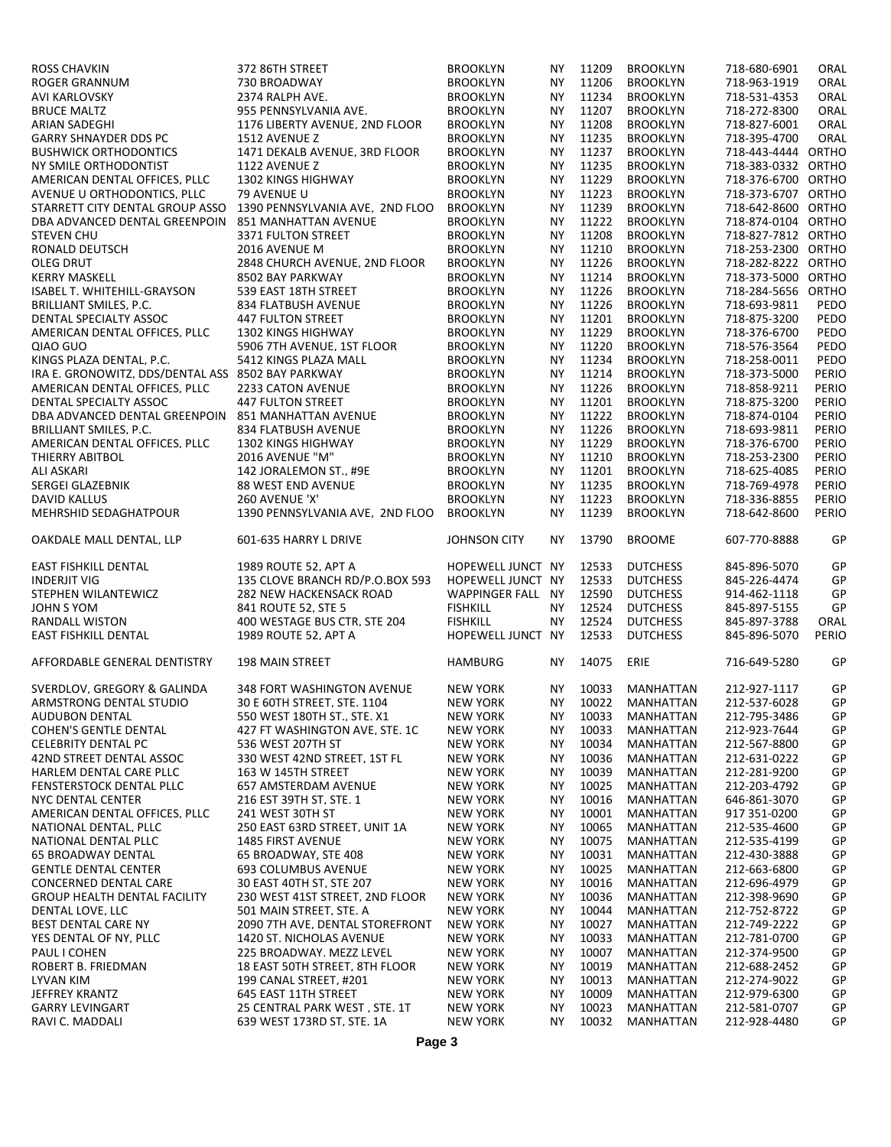| <b>ROSS CHAVKIN</b>                               | 372 86TH STREET                                             | <b>BROOKLYN</b>                    | NY.       | 11209          | <b>BROOKLYN</b>        | 718-680-6901                 | ORAL     |
|---------------------------------------------------|-------------------------------------------------------------|------------------------------------|-----------|----------------|------------------------|------------------------------|----------|
| ROGER GRANNUM                                     | 730 BROADWAY                                                | <b>BROOKLYN</b>                    | NY        | 11206          | <b>BROOKLYN</b>        | 718-963-1919                 | ORAL     |
| AVI KARLOVSKY                                     | 2374 RALPH AVE.                                             | <b>BROOKLYN</b>                    | NY        | 11234          | <b>BROOKLYN</b>        | 718-531-4353                 | ORAL     |
| <b>BRUCE MALTZ</b>                                | 955 PENNSYLVANIA AVE.                                       | <b>BROOKLYN</b>                    | NY        | 11207          | <b>BROOKLYN</b>        | 718-272-8300                 | ORAL     |
| <b>ARIAN SADEGHI</b>                              | 1176 LIBERTY AVENUE. 2ND FLOOR                              | <b>BROOKLYN</b>                    | NY        | 11208          | <b>BROOKLYN</b>        | 718-827-6001                 | ORAL     |
| <b>GARRY SHNAYDER DDS PC</b>                      | 1512 AVENUE Z                                               | <b>BROOKLYN</b>                    | NY        | 11235          | <b>BROOKLYN</b>        | 718-395-4700                 | ORAL     |
| <b>BUSHWICK ORTHODONTICS</b>                      | 1471 DEKALB AVENUE. 3RD FLOOR                               | <b>BROOKLYN</b>                    | NY        | 11237          | <b>BROOKLYN</b>        | 718-443-4444 ORTHO           |          |
|                                                   | 1122 AVENUE Z                                               |                                    |           | 11235          | <b>BROOKLYN</b>        | 718-383-0332 ORTHO           |          |
| NY SMILE ORTHODONTIST                             |                                                             | <b>BROOKLYN</b>                    | NY        |                |                        |                              |          |
| AMERICAN DENTAL OFFICES. PLLC                     | <b>1302 KINGS HIGHWAY</b>                                   | <b>BROOKLYN</b>                    | NY.       | 11229          | <b>BROOKLYN</b>        | 718-376-6700 ORTHO           |          |
| AVENUE U ORTHODONTICS, PLLC                       | 79 AVENUE U                                                 | <b>BROOKLYN</b>                    | NY        | 11223          | <b>BROOKLYN</b>        | 718-373-6707 ORTHO           |          |
| STARRETT CITY DENTAL GROUP ASSO                   | 1390 PENNSYLVANIA AVE. 2ND FLOO                             | <b>BROOKLYN</b>                    | NY.       | 11239          | <b>BROOKLYN</b>        | 718-642-8600 ORTHO           |          |
| DBA ADVANCED DENTAL GREENPOIN                     | 851 MANHATTAN AVENUE                                        | <b>BROOKLYN</b>                    | NY        | 11222          | <b>BROOKLYN</b>        | 718-874-0104 ORTHO           |          |
| <b>STEVEN CHU</b>                                 | 3371 FULTON STREET                                          | <b>BROOKLYN</b>                    | NY.       | 11208          | <b>BROOKLYN</b>        | 718-827-7812 ORTHO           |          |
| RONALD DEUTSCH                                    | 2016 AVENUE M                                               | <b>BROOKLYN</b>                    | NY.       | 11210          | <b>BROOKLYN</b>        | 718-253-2300 ORTHO           |          |
| <b>OLEG DRUT</b>                                  | 2848 CHURCH AVENUE, 2ND FLOOR                               | <b>BROOKLYN</b>                    | NY        | 11226          | <b>BROOKLYN</b>        | 718-282-8222 ORTHO           |          |
| <b>KERRY MASKELL</b>                              | 8502 BAY PARKWAY                                            | <b>BROOKLYN</b>                    | <b>NY</b> | 11214          | <b>BROOKLYN</b>        | 718-373-5000 ORTHO           |          |
| ISABEL T. WHITEHILL-GRAYSON                       | 539 EAST 18TH STREET                                        | <b>BROOKLYN</b>                    | NY.       | 11226          | <b>BROOKLYN</b>        | 718-284-5656 ORTHO           |          |
| <b>BRILLIANT SMILES, P.C.</b>                     | 834 FLATBUSH AVENUE                                         | <b>BROOKLYN</b>                    | NY        | 11226          | <b>BROOKLYN</b>        | 718-693-9811                 | PEDO     |
| DENTAL SPECIALTY ASSOC                            | <b>447 FULTON STREET</b>                                    | <b>BROOKLYN</b>                    | NY.       | 11201          | <b>BROOKLYN</b>        | 718-875-3200                 | PEDO     |
| AMERICAN DENTAL OFFICES. PLLC                     | <b>1302 KINGS HIGHWAY</b>                                   | <b>BROOKLYN</b>                    | <b>NY</b> | 11229          | <b>BROOKLYN</b>        | 718-376-6700                 | PEDO     |
| QIAO GUO                                          | 5906 7TH AVENUE. 1ST FLOOR                                  | <b>BROOKLYN</b>                    | NY.       | 11220          | <b>BROOKLYN</b>        | 718-576-3564                 | PEDO     |
| KINGS PLAZA DENTAL. P.C.                          | 5412 KINGS PLAZA MALL                                       |                                    |           | 11234          |                        |                              | PEDO     |
|                                                   |                                                             | <b>BROOKLYN</b>                    | NY.       |                | <b>BROOKLYN</b>        | 718-258-0011                 |          |
| IRA E. GRONOWITZ. DDS/DENTAL ASS 8502 BAY PARKWAY |                                                             | <b>BROOKLYN</b>                    | NY        | 11214          | <b>BROOKLYN</b>        | 718-373-5000                 | PERIO    |
| AMERICAN DENTAL OFFICES. PLLC                     | 2233 CATON AVENUE                                           | <b>BROOKLYN</b>                    | NY.       | 11226          | <b>BROOKLYN</b>        | 718-858-9211                 | PERIO    |
| DENTAL SPECIALTY ASSOC                            | <b>447 FULTON STREET</b>                                    | <b>BROOKLYN</b>                    | NY.       | 11201          | <b>BROOKLYN</b>        | 718-875-3200                 | PERIO    |
| DBA ADVANCED DENTAL GREENPOIN                     | 851 MANHATTAN AVENUE                                        | <b>BROOKLYN</b>                    | NY.       | 11222          | <b>BROOKLYN</b>        | 718-874-0104                 | PERIO    |
| BRILLIANT SMILES. P.C.                            | 834 FLATBUSH AVENUE                                         | <b>BROOKLYN</b>                    | NY.       | 11226          | <b>BROOKLYN</b>        | 718-693-9811                 | PERIO    |
| AMERICAN DENTAL OFFICES, PLLC                     | <b>1302 KINGS HIGHWAY</b>                                   | <b>BROOKLYN</b>                    | NY        | 11229          | <b>BROOKLYN</b>        | 718-376-6700                 | PERIO    |
| <b>THIERRY ABITBOL</b>                            | 2016 AVENUE "M"                                             | <b>BROOKLYN</b>                    | NY.       | 11210          | <b>BROOKLYN</b>        | 718-253-2300                 | PERIO    |
| <b>ALI ASKARI</b>                                 | 142 JORALEMON ST., #9E                                      | <b>BROOKLYN</b>                    | NY.       | 11201          | <b>BROOKLYN</b>        | 718-625-4085                 | PERIO    |
| SERGEI GLAZEBNIK                                  | <b>88 WEST END AVENUE</b>                                   | <b>BROOKLYN</b>                    | NY        | 11235          | <b>BROOKLYN</b>        | 718-769-4978                 | PERIO    |
| <b>DAVID KALLUS</b>                               | 260 AVENUE 'X'                                              | <b>BROOKLYN</b>                    | NY.       | 11223          | <b>BROOKLYN</b>        | 718-336-8855                 | PERIO    |
| <b>MEHRSHID SEDAGHATPOUR</b>                      | 1390 PENNSYLVANIA AVE, 2ND FLOO                             | <b>BROOKLYN</b>                    | NY.       | 11239          | <b>BROOKLYN</b>        | 718-642-8600                 | PERIO    |
|                                                   |                                                             |                                    |           |                |                        |                              |          |
| OAKDALE MALL DENTAL, LLP                          | 601-635 HARRY L DRIVE                                       | <b>JOHNSON CITY</b>                | NY.       | 13790          | <b>BROOME</b>          | 607-770-8888                 | GP       |
| EAST FISHKILL DENTAL                              | 1989 ROUTE 52. APT A                                        | HOPEWELL JUNCT NY                  |           | 12533          | <b>DUTCHESS</b>        |                              | GP       |
|                                                   |                                                             |                                    |           |                |                        | 845-896-5070                 |          |
| <b>INDERJIT VIG</b>                               | 135 CLOVE BRANCH RD/P.O.BOX 593                             | HOPEWELL JUNCT NY                  |           | 12533          | <b>DUTCHESS</b>        | 845-226-4474                 | GP       |
| STEPHEN WILANTEWICZ                               | 282 NEW HACKENSACK ROAD                                     | <b>WAPPINGER FALL NY</b>           |           | 12590          | <b>DUTCHESS</b>        | 914-462-1118                 | GP       |
| JOHN S YOM                                        | 841 ROUTE 52. STE 5                                         | <b>FISHKILL</b>                    | NY.       | 12524          | <b>DUTCHESS</b>        | 845-897-5155                 | GP       |
| RANDALL WISTON                                    | 400 WESTAGE BUS CTR. STE 204                                | <b>FISHKILL</b>                    | NY.       | 12524          | <b>DUTCHESS</b>        | 845-897-3788                 | ORAL     |
| <b>EAST FISHKILL DENTAL</b>                       | 1989 ROUTE 52, APT A                                        | HOPEWELL JUNCT NY                  |           | 12533          | <b>DUTCHESS</b>        | 845-896-5070                 | PERIO    |
| AFFORDABLE GENERAL DENTISTRY                      | <b>198 MAIN STREET</b>                                      | <b>HAMBURG</b>                     | ΝY        | 14075          | ERIE                   | 716-649-5280                 | GP       |
| SVERDLOV, GREGORY & GALINDA                       | 348 FORT WASHINGTON AVENUE                                  | <b>NEW YORK</b>                    | NY.       | 10033          | MANHATTAN              | 212-927-1117                 | GP       |
| ARMSTRONG DENTAL STUDIO                           | 30 E 60TH STREET, STE. 1104                                 | <b>NEW YORK</b>                    |           |                | NY 10022 MANHATTAN     | 212-537-6028                 | GP       |
| <b>AUDUBON DENTAL</b>                             | 550 WEST 180TH ST., STE. X1                                 | <b>NEW YORK</b>                    | ΝY        | 10033          | <b>MANHATTAN</b>       | 212-795-3486                 | GP       |
| <b>COHEN'S GENTLE DENTAL</b>                      | 427 FT WASHINGTON AVE. STE. 1C                              | <b>NEW YORK</b>                    | ΝY        | 10033          | MANHATTAN              | 212-923-7644                 | GP       |
|                                                   | 536 WEST 207TH ST                                           |                                    |           | 10034          | <b>MANHATTAN</b>       | 212-567-8800                 | GP       |
| <b>CELEBRITY DENTAL PC</b>                        |                                                             | <b>NEW YORK</b>                    | ΝY        |                |                        |                              |          |
| 42ND STREET DENTAL ASSOC                          | 330 WEST 42ND STREET. 1ST FL                                | <b>NEW YORK</b>                    | ΝY        | 10036          | MANHATTAN              | 212-631-0222                 | GP       |
| HARLEM DENTAL CARE PLLC                           | 163 W 145TH STREET                                          | <b>NEW YORK</b>                    | ΝY        | 10039          | MANHATTAN              | 212-281-9200                 | GP       |
| FENSTERSTOCK DENTAL PLLC                          | 657 AMSTERDAM AVENUE                                        | <b>NEW YORK</b>                    | ΝY        | 10025          | MANHATTAN              | 212-203-4792                 | GP       |
| NYC DENTAL CENTER                                 | 216 EST 39TH ST. STE. 1                                     | <b>NEW YORK</b>                    | ΝY        | 10016          | MANHATTAN              | 646-861-3070                 | GP       |
| AMERICAN DENTAL OFFICES. PLLC                     | 241 WEST 30TH ST                                            | <b>NEW YORK</b>                    | ΝY        | 10001          | MANHATTAN              | 917 351-0200                 | GP       |
| NATIONAL DENTAL. PLLC                             | 250 EAST 63RD STREET. UNIT 1A                               | <b>NEW YORK</b>                    | ΝY        | 10065          | MANHATTAN              | 212-535-4600                 | GP       |
| NATIONAL DENTAL PLLC                              | <b>1485 FIRST AVENUE</b>                                    | <b>NEW YORK</b>                    | ΝY        | 10075          | <b>MANHATTAN</b>       | 212-535-4199                 | GP       |
| <b>65 BROADWAY DENTAL</b>                         | 65 BROADWAY, STE 408                                        | <b>NEW YORK</b>                    | ΝY        | 10031          | MANHATTAN              | 212-430-3888                 | GP       |
| <b>GENTLE DENTAL CENTER</b>                       | 693 COLUMBUS AVENUE                                         | <b>NEW YORK</b>                    | ΝY        | 10025          | MANHATTAN              | 212-663-6800                 | GP       |
| CONCERNED DENTAL CARE                             | 30 EAST 40TH ST, STE 207                                    | <b>NEW YORK</b>                    | ΝY        | 10016          | MANHATTAN              | 212-696-4979                 | GP       |
| <b>GROUP HEALTH DENTAL FACILITY</b>               | 230 WEST 41ST STREET, 2ND FLOOR                             | <b>NEW YORK</b>                    | ΝY        | 10036          | MANHATTAN              | 212-398-9690                 | GP       |
| DENTAL LOVE, LLC                                  | 501 MAIN STREET, STE. A                                     | <b>NEW YORK</b>                    | ΝY        | 10044          | MANHATTAN              | 212-752-8722                 | GP       |
| BEST DENTAL CARE NY                               | 2090 7TH AVE, DENTAL STOREFRONT                             | <b>NEW YORK</b>                    | ΝY        | 10027          | MANHATTAN              | 212-749-2222                 | GP       |
| YES DENTAL OF NY, PLLC                            | 1420 ST. NICHOLAS AVENUE                                    | <b>NEW YORK</b>                    | ΝY        | 10033          | MANHATTAN              | 212-781-0700                 | GP       |
| PAUL I COHEN                                      | 225 BROADWAY. MEZZ LEVEL                                    | <b>NEW YORK</b>                    | ΝY        | 10007          | MANHATTAN              | 212-374-9500                 | GP       |
| ROBERT B. FRIEDMAN                                | 18 EAST 50TH STREET, 8TH FLOOR                              | <b>NEW YORK</b>                    | ΝY        | 10019          | MANHATTAN              | 212-688-2452                 | GP       |
|                                                   |                                                             |                                    |           | 10013          |                        | 212-274-9022                 | GP       |
| LYVAN KIM                                         | 199 CANAL STREET. #201                                      | <b>NEW YORK</b>                    | ΝY        |                | MANHATTAN              |                              |          |
| JEFFREY KRANTZ                                    |                                                             |                                    |           |                |                        |                              |          |
|                                                   | 645 EAST 11TH STREET                                        | <b>NEW YORK</b>                    | ΝY        | 10009          | MANHATTAN              | 212-979-6300                 | GP       |
| <b>GARRY LEVINGART</b><br>RAVI C. MADDALI         | 25 CENTRAL PARK WEST. STE. 1T<br>639 WEST 173RD ST. STE. 1A | <b>NEW YORK</b><br><b>NEW YORK</b> | ΝY<br>ΝY  | 10023<br>10032 | MANHATTAN<br>MANHATTAN | 212-581-0707<br>212-928-4480 | GP<br>GP |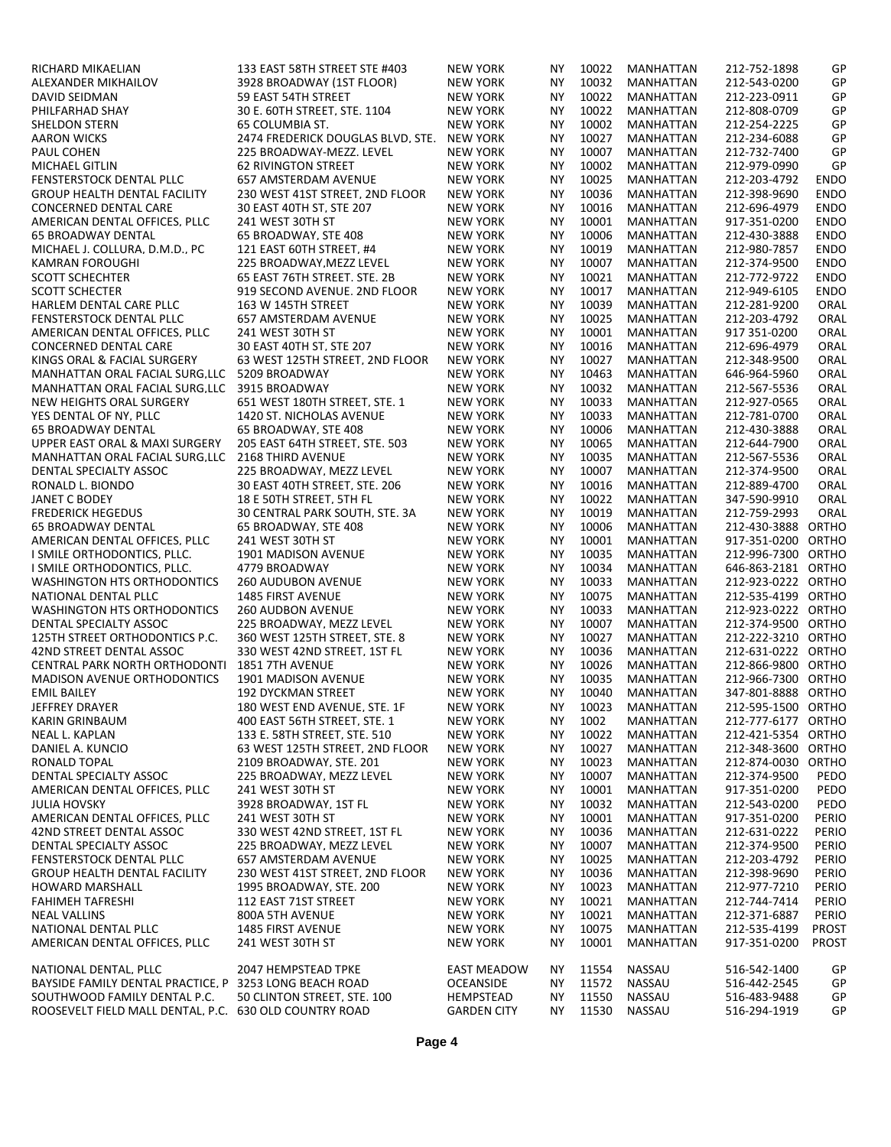| RICHARD MIKAELIAN                                            | 133 EAST 58TH STREET STE #403     | <b>NEW YORK</b>    | ΝY        | 10022 | MANHATTAN        | 212-752-1898       | GP           |
|--------------------------------------------------------------|-----------------------------------|--------------------|-----------|-------|------------------|--------------------|--------------|
| ALEXANDER MIKHAILOV                                          | 3928 BROADWAY (1ST FLOOR)         | <b>NEW YORK</b>    | NΥ        | 10032 | MANHATTAN        | 212-543-0200       | GP           |
| DAVID SEIDMAN                                                | 59 EAST 54TH STREET               | <b>NEW YORK</b>    | NY        | 10022 | MANHATTAN        | 212-223-0911       | GP           |
| PHILFARHAD SHAY                                              | 30 E. 60TH STREET. STE. 1104      | <b>NEW YORK</b>    | NY        | 10022 | <b>MANHATTAN</b> | 212-808-0709       | GP           |
| <b>SHELDON STERN</b>                                         | 65 COLUMBIA ST.                   | <b>NEW YORK</b>    | NΥ        | 10002 | MANHATTAN        | 212-254-2225       | GP           |
| <b>AARON WICKS</b>                                           | 2474 FREDERICK DOUGLAS BLVD. STE. | <b>NEW YORK</b>    | <b>NY</b> | 10027 | <b>MANHATTAN</b> | 212-234-6088       | GP           |
| PAUL COHEN                                                   | 225 BROADWAY-MEZZ. LEVEL          | <b>NEW YORK</b>    | NY        | 10007 | MANHATTAN        | 212-732-7400       | GP           |
| MICHAEL GITLIN                                               | <b>62 RIVINGTON STREET</b>        | <b>NEW YORK</b>    | <b>NY</b> | 10002 | MANHATTAN        | 212-979-0990       | GP           |
| FENSTERSTOCK DENTAL PLLC                                     | 657 AMSTERDAM AVENUE              | <b>NEW YORK</b>    | <b>NY</b> | 10025 | MANHATTAN        | 212-203-4792       | <b>ENDO</b>  |
| GROUP HEALTH DENTAL FACILITY                                 | 230 WEST 41ST STREET, 2ND FLOOR   | <b>NEW YORK</b>    | NY        | 10036 | MANHATTAN        | 212-398-9690       | <b>ENDO</b>  |
| <b>CONCERNED DENTAL CARE</b>                                 | 30 EAST 40TH ST. STE 207          | <b>NEW YORK</b>    | NY        | 10016 | <b>MANHATTAN</b> | 212-696-4979       | <b>ENDO</b>  |
| AMERICAN DENTAL OFFICES, PLLC                                | 241 WEST 30TH ST                  | <b>NEW YORK</b>    | NY        | 10001 | <b>MANHATTAN</b> | 917-351-0200       | <b>ENDO</b>  |
| <b>65 BROADWAY DENTAL</b>                                    | 65 BROADWAY, STE 408              | <b>NEW YORK</b>    | NΥ        | 10006 | MANHATTAN        | 212-430-3888       | <b>ENDO</b>  |
| MICHAEL J. COLLURA, D.M.D., PC                               | 121 EAST 60TH STREET, #4          | <b>NEW YORK</b>    | <b>NY</b> | 10019 | MANHATTAN        | 212-980-7857       | <b>ENDO</b>  |
| <b>KAMRAN FOROUGHI</b>                                       |                                   | <b>NEW YORK</b>    | NY        | 10007 |                  | 212-374-9500       | <b>ENDO</b>  |
|                                                              | 225 BROADWAY, MEZZ LEVEL          |                    | NY        |       | MANHATTAN        |                    |              |
| <b>SCOTT SCHECHTER</b>                                       | 65 EAST 76TH STREET, STE. 2B      | <b>NEW YORK</b>    |           | 10021 | <b>MANHATTAN</b> | 212-772-9722       | <b>ENDO</b>  |
| <b>SCOTT SCHECTER</b>                                        | 919 SECOND AVENUE. 2ND FLOOR      | <b>NEW YORK</b>    | <b>NY</b> | 10017 | MANHATTAN        | 212-949-6105       | <b>ENDO</b>  |
| HARLEM DENTAL CARE PLLC                                      | 163 W 145TH STREET                | <b>NEW YORK</b>    | <b>NY</b> | 10039 | MANHATTAN        | 212-281-9200       | ORAL         |
| FENSTERSTOCK DENTAL PLLC                                     | 657 AMSTERDAM AVENUE              | <b>NEW YORK</b>    | NΥ        | 10025 | MANHATTAN        | 212-203-4792       | ORAL         |
| AMERICAN DENTAL OFFICES. PLLC                                | 241 WEST 30TH ST                  | <b>NEW YORK</b>    | NY        | 10001 | <b>MANHATTAN</b> | 917 351-0200       | ORAL         |
| <b>CONCERNED DENTAL CARE</b>                                 | 30 EAST 40TH ST. STE 207          | <b>NEW YORK</b>    | <b>NY</b> | 10016 | <b>MANHATTAN</b> | 212-696-4979       | ORAL         |
| KINGS ORAL & FACIAL SURGERY                                  | 63 WEST 125TH STREET. 2ND FLOOR   | <b>NEW YORK</b>    | <b>NY</b> | 10027 | MANHATTAN        | 212-348-9500       | ORAL         |
| MANHATTAN ORAL FACIAL SURG.LLC 5209 BROADWAY                 |                                   | <b>NEW YORK</b>    | NΥ        | 10463 | MANHATTAN        | 646-964-5960       | ORAL         |
| MANHATTAN ORAL FACIAL SURG.LLC 3915 BROADWAY                 |                                   | <b>NEW YORK</b>    | NY        | 10032 | MANHATTAN        | 212-567-5536       | ORAL         |
| NEW HEIGHTS ORAL SURGERY                                     | 651 WEST 180TH STREET. STE. 1     | <b>NEW YORK</b>    | <b>NY</b> | 10033 | MANHATTAN        | 212-927-0565       | ORAL         |
| YES DENTAL OF NY, PLLC                                       | 1420 ST. NICHOLAS AVENUE          | <b>NEW YORK</b>    | NΥ        | 10033 | MANHATTAN        | 212-781-0700       | ORAL         |
| <b>65 BROADWAY DENTAL</b>                                    | 65 BROADWAY. STE 408              | <b>NEW YORK</b>    | <b>NY</b> | 10006 | <b>MANHATTAN</b> | 212-430-3888       | ORAL         |
| UPPER EAST ORAL & MAXI SURGERY                               | 205 EAST 64TH STREET, STE. 503    | <b>NEW YORK</b>    | NY        | 10065 | MANHATTAN        | 212-644-7900       | ORAL         |
| MANHATTAN ORAL FACIAL SURG, LLC                              | 2168 THIRD AVENUE                 | <b>NEW YORK</b>    | <b>NY</b> | 10035 | MANHATTAN        | 212-567-5536       | ORAL         |
| DENTAL SPECIALTY ASSOC                                       | 225 BROADWAY, MEZZ LEVEL          | <b>NEW YORK</b>    | <b>NY</b> | 10007 | MANHATTAN        | 212-374-9500       | ORAL         |
| RONALD L. BIONDO                                             | 30 EAST 40TH STREET, STE. 206     | <b>NEW YORK</b>    | NΥ        | 10016 | MANHATTAN        | 212-889-4700       | ORAL         |
| <b>JANET C BODEY</b>                                         | 18 E 50TH STREET, 5TH FL          | <b>NEW YORK</b>    | NΥ        | 10022 | MANHATTAN        | 347-590-9910       | ORAL         |
| <b>FREDERICK HEGEDUS</b>                                     | 30 CENTRAL PARK SOUTH. STE. 3A    | <b>NEW YORK</b>    | <b>NY</b> | 10019 | <b>MANHATTAN</b> | 212-759-2993       | ORAL         |
| <b>65 BROADWAY DENTAL</b>                                    | 65 BROADWAY, STE 408              | <b>NEW YORK</b>    | NΥ        | 10006 | MANHATTAN        | 212-430-3888 ORTHO |              |
| AMERICAN DENTAL OFFICES. PLLC                                | 241 WEST 30TH ST                  | <b>NEW YORK</b>    | NΥ        | 10001 | MANHATTAN        | 917-351-0200 ORTHO |              |
| I SMILE ORTHODONTICS. PLLC.                                  | 1901 MADISON AVENUE               | <b>NEW YORK</b>    | NY        | 10035 | MANHATTAN        | 212-996-7300 ORTHO |              |
| I SMILE ORTHODONTICS. PLLC.                                  | 4779 BROADWAY                     | <b>NEW YORK</b>    | <b>NY</b> | 10034 | <b>MANHATTAN</b> | 646-863-2181 ORTHO |              |
| <b>WASHINGTON HTS ORTHODONTICS</b>                           | 260 AUDUBON AVENUE                | <b>NEW YORK</b>    | <b>NY</b> | 10033 | MANHATTAN        | 212-923-0222 ORTHO |              |
| NATIONAL DENTAL PLLC                                         | <b>1485 FIRST AVENUE</b>          | <b>NEW YORK</b>    | NΥ        | 10075 | MANHATTAN        | 212-535-4199 ORTHO |              |
|                                                              |                                   |                    |           |       |                  |                    |              |
| <b>WASHINGTON HTS ORTHODONTICS</b><br>DENTAL SPECIALTY ASSOC | <b>260 AUDBON AVENUE</b>          | <b>NEW YORK</b>    | NΥ        | 10033 | MANHATTAN        | 212-923-0222 ORTHO |              |
|                                                              | 225 BROADWAY, MEZZ LEVEL          | <b>NEW YORK</b>    | NY        | 10007 | MANHATTAN        | 212-374-9500 ORTHO |              |
| 125TH STREET ORTHODONTICS P.C.                               | 360 WEST 125TH STREET, STE. 8     | <b>NEW YORK</b>    | <b>NY</b> | 10027 | <b>MANHATTAN</b> | 212-222-3210 ORTHO |              |
| 42ND STREET DENTAL ASSOC                                     | 330 WEST 42ND STREET. 1ST FL      | <b>NEW YORK</b>    | <b>NY</b> | 10036 | MANHATTAN        | 212-631-0222 ORTHO |              |
| CENTRAL PARK NORTH ORTHODONTI                                | 1851 7TH AVENUE                   | <b>NEW YORK</b>    | NΥ        | 10026 | MANHATTAN        | 212-866-9800 ORTHO |              |
| <b>MADISON AVENUE ORTHODONTICS</b>                           | 1901 MADISON AVENUE               | <b>NEW YORK</b>    | <b>NY</b> | 10035 | MANHATTAN        | 212-966-7300 ORTHO |              |
| <b>EMIL BAILEY</b>                                           | <b>192 DYCKMAN STREET</b>         | <b>NEW YORK</b>    | <b>NY</b> | 10040 | MANHATTAN        | 347-801-8888 ORTHO |              |
| JEFFREY DRAYER                                               | 180 WEST END AVENUE, STE. 1F      | <b>NEW YORK</b>    | <b>NY</b> | 10023 | MANHATTAN        | 212-595-1500 ORTHO |              |
| <b>KARIN GRINBAUM</b>                                        | 400 EAST 56TH STREET, STE. 1      | <b>NEW YORK</b>    | ΝY        | 1002  | MANHATTAN        | 212-777-6177 ORTHO |              |
| NEAL L. KAPLAN                                               | 133 E. 58TH STREET. STE. 510      | <b>NEW YORK</b>    | ΝY        | 10022 | <b>MANHATTAN</b> | 212-421-5354 ORTHO |              |
| DANIEL A. KUNCIO                                             | 63 WEST 125TH STREET, 2ND FLOOR   | <b>NEW YORK</b>    | ΝY        | 10027 | <b>MANHATTAN</b> | 212-348-3600 ORTHO |              |
| RONALD TOPAL                                                 | 2109 BROADWAY. STE. 201           | <b>NEW YORK</b>    | ΝY        | 10023 | MANHATTAN        | 212-874-0030 ORTHO |              |
| DENTAL SPECIALTY ASSOC                                       | 225 BROADWAY. MEZZ LEVEL          | <b>NEW YORK</b>    | ΝY        | 10007 | MANHATTAN        | 212-374-9500       | PEDO         |
| AMERICAN DENTAL OFFICES. PLLC                                | 241 WEST 30TH ST                  | <b>NEW YORK</b>    | ΝY        | 10001 | <b>MANHATTAN</b> | 917-351-0200       | PEDO         |
| <b>JULIA HOVSKY</b>                                          | 3928 BROADWAY. 1ST FL             | <b>NEW YORK</b>    | ΝY        | 10032 | MANHATTAN        | 212-543-0200       | PEDO         |
| AMERICAN DENTAL OFFICES. PLLC                                | 241 WEST 30TH ST                  | <b>NEW YORK</b>    | ΝY        | 10001 | <b>MANHATTAN</b> | 917-351-0200       | PERIO        |
| 42ND STREET DENTAL ASSOC                                     | 330 WEST 42ND STREET. 1ST FL      | <b>NEW YORK</b>    | ΝY        | 10036 | MANHATTAN        | 212-631-0222       | PERIO        |
| DENTAL SPECIALTY ASSOC                                       | 225 BROADWAY, MEZZ LEVEL          | <b>NEW YORK</b>    | NΥ        | 10007 | MANHATTAN        | 212-374-9500       | PERIO        |
| FENSTERSTOCK DENTAL PLLC                                     | 657 AMSTERDAM AVENUE              | <b>NEW YORK</b>    | ΝY        | 10025 | MANHATTAN        | 212-203-4792       | PERIO        |
| <b>GROUP HEALTH DENTAL FACILITY</b>                          | 230 WEST 41ST STREET, 2ND FLOOR   | <b>NEW YORK</b>    | ΝY        | 10036 | <b>MANHATTAN</b> | 212-398-9690       | PERIO        |
| <b>HOWARD MARSHALL</b>                                       | 1995 BROADWAY, STE. 200           | <b>NEW YORK</b>    | ΝY        | 10023 | MANHATTAN        | 212-977-7210       | PERIO        |
| FAHIMEH TAFRESHI                                             | 112 EAST 71ST STREET              | <b>NEW YORK</b>    | ΝY        | 10021 | MANHATTAN        | 212-744-7414       | PERIO        |
| <b>NEAL VALLINS</b>                                          | 800A 5TH AVENUE                   | <b>NEW YORK</b>    | ΝY        | 10021 | MANHATTAN        | 212-371-6887       | PERIO        |
| NATIONAL DENTAL PLLC                                         | 1485 FIRST AVENUE                 | <b>NEW YORK</b>    | NΥ        | 10075 | MANHATTAN        | 212-535-4199       | <b>PROST</b> |
|                                                              | 241 WEST 30TH ST                  |                    | ΝY        | 10001 |                  | 917-351-0200       | <b>PROST</b> |
| AMERICAN DENTAL OFFICES, PLLC                                |                                   | <b>NEW YORK</b>    |           |       | MANHATTAN        |                    |              |
| NATIONAL DENTAL. PLLC                                        | 2047 HEMPSTEAD TPKE               | <b>EAST MEADOW</b> | ΝY        | 11554 | <b>NASSAU</b>    | 516-542-1400       | GP           |
| BAYSIDE FAMILY DENTAL PRACTICE. P 3253 LONG BEACH ROAD       |                                   | OCEANSIDE          | ΝY        | 11572 | NASSAU           | 516-442-2545       | GP           |
|                                                              |                                   |                    |           | 11550 |                  |                    | GP           |
| SOUTHWOOD FAMILY DENTAL P.C.                                 | 50 CLINTON STREET. STE. 100       | HEMPSTEAD          | NΥ        |       | NASSAU           | 516-483-9488       |              |
| ROOSEVELT FIELD MALL DENTAL, P.C. 630 OLD COUNTRY ROAD       |                                   | <b>GARDEN CITY</b> | NY.       | 11530 | NASSAU           | 516-294-1919       | GP           |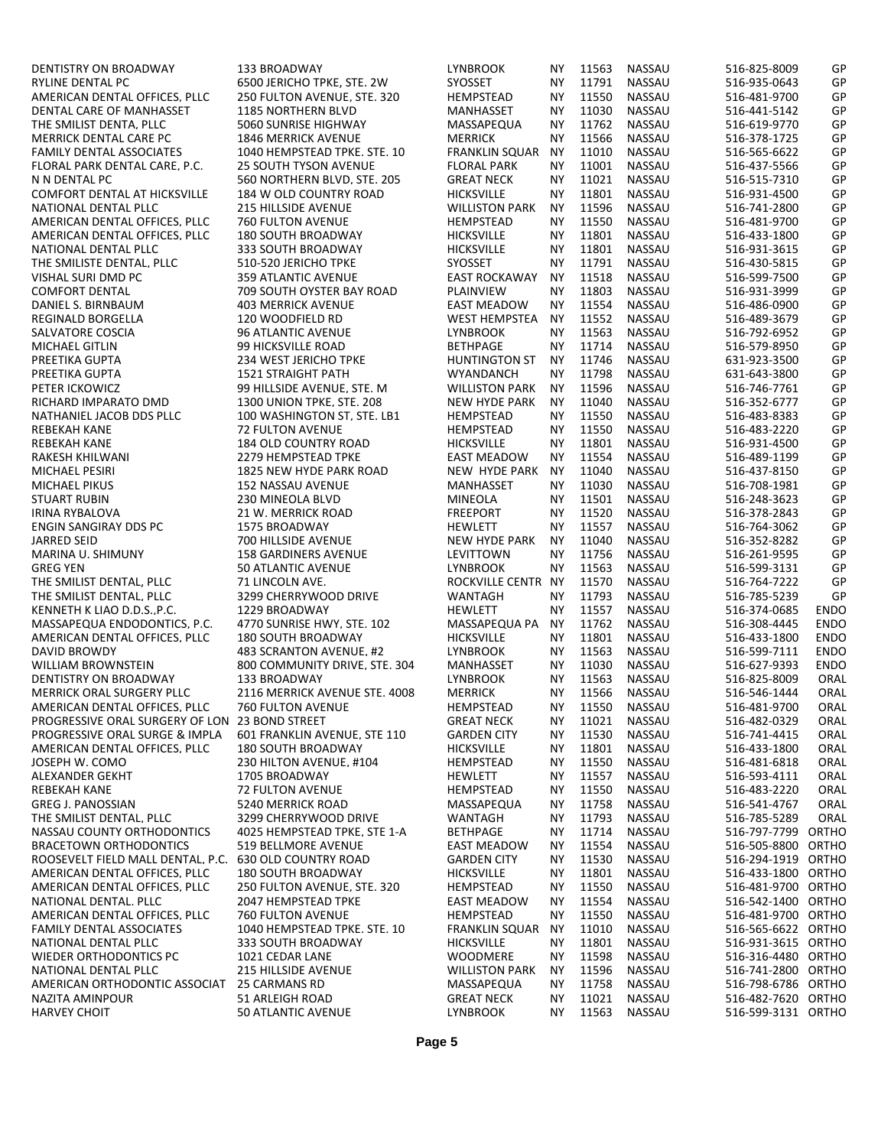| DENTISTRY ON BROADWAY             | <b>133 BROADWAY</b>                         | LYNBROOK                           | ΝY        | 11563          | NASSAU           | 516-825-8009                 | GP          |
|-----------------------------------|---------------------------------------------|------------------------------------|-----------|----------------|------------------|------------------------------|-------------|
| RYLINE DENTAL PC                  | 6500 JERICHO TPKE, STE. 2W                  | <b>SYOSSET</b>                     | NY        | 11791          | NASSAU           | 516-935-0643                 | GP          |
| AMERICAN DENTAL OFFICES, PLLC     | 250 FULTON AVENUE, STE. 320                 | HEMPSTEAD                          | NY        | 11550          | NASSAU           | 516-481-9700                 | GP          |
| DENTAL CARE OF MANHASSET          | <b>1185 NORTHERN BLVD</b>                   | MANHASSET                          | NY        | 11030          | NASSAU           | 516-441-5142                 | GP          |
| THE SMILIST DENTA. PLLC           | 5060 SUNRISE HIGHWAY                        | MASSAPEQUA                         | NY        | 11762          | NASSAU           | 516-619-9770                 | GP          |
| <b>MERRICK DENTAL CARE PC</b>     | <b>1846 MERRICK AVENUE</b>                  | <b>MERRICK</b>                     | NY        | 11566          | <b>NASSAU</b>    | 516-378-1725                 | GP          |
| FAMILY DENTAL ASSOCIATES          | 1040 HEMPSTEAD TPKE. STE. 10                | <b>FRANKLIN SQUAR</b>              | <b>NY</b> | 11010          | NASSAU           | 516-565-6622                 | GP          |
| FLORAL PARK DENTAL CARE. P.C.     | <b>25 SOUTH TYSON AVENUE</b>                | <b>FLORAL PARK</b>                 | NY        | 11001          | NASSAU           | 516-437-5566                 | GP          |
| N N DENTAL PC                     | 560 NORTHERN BLVD. STE. 205                 | <b>GREAT NECK</b>                  | NY        | 11021          | NASSAU           | 516-515-7310                 | GP          |
| COMFORT DENTAL AT HICKSVILLE      | 184 W OLD COUNTRY ROAD                      | <b>HICKSVILLE</b>                  | ΝY        | 11801          | NASSAU           | 516-931-4500                 | GP          |
| NATIONAL DENTAL PLLC              | <b>215 HILLSIDE AVENUE</b>                  | <b>WILLISTON PARK</b>              | <b>NY</b> | 11596          | NASSAU           | 516-741-2800                 | GP          |
| AMERICAN DENTAL OFFICES, PLLC     | <b>760 FULTON AVENUE</b>                    | HEMPSTEAD                          | ΝY        | 11550          | <b>NASSAU</b>    | 516-481-9700                 | GP          |
| AMERICAN DENTAL OFFICES, PLLC     | <b>180 SOUTH BROADWAY</b>                   | <b>HICKSVILLE</b>                  | NY        | 11801          | <b>NASSAU</b>    | 516-433-1800                 | GP          |
| NATIONAL DENTAL PLLC              | 333 SOUTH BROADWAY                          | <b>HICKSVILLE</b>                  | <b>NY</b> | 11801          | NASSAU           | 516-931-3615                 | GP          |
| THE SMILISTE DENTAL, PLLC         | 510-520 JERICHO TPKE                        | <b>SYOSSET</b>                     | <b>NY</b> | 11791          | NASSAU           | 516-430-5815                 | GP          |
| VISHAL SURI DMD PC                | 359 ATLANTIC AVENUE                         | <b>EAST ROCKAWAY</b>               | ΝY        | 11518          | NASSAU           | 516-599-7500                 | GP          |
| <b>COMFORT DENTAL</b>             | 709 SOUTH OYSTER BAY ROAD                   | PLAINVIEW                          | NY        | 11803          | NASSAU           | 516-931-3999                 | GP          |
| DANIEL S. BIRNBAUM                | <b>403 MERRICK AVENUE</b>                   | <b>EAST MEADOW</b>                 | ΝY        | 11554<br>11552 | NASSAU<br>NASSAU | 516-486-0900                 | GP<br>GP    |
| REGINALD BORGELLA                 | 120 WOODFIELD RD                            | WEST HEMPSTEA                      | <b>NY</b> |                |                  | 516-489-3679                 | GP          |
| SALVATORE COSCIA                  | 96 ATLANTIC AVENUE                          | <b>LYNBROOK</b><br><b>BETHPAGE</b> | NY<br>NY  | 11563<br>11714 | NASSAU<br>NASSAU | 516-792-6952                 | GP          |
| MICHAEL GITLIN<br>PREETIKA GUPTA  | 99 HICKSVILLE ROAD<br>234 WEST JERICHO TPKE | HUNTINGTON ST                      | <b>NY</b> | 11746          | NASSAU           | 516-579-8950<br>631-923-3500 | GP          |
| PREETIKA GUPTA                    | <b>1521 STRAIGHT PATH</b>                   |                                    | NY        | 11798          | NASSAU           | 631-643-3800                 | GP          |
| PETER ICKOWICZ                    | 99 HILLSIDE AVENUE. STE. M                  | WYANDANCH<br><b>WILLISTON PARK</b> | <b>NY</b> | 11596          | NASSAU           | 516-746-7761                 | GP          |
| RICHARD IMPARATO DMD              | 1300 UNION TPKE. STE. 208                   | <b>NEW HYDE PARK</b>               | NY        | 11040          | NASSAU           | 516-352-6777                 | GP          |
| NATHANIEL JACOB DDS PLLC          | 100 WASHINGTON ST, STE. LB1                 | HEMPSTEAD                          | NY        | 11550          | NASSAU           | 516-483-8383                 | GP          |
| <b>REBEKAH KANE</b>               | <b>72 FULTON AVENUE</b>                     | HEMPSTEAD                          | NY        | 11550          | NASSAU           | 516-483-2220                 | GP          |
| REBEKAH KANE                      | 184 OLD COUNTRY ROAD                        | HICKSVILLE                         | <b>NY</b> | 11801          | NASSAU           | 516-931-4500                 | GP          |
| RAKESH KHILWANI                   | 2279 HEMPSTEAD TPKE                         | <b>EAST MEADOW</b>                 | NY.       | 11554          | NASSAU           | 516-489-1199                 | GP          |
| MICHAEL PESIRI                    | 1825 NEW HYDE PARK ROAD                     | NEW HYDE PARK                      | <b>NY</b> | 11040          | NASSAU           | 516-437-8150                 | GP          |
| MICHAEL PIKUS                     | 152 NASSAU AVENUE                           | MANHASSET                          | NY        | 11030          | NASSAU           | 516-708-1981                 | GP          |
| <b>STUART RUBIN</b>               | 230 MINEOLA BLVD                            | MINEOLA                            | NY        | 11501          | NASSAU           | 516-248-3623                 | GP          |
| <b>IRINA RYBALOVA</b>             | 21 W. MERRICK ROAD                          | <b>FREEPORT</b>                    | <b>NY</b> | 11520          | NASSAU           | 516-378-2843                 | GP          |
| <b>ENGIN SANGIRAY DDS PC</b>      | 1575 BROADWAY                               | <b>HEWLETT</b>                     | NY        | 11557          | NASSAU           | 516-764-3062                 | GP          |
| JARRED SEID                       | 700 HILLSIDE AVENUE                         | <b>NEW HYDE PARK</b>               | <b>NY</b> | 11040          | NASSAU           | 516-352-8282                 | GP          |
| MARINA U. SHIMUNY                 | <b>158 GARDINERS AVENUE</b>                 | LEVITTOWN                          | NY        | 11756          | NASSAU           | 516-261-9595                 | GP          |
| <b>GREG YEN</b>                   | 50 ATLANTIC AVENUE                          | <b>LYNBROOK</b>                    | NY.       | 11563          | NASSAU           | 516-599-3131                 | GP          |
| THE SMILIST DENTAL. PLLC          | 71 LINCOLN AVE.                             | ROCKVILLE CENTR NY                 |           | 11570          | <b>NASSAU</b>    | 516-764-7222                 | GP          |
| THE SMILIST DENTAL. PLLC          | 3299 CHERRYWOOD DRIVE                       | WANTAGH                            | NY        | 11793          | NASSAU           | 516-785-5239                 | GP          |
| KENNETH K LIAO D.D.SP.C.          | 1229 BROADWAY                               | <b>HEWLETT</b>                     | <b>NY</b> | 11557          | NASSAU           | 516-374-0685                 | <b>ENDO</b> |
| MASSAPEQUA ENDODONTICS, P.C.      | 4770 SUNRISE HWY, STE. 102                  | MASSAPEQUA PA                      | <b>NY</b> | 11762          | NASSAU           | 516-308-4445                 | <b>ENDO</b> |
| AMERICAN DENTAL OFFICES, PLLC     | <b>180 SOUTH BROADWAY</b>                   | <b>HICKSVILLE</b>                  | NY.       | 11801          | NASSAU           | 516-433-1800                 | <b>ENDO</b> |
| <b>DAVID BROWDY</b>               | 483 SCRANTON AVENUE. #2                     | <b>LYNBROOK</b>                    | NY.       | 11563          | NASSAU           | 516-599-7111                 | <b>ENDO</b> |
| WILLIAM BROWNSTEIN                | 800 COMMUNITY DRIVE, STE. 304               | MANHASSET                          | <b>NY</b> | 11030          | NASSAU           | 516-627-9393                 | <b>ENDO</b> |
| DENTISTRY ON BROADWAY             | 133 BROADWAY                                | <b>LYNBROOK</b>                    | NY.       | 11563          | NASSAU           | 516-825-8009                 | ORAL        |
| MERRICK ORAL SURGERY PLLC         | 2116 MERRICK AVENUE STE. 4008               | <b>MERRICK</b>                     | NΥ        | 11566          | <b>NASSAU</b>    | 516-546-1444                 | ORAL        |
| AMERICAN DENTAL OFFICES, PLLC     | 760 FULTON AVENUE                           | HEMPSTEAD                          | <b>NY</b> | 11550          | NASSAU           | 516-481-9700                 | ORAL        |
| PROGRESSIVE ORAL SURGERY OF LON   | 23 BOND STREET                              | <b>GREAT NECK</b>                  | ΝY        | 11021          | <b>NASSAU</b>    | 516-482-0329                 | ORAL        |
| PROGRESSIVE ORAL SURGE & IMPLA    | 601 FRANKLIN AVENUE. STE 110                | <b>GARDEN CITY</b>                 | NΥ        | 11530          | NASSAU           | 516-741-4415                 | ORAL        |
| AMERICAN DENTAL OFFICES, PLLC     | <b>180 SOUTH BROADWAY</b>                   | <b>HICKSVILLE</b>                  | NΥ        | 11801          | NASSAU           | 516-433-1800                 | ORAL        |
| JOSEPH W. COMO                    | 230 HILTON AVENUE. #104                     | HEMPSTEAD                          | NΥ        | 11550          | NASSAU           | 516-481-6818                 | ORAL        |
| ALEXANDER GEKHT                   | 1705 BROADWAY                               | HEWLETT                            | NΥ        | 11557          | NASSAU           | 516-593-4111                 | ORAL        |
| REBEKAH KANE                      | 72 FULTON AVENUE                            | HEMPSTEAD                          | ΝY        | 11550          | NASSAU           | 516-483-2220                 | ORAL        |
| <b>GREG J. PANOSSIAN</b>          | 5240 MERRICK ROAD                           | MASSAPEQUA                         | ΝY        | 11758          | NASSAU           | 516-541-4767                 | ORAL        |
| THE SMILIST DENTAL. PLLC          | 3299 CHERRYWOOD DRIVE                       | <b>WANTAGH</b>                     | ΝY        | 11793          | NASSAU           | 516-785-5289                 | ORAL        |
| NASSAU COUNTY ORTHODONTICS        | 4025 HEMPSTEAD TPKE. STE 1-A                | <b>BETHPAGE</b>                    | NΥ        | 11714          | NASSAU           | 516-797-7799 ORTHO           |             |
| <b>BRACETOWN ORTHODONTICS</b>     | 519 BELLMORE AVENUE                         | EAST MEADOW                        | NΥ        | 11554          | NASSAU           | 516-505-8800 ORTHO           |             |
| ROOSEVELT FIELD MALL DENTAL, P.C. | <b>630 OLD COUNTRY ROAD</b>                 | GARDEN CITY                        | NΥ        | 11530          | NASSAU           | 516-294-1919 ORTHO           |             |
| AMERICAN DENTAL OFFICES, PLLC     | <b>180 SOUTH BROADWAY</b>                   | HICKSVILLE                         | NΥ        | 11801          | NASSAU           | 516-433-1800 ORTHO           |             |
| AMERICAN DENTAL OFFICES, PLLC     | 250 FULTON AVENUE, STE. 320                 | HEMPSTEAD                          | ΝY        | 11550          | NASSAU           | 516-481-9700 ORTHO           |             |
| NATIONAL DENTAL, PLLC             | 2047 HEMPSTEAD TPKE                         | EAST MEADOW                        | ΝY        | 11554          | NASSAU           | 516-542-1400 ORTHO           |             |
| AMERICAN DENTAL OFFICES, PLLC     | 760 FULTON AVENUE                           | HEMPSTEAD                          | NΥ        | 11550          | NASSAU           | 516-481-9700 ORTHO           |             |
| <b>FAMILY DENTAL ASSOCIATES</b>   | 1040 HEMPSTEAD TPKE. STE. 10                | FRANKLIN SQUAR                     | ΝY        | 11010          | NASSAU           | 516-565-6622 ORTHO           |             |
| NATIONAL DENTAL PLLC              | 333 SOUTH BROADWAY                          | HICKSVILLE                         | NΥ        | 11801          | NASSAU           | 516-931-3615 ORTHO           |             |
| WIEDER ORTHODONTICS PC            | 1021 CEDAR LANE                             | WOODMERE                           | ΝY        | 11598          | NASSAU           | 516-316-4480 ORTHO           |             |
| NATIONAL DENTAL PLLC              | <b>215 HILLSIDE AVENUE</b>                  | <b>WILLISTON PARK</b>              | ΝY        | 11596          | NASSAU           | 516-741-2800 ORTHO           |             |
| AMERICAN ORTHODONTIC ASSOCIAT     | 25 CARMANS RD                               | MASSAPEQUA                         | ΝY        | 11758          | NASSAU           | 516-798-6786 ORTHO           |             |
| NAZITA AMINPOUR                   | 51 ARLEIGH ROAD                             | <b>GREAT NECK</b>                  | NΥ        | 11021          | NASSAU           | 516-482-7620 ORTHO           |             |
| <b>HARVEY CHOIT</b>               | 50 ATLANTIC AVENUE                          | <b>LYNBROOK</b>                    | NΥ        | 11563          | <b>NASSAU</b>    | 516-599-3131 ORTHO           |             |
|                                   |                                             |                                    |           |                |                  |                              |             |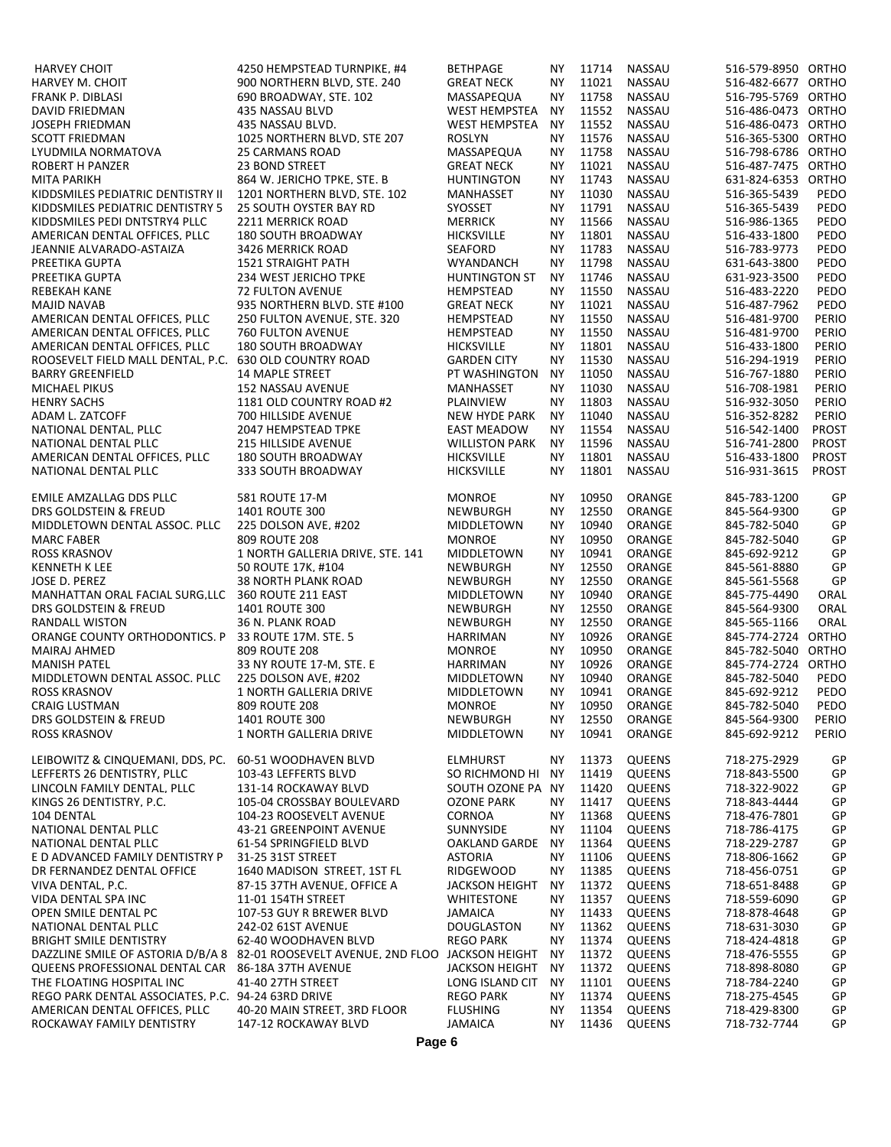| <b>HARVEY CHOIT</b>                                                | 4250 HEMPSTEAD TURNPIKE, #4                                                       | <b>BETHPAGE</b>                        | NY.                    | 11714          | NASSAU                         | 516-579-8950 ORTHO                       |                       |
|--------------------------------------------------------------------|-----------------------------------------------------------------------------------|----------------------------------------|------------------------|----------------|--------------------------------|------------------------------------------|-----------------------|
| <b>HARVEY M. CHOIT</b>                                             | 900 NORTHERN BLVD, STE. 240                                                       | <b>GREAT NECK</b>                      | NΥ                     | 11021          | <b>NASSAU</b>                  | 516-482-6677 ORTHO                       |                       |
| FRANK P. DIBLASI                                                   | 690 BROADWAY, STE. 102                                                            | MASSAPEQUA                             | <b>NY</b>              | 11758          | NASSAU                         | 516-795-5769 ORTHO                       |                       |
| <b>DAVID FRIEDMAN</b>                                              | 435 NASSAU BLVD                                                                   | WEST HEMPSTEA                          | NY.                    | 11552          | <b>NASSAU</b>                  | 516-486-0473 ORTHO                       |                       |
| <b>JOSEPH FRIEDMAN</b>                                             | 435 NASSAU BLVD.                                                                  | WEST HEMPSTEA                          | NY.                    | 11552          | NASSAU                         | 516-486-0473 ORTHO                       |                       |
| <b>SCOTT FRIEDMAN</b><br>LYUDMILA NORMATOVA                        | 1025 NORTHERN BLVD. STE 207                                                       | ROSLYN                                 | <b>NY</b><br><b>NY</b> | 11576<br>11758 | NASSAU<br><b>NASSAU</b>        | 516-365-5300 ORTHO<br>516-798-6786 ORTHO |                       |
| ROBERT H PANZER                                                    | <b>25 CARMANS ROAD</b><br><b>23 BOND STREET</b>                                   | MASSAPEQUA<br><b>GREAT NECK</b>        | NΥ                     | 11021          | NASSAU                         | 516-487-7475 ORTHO                       |                       |
| <b>MITA PARIKH</b>                                                 | 864 W. JERICHO TPKE. STE. B                                                       | <b>HUNTINGTON</b>                      | NY.                    | 11743          | <b>NASSAU</b>                  | 631-824-6353 ORTHO                       |                       |
| KIDDSMILES PEDIATRIC DENTISTRY II                                  | 1201 NORTHERN BLVD, STE. 102                                                      | MANHASSET                              | <b>NY</b>              | 11030          | NASSAU                         | 516-365-5439                             | PEDO                  |
| KIDDSMILES PEDIATRIC DENTISTRY 5                                   | <b>25 SOUTH OYSTER BAY RD</b>                                                     | SYOSSET                                | NY.                    | 11791          | <b>NASSAU</b>                  | 516-365-5439                             | PEDO                  |
| KIDDSMILES PEDI DNTSTRY4 PLLC                                      | 2211 MERRICK ROAD                                                                 | <b>MERRICK</b>                         | NY.                    | 11566          | NASSAU                         | 516-986-1365                             | PEDO                  |
| AMERICAN DENTAL OFFICES, PLLC                                      | <b>180 SOUTH BROADWAY</b>                                                         | <b>HICKSVILLE</b>                      | NΥ                     | 11801          | NASSAU                         | 516-433-1800                             | PEDO                  |
| JEANNIE ALVARADO-ASTAIZA                                           | 3426 MERRICK ROAD                                                                 | <b>SEAFORD</b>                         | <b>NY</b>              | 11783          | NASSAU                         | 516-783-9773                             | PEDO                  |
| PREETIKA GUPTA                                                     | <b>1521 STRAIGHT PATH</b>                                                         | <b>WYANDANCH</b>                       | NY.                    | 11798          | NASSAU                         | 631-643-3800                             | PEDO                  |
| PREETIKA GUPTA                                                     | 234 WEST JERICHO TPKE                                                             | HUNTINGTON ST                          | NY.                    | 11746          | NASSAU                         | 631-923-3500                             | PEDO                  |
| <b>REBEKAH KANE</b><br><b>MAJID NAVAB</b>                          | <b>72 FULTON AVENUE</b><br>935 NORTHERN BLVD. STE #100                            | HEMPSTEAD<br><b>GREAT NECK</b>         | NY.<br><b>NY</b>       | 11550<br>11021 | NASSAU<br>NASSAU               | 516-483-2220<br>516-487-7962             | PEDO<br>PEDO          |
| AMERICAN DENTAL OFFICES, PLLC                                      | 250 FULTON AVENUE, STE. 320                                                       | HEMPSTEAD                              | NY.                    | 11550          | NASSAU                         | 516-481-9700                             | PERIO                 |
| AMERICAN DENTAL OFFICES. PLLC                                      | 760 FULTON AVENUE                                                                 | HEMPSTEAD                              | <b>NY</b>              | 11550          | <b>NASSAU</b>                  | 516-481-9700                             | PERIO                 |
| AMERICAN DENTAL OFFICES. PLLC                                      | <b>180 SOUTH BROADWAY</b>                                                         | <b>HICKSVILLE</b>                      | <b>NY</b>              | 11801          | NASSAU                         | 516-433-1800                             | PERIO                 |
| ROOSEVELT FIELD MALL DENTAL, P.C. 630 OLD COUNTRY ROAD             |                                                                                   | <b>GARDEN CITY</b>                     | NY.                    | 11530          | NASSAU                         | 516-294-1919                             | PERIO                 |
| <b>BARRY GREENFIELD</b>                                            | <b>14 MAPLE STREET</b>                                                            | PT WASHINGTON                          | <b>NY</b>              | 11050          | NASSAU                         | 516-767-1880                             | PERIO                 |
| MICHAEL PIKUS                                                      | 152 NASSAU AVENUE                                                                 | MANHASSET                              | NY.                    | 11030          | NASSAU                         | 516-708-1981                             | PERIO                 |
| <b>HENRY SACHS</b>                                                 | 1181 OLD COUNTRY ROAD #2                                                          | PLAINVIEW                              | NY.                    | 11803          | NASSAU                         | 516-932-3050                             | PERIO                 |
| ADAM L. ZATCOFF                                                    | 700 HILLSIDE AVENUE                                                               | <b>NEW HYDE PARK</b>                   | <b>NY</b>              | 11040          | NASSAU                         | 516-352-8282                             | PERIO                 |
| NATIONAL DENTAL, PLLC                                              | 2047 HEMPSTEAD TPKE                                                               | <b>EAST MEADOW</b>                     | NY.                    | 11554          | <b>NASSAU</b>                  | 516-542-1400                             | PROST                 |
| NATIONAL DENTAL PLLC                                               | <b>215 HILLSIDE AVENUE</b>                                                        | <b>WILLISTON PARK</b>                  | <b>NY</b>              | 11596          | NASSAU                         | 516-741-2800                             | PROST<br><b>PROST</b> |
| AMERICAN DENTAL OFFICES, PLLC<br>NATIONAL DENTAL PLLC              | 180 SOUTH BROADWAY<br>333 SOUTH BROADWAY                                          | <b>HICKSVILLE</b><br><b>HICKSVILLE</b> | NΥ<br>NY.              | 11801<br>11801 | NASSAU<br>NASSAU               | 516-433-1800<br>516-931-3615             | PROST                 |
|                                                                    |                                                                                   |                                        |                        |                |                                |                                          |                       |
| EMILE AMZALLAG DDS PLLC                                            | 581 ROUTE 17-M                                                                    | <b>MONROE</b>                          | <b>NY</b>              | 10950          | ORANGE                         | 845-783-1200                             | GP                    |
| DRS GOLDSTEIN & FREUD                                              | 1401 ROUTE 300                                                                    | NEWBURGH                               | NY.                    | 12550          | ORANGE                         | 845-564-9300                             | GP                    |
| MIDDLETOWN DENTAL ASSOC. PLLC                                      | 225 DOLSON AVE. #202                                                              | MIDDLETOWN                             | NΥ                     | 10940          | ORANGE                         | 845-782-5040                             | GP                    |
| <b>MARC FABER</b>                                                  | 809 ROUTE 208                                                                     | <b>MONROE</b>                          | NY.                    | 10950          | ORANGE                         | 845-782-5040                             | GP                    |
| <b>ROSS KRASNOV</b>                                                | 1 NORTH GALLERIA DRIVE. STE. 141                                                  | MIDDLETOWN                             | <b>NY</b>              | 10941          | ORANGE                         | 845-692-9212                             | GP                    |
| <b>KENNETH K LEE</b>                                               | 50 ROUTE 17K. #104                                                                | NEWBURGH                               | <b>NY</b>              | 12550<br>12550 | ORANGE                         | 845-561-8880                             | GP                    |
| JOSE D. PEREZ<br>MANHATTAN ORAL FACIAL SURG.LLC 360 ROUTE 211 EAST | <b>38 NORTH PLANK ROAD</b>                                                        | NEWBURGH<br>MIDDLETOWN                 | NY.<br><b>NY</b>       | 10940          | ORANGE<br>ORANGE               | 845-561-5568<br>845-775-4490             | GP<br>ORAL            |
| DRS GOLDSTEIN & FREUD                                              | 1401 ROUTE 300                                                                    | NEWBURGH                               | NY.                    | 12550          | ORANGE                         | 845-564-9300                             | ORAL                  |
| <b>RANDALL WISTON</b>                                              | 36 N. PLANK ROAD                                                                  | NEWBURGH                               | NY.                    | 12550          | ORANGE                         | 845-565-1166                             | ORAL                  |
| ORANGE COUNTY ORTHODONTICS, P                                      | 33 ROUTE 17M, STE. 5                                                              | HARRIMAN                               | NY.                    | 10926          | ORANGE                         | 845-774-2724 ORTHO                       |                       |
| MAIRAJ AHMED                                                       | 809 ROUTE 208                                                                     | <b>MONROE</b>                          | NY.                    | 10950          | ORANGE                         | 845-782-5040 ORTHO                       |                       |
| <b>MANISH PATEL</b>                                                | 33 NY ROUTE 17-M. STE. E                                                          | HARRIMAN                               | <b>NY</b>              | 10926          | ORANGE                         | 845-774-2724 ORTHO                       |                       |
| MIDDLETOWN DENTAL ASSOC. PLLC                                      | 225 DOLSON AVE, #202                                                              | MIDDLETOWN                             | NY.                    | 10940          | ORANGE                         | 845-782-5040                             | PEDO                  |
| <b>ROSS KRASNOV</b>                                                | 1 NORTH GALLERIA DRIVE                                                            | MIDDLETOWN                             | NY.                    | 10941          | ORANGE                         | 845-692-9212                             | PEDO                  |
| CRAIG LUSTMAN                                                      | 809 ROUTE 208                                                                     | <b>MONROE</b>                          | ΝY                     | 10950          | ORANGE                         | 845-782-5040                             | PEDO                  |
| DRS GOLDSTEIN & FREUD<br><b>ROSS KRASNOV</b>                       | <b>1401 ROUTE 300</b><br>1 NORTH GALLERIA DRIVE                                   | <b>NEWBURGH</b><br>MIDDLETOWN          | NY.<br>NY.             | 12550<br>10941 | ORANGE<br>ORANGE               | 845-564-9300<br>845-692-9212             | PERIO<br>PERIO        |
|                                                                    |                                                                                   |                                        |                        |                |                                |                                          |                       |
| LEIBOWITZ & CINQUEMANI. DDS. PC.                                   | 60-51 WOODHAVEN BLVD                                                              | <b>ELMHURST</b>                        | ΝY                     | 11373          | <b>QUEENS</b>                  | 718-275-2929                             | GP                    |
| LEFFERTS 26 DENTISTRY. PLLC                                        | 103-43 LEFFERTS BLVD                                                              | SO RICHMOND HI                         | NY.                    | 11419          | <b>QUEENS</b>                  | 718-843-5500                             | GP                    |
| LINCOLN FAMILY DENTAL. PLLC                                        | 131-14 ROCKAWAY BLVD                                                              | SOUTH OZONE PA NY                      |                        | 11420          | <b>QUEENS</b>                  | 718-322-9022                             | GP                    |
| KINGS 26 DENTISTRY. P.C.                                           | 105-04 CROSSBAY BOULEVARD                                                         | <b>OZONE PARK</b>                      | NY.                    | 11417          | <b>QUEENS</b>                  | 718-843-4444                             | GP                    |
| 104 DENTAL                                                         | 104-23 ROOSEVELT AVENUE                                                           | CORNOA                                 | ΝY                     | 11368          | <b>QUEENS</b>                  | 718-476-7801                             | GP                    |
| NATIONAL DENTAL PLLC                                               | 43-21 GREENPOINT AVENUE                                                           | SUNNYSIDE                              | ΝY                     | 11104          | QUEENS                         | 718-786-4175                             | GP                    |
| NATIONAL DENTAL PLLC                                               | 61-54 SPRINGFIELD BLVD<br>31-25 31ST STREET                                       | OAKLAND GARDE                          | <b>NY</b>              | 11364<br>11106 | <b>QUEENS</b><br>QUEENS        | 718-229-2787<br>718-806-1662             | GP<br>GP              |
| E D ADVANCED FAMILY DENTISTRY P<br>DR FERNANDEZ DENTAL OFFICE      | 1640 MADISON STREET, 1ST FL                                                       | <b>ASTORIA</b><br><b>RIDGEWOOD</b>     | ΝY<br>NY.              | 11385          | QUEENS                         | 718-456-0751                             | GP                    |
| VIVA DENTAL, P.C.                                                  | 87-15 37TH AVENUE, OFFICE A                                                       | <b>JACKSON HEIGHT</b>                  | ΝY                     | 11372          | QUEENS                         | 718-651-8488                             | GP                    |
| VIDA DENTAL SPA INC                                                | 11-01 154TH STREET                                                                | <b>WHITESTONE</b>                      | NΥ                     | 11357          | QUEENS                         | 718-559-6090                             | GP                    |
| OPEN SMILE DENTAL PC                                               | 107-53 GUY R BREWER BLVD                                                          | <b>JAMAICA</b>                         | NY.                    | 11433          | QUEENS                         | 718-878-4648                             | GP                    |
| NATIONAL DENTAL PLLC                                               | 242-02 61ST AVENUE                                                                | <b>DOUGLASTON</b>                      | ΝY                     | 11362          | <b>QUEENS</b>                  | 718-631-3030                             | GP                    |
| <b>BRIGHT SMILE DENTISTRY</b>                                      | 62-40 WOODHAVEN BLVD                                                              | <b>REGO PARK</b>                       | ΝY                     | 11374          | QUEENS                         | 718-424-4818                             | GP                    |
|                                                                    | DAZZLINE SMILE OF ASTORIA D/B/A 8 82-01 ROOSEVELT AVENUE, 2ND FLOO JACKSON HEIGHT |                                        | ΝY                     | 11372          | QUEENS                         | 718-476-5555                             | GP                    |
| QUEENS PROFESSIONAL DENTAL CAR 86-18A 37TH AVENUE                  |                                                                                   | <b>JACKSON HEIGHT</b>                  | NY.                    | 11372          | QUEENS                         | 718-898-8080                             | GP                    |
| THE FLOATING HOSPITAL INC                                          | 41-40 27TH STREET                                                                 | LONG ISLAND CIT                        | <b>NY</b>              | 11101          | <b>QUEENS</b>                  | 718-784-2240                             | GP                    |
| REGO PARK DENTAL ASSOCIATES. P.C. 94-24 63RD DRIVE                 |                                                                                   | <b>REGO PARK</b>                       | ΝY                     | 11374          | <b>QUEENS</b>                  | 718-275-4545                             | GP                    |
| AMERICAN DENTAL OFFICES. PLLC<br>ROCKAWAY FAMILY DENTISTRY         | 40-20 MAIN STREET. 3RD FLOOR<br>147-12 ROCKAWAY BLVD                              | <b>FLUSHING</b><br><b>JAMAICA</b>      | NΥ<br>NY.              | 11354<br>11436 | <b>QUEENS</b><br><b>QUEENS</b> | 718-429-8300<br>718-732-7744             | GP<br>GP              |
|                                                                    |                                                                                   |                                        |                        |                |                                |                                          |                       |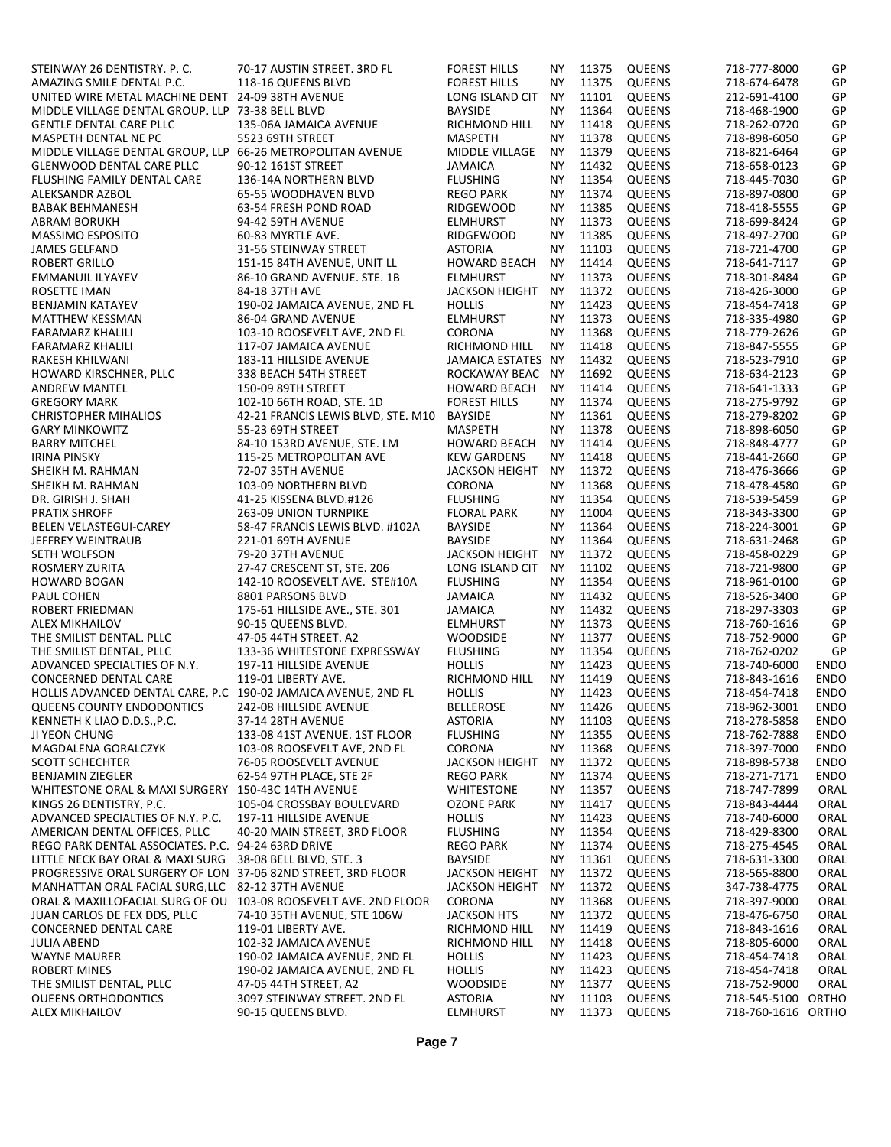| STEINWAY 26 DENTISTRY, P.C.                                     | 70-17 AUSTIN STREET, 3RD FL        | <b>FOREST HILLS</b>               | ΝY        | 11375 | <b>QUEENS</b> | 718-777-8000       | GP          |
|-----------------------------------------------------------------|------------------------------------|-----------------------------------|-----------|-------|---------------|--------------------|-------------|
| AMAZING SMILE DENTAL P.C.                                       | 118-16 QUEENS BLVD                 | <b>FOREST HILLS</b>               | <b>NY</b> | 11375 | <b>QUEENS</b> | 718-674-6478       | GP          |
| UNITED WIRE METAL MACHINE DENT 24-09 38TH AVENUE                |                                    | LONG ISLAND CIT                   | <b>NY</b> | 11101 | <b>QUEENS</b> | 212-691-4100       | GP          |
| MIDDLE VILLAGE DENTAL GROUP. LLP 73-38 BELL BLVD                |                                    | <b>BAYSIDE</b>                    | <b>NY</b> | 11364 | <b>QUEENS</b> | 718-468-1900       | GP          |
| <b>GENTLE DENTAL CARE PLLC</b>                                  | 135-06A JAMAICA AVENUE             | RICHMOND HILL                     | <b>NY</b> | 11418 | <b>QUEENS</b> | 718-262-0720       | GP          |
| MASPETH DENTAL NE PC                                            | 5523 69TH STREET                   | <b>MASPETH</b>                    | <b>NY</b> | 11378 | <b>QUEENS</b> | 718-898-6050       | GP          |
| MIDDLE VILLAGE DENTAL GROUP. LLP 66-26 METROPOLITAN AVENUE      |                                    | MIDDLE VILLAGE                    | <b>NY</b> | 11379 | <b>QUEENS</b> | 718-821-6464       | GP          |
| <b>GLENWOOD DENTAL CARE PLLC</b>                                | 90-12 161ST STREET                 | <b>JAMAICA</b>                    | <b>NY</b> | 11432 | <b>QUEENS</b> | 718-658-0123       | GP          |
| FLUSHING FAMILY DENTAL CARE                                     | 136-14A NORTHERN BLVD              | <b>FLUSHING</b>                   | <b>NY</b> | 11354 | <b>QUEENS</b> | 718-445-7030       | GP          |
| ALEKSANDR AZBOL                                                 | 65-55 WOODHAVEN BLVD               | <b>REGO PARK</b>                  | <b>NY</b> | 11374 | <b>QUEENS</b> | 718-897-0800       | GP          |
| <b>BABAK BEHMANESH</b>                                          | 63-54 FRESH POND ROAD              | <b>RIDGEWOOD</b>                  | <b>NY</b> | 11385 | <b>QUEENS</b> | 718-418-5555       | GP          |
| <b>ABRAM BORUKH</b>                                             | 94-42 59TH AVENUE                  | <b>ELMHURST</b>                   | ΝY        | 11373 | <b>QUEENS</b> | 718-699-8424       | GP          |
| MASSIMO ESPOSITO                                                | 60-83 MYRTLE AVE.                  | <b>RIDGEWOOD</b>                  | <b>NY</b> | 11385 | <b>QUEENS</b> | 718-497-2700       | GP          |
| <b>JAMES GELFAND</b>                                            | 31-56 STEINWAY STREET              | <b>ASTORIA</b>                    | ΝY        | 11103 | <b>QUEENS</b> | 718-721-4700       | GP          |
| <b>ROBERT GRILLO</b>                                            | 151-15 84TH AVENUE, UNIT LL        | <b>HOWARD BEACH</b>               | <b>NY</b> | 11414 | <b>QUEENS</b> | 718-641-7117       | GP          |
|                                                                 |                                    |                                   | <b>NY</b> | 11373 |               |                    |             |
| EMMANUIL ILYAYEV                                                | 86-10 GRAND AVENUE, STE. 1B        | <b>ELMHURST</b>                   |           |       | <b>QUEENS</b> | 718-301-8484       | GP          |
| ROSETTE IMAN                                                    | 84-18 37TH AVE                     | <b>JACKSON HEIGHT</b>             | <b>NY</b> | 11372 | <b>QUEENS</b> | 718-426-3000       | GP          |
| <b>BENJAMIN KATAYEV</b>                                         | 190-02 JAMAICA AVENUE, 2ND FL      | <b>HOLLIS</b>                     | <b>NY</b> | 11423 | <b>QUEENS</b> | 718-454-7418       | GP          |
| <b>MATTHEW KESSMAN</b>                                          | 86-04 GRAND AVENUE                 | <b>ELMHURST</b>                   | <b>NY</b> | 11373 | <b>QUEENS</b> | 718-335-4980       | GP          |
| <b>FARAMARZ KHALILI</b>                                         | 103-10 ROOSEVELT AVE. 2ND FL       | CORONA                            | <b>NY</b> | 11368 | <b>QUEENS</b> | 718-779-2626       | GP          |
| <b>FARAMARZ KHALILI</b>                                         | 117-07 JAMAICA AVENUE              | RICHMOND HILL                     | <b>NY</b> | 11418 | <b>QUEENS</b> | 718-847-5555       | GP          |
| RAKESH KHILWANI                                                 | 183-11 HILLSIDE AVENUE             | JAMAICA ESTATES NY                |           | 11432 | <b>QUEENS</b> | 718-523-7910       | GP          |
| HOWARD KIRSCHNER. PLLC                                          | 338 BEACH 54TH STREET              | ROCKAWAY BEAC NY                  |           | 11692 | <b>QUEENS</b> | 718-634-2123       | GP          |
| <b>ANDREW MANTEL</b>                                            | 150-09 89TH STREET                 | <b>HOWARD BEACH</b>               | <b>NY</b> | 11414 | <b>QUEENS</b> | 718-641-1333       | GP          |
| <b>GREGORY MARK</b>                                             | 102-10 66TH ROAD, STE, 1D          | <b>FOREST HILLS</b>               | <b>NY</b> | 11374 | <b>QUEENS</b> | 718-275-9792       | GP          |
| <b>CHRISTOPHER MIHALIOS</b>                                     | 42-21 FRANCIS LEWIS BLVD, STE. M10 | <b>BAYSIDE</b>                    | <b>NY</b> | 11361 | <b>QUEENS</b> | 718-279-8202       | GP          |
| <b>GARY MINKOWITZ</b>                                           | 55-23 69TH STREET                  | <b>MASPETH</b>                    | <b>NY</b> | 11378 | <b>QUEENS</b> | 718-898-6050       | GP          |
| <b>BARRY MITCHEL</b>                                            | 84-10 153RD AVENUE, STE. LM        | <b>HOWARD BEACH</b>               | <b>NY</b> | 11414 | <b>QUEENS</b> | 718-848-4777       | GP          |
| <b>IRINA PINSKY</b>                                             | 115-25 METROPOLITAN AVE            | <b>KEW GARDENS</b>                | ΝY        | 11418 | <b>QUEENS</b> | 718-441-2660       | GP          |
| SHEIKH M. RAHMAN                                                | 72-07 35TH AVENUE                  | <b>JACKSON HEIGHT</b>             | <b>NY</b> | 11372 | <b>QUEENS</b> | 718-476-3666       | GP          |
| SHEIKH M. RAHMAN                                                | 103-09 NORTHERN BLVD               | CORONA                            | <b>NY</b> | 11368 | <b>QUEENS</b> | 718-478-4580       | GP          |
| DR. GIRISH J. SHAH                                              | 41-25 KISSENA BLVD.#126            | <b>FLUSHING</b>                   | <b>NY</b> | 11354 | <b>QUEENS</b> | 718-539-5459       | GP          |
| <b>PRATIX SHROFF</b>                                            | <b>263-09 UNION TURNPIKE</b>       | <b>FLORAL PARK</b>                | <b>NY</b> | 11004 | <b>QUEENS</b> | 718-343-3300       | GP          |
| <b>BELEN VELASTEGUI-CAREY</b>                                   | 58-47 FRANCIS LEWIS BLVD, #102A    | <b>BAYSIDE</b>                    | <b>NY</b> | 11364 | <b>QUEENS</b> | 718-224-3001       | GP          |
| JEFFREY WEINTRAUB                                               | 221-01 69TH AVENUE                 | <b>BAYSIDE</b>                    | <b>NY</b> | 11364 | <b>QUEENS</b> | 718-631-2468       | GP          |
| SETH WOLFSON                                                    | 79-20 37TH AVENUE                  | <b>JACKSON HEIGHT</b>             | <b>NY</b> | 11372 | <b>QUEENS</b> | 718-458-0229       | GP          |
| ROSMERY ZURITA                                                  | 27-47 CRESCENT ST. STE. 206        | LONG ISLAND CIT                   | <b>NY</b> | 11102 | <b>QUEENS</b> | 718-721-9800       | GP          |
| <b>HOWARD BOGAN</b>                                             | 142-10 ROOSEVELT AVE. STE#10A      | <b>FLUSHING</b>                   | <b>NY</b> | 11354 | <b>QUEENS</b> | 718-961-0100       | GP          |
|                                                                 |                                    |                                   | <b>NY</b> | 11432 | <b>QUEENS</b> |                    | GP          |
| PAUL COHEN                                                      | 8801 PARSONS BLVD                  | <b>JAMAICA</b>                    |           | 11432 |               | 718-526-3400       |             |
| ROBERT FRIEDMAN                                                 | 175-61 HILLSIDE AVE STE. 301       | <b>JAMAICA</b><br><b>ELMHURST</b> | <b>NY</b> | 11373 | QUEENS        | 718-297-3303       | GP          |
| <b>ALEX MIKHAILOV</b>                                           | 90-15 QUEENS BLVD.                 |                                   | ΝY        |       | <b>QUEENS</b> | 718-760-1616       | GP          |
| THE SMILIST DENTAL, PLLC                                        | 47-05 44TH STREET, A2              | <b>WOODSIDE</b>                   | <b>NY</b> | 11377 | <b>QUEENS</b> | 718-752-9000       | GP          |
| THE SMILIST DENTAL. PLLC                                        | 133-36 WHITESTONE EXPRESSWAY       | <b>FLUSHING</b>                   | <b>NY</b> | 11354 | <b>QUEENS</b> | 718-762-0202       | GP          |
| ADVANCED SPECIALTIES OF N.Y.                                    | 197-11 HILLSIDE AVENUE             | <b>HOLLIS</b>                     | <b>NY</b> | 11423 | <b>QUEENS</b> | 718-740-6000       | ENDO        |
| <b>CONCERNED DENTAL CARE</b>                                    | 119-01 LIBERTY AVE.                | RICHMOND HILL                     | ΝY        | 11419 | <b>QUEENS</b> | 718-843-1616       | <b>ENDO</b> |
| HOLLIS ADVANCED DENTAL CARE, P.C 190-02 JAMAICA AVENUE, 2ND FL  |                                    | <b>HOLLIS</b>                     | <b>NY</b> | 11423 | <b>QUEENS</b> | 718-454-7418       | <b>ENDO</b> |
| QUEENS COUNTY ENDODONTICS                                       | 242-08 HILLSIDE AVENUE             | BELLEROSE                         | <b>NY</b> | 11426 | <b>QUEENS</b> | 718-962-3001       | <b>ENDO</b> |
| KENNETH K LIAO D.D.S., P.C.                                     | 37-14 28TH AVENUE                  | <b>ASTORIA</b>                    | ΝY        | 11103 | <b>QUEENS</b> | 718-278-5858       | <b>ENDO</b> |
| JI YEON CHUNG                                                   | 133-08 41ST AVENUE. 1ST FLOOR      | <b>FLUSHING</b>                   | <b>NY</b> | 11355 | <b>QUEENS</b> | 718-762-7888       | <b>ENDO</b> |
| MAGDALENA GORALCZYK                                             | 103-08 ROOSEVELT AVE, 2ND FL       | <b>CORONA</b>                     | ΝY        | 11368 | <b>QUEENS</b> | 718-397-7000       | <b>ENDO</b> |
| <b>SCOTT SCHECHTER</b>                                          | 76-05 ROOSEVELT AVENUE             | <b>JACKSON HEIGHT</b>             | ΝY        | 11372 | <b>QUEENS</b> | 718-898-5738       | <b>ENDO</b> |
| <b>BENJAMIN ZIEGLER</b>                                         | 62-54 97TH PLACE. STE 2F           | <b>REGO PARK</b>                  | ΝY        | 11374 | <b>QUEENS</b> | 718-271-7171       | <b>ENDO</b> |
| WHITESTONE ORAL & MAXI SURGERY 150-43C 14TH AVENUE              |                                    | <b>WHITESTONE</b>                 | <b>NY</b> | 11357 | <b>QUEENS</b> | 718-747-7899       | ORAL        |
| KINGS 26 DENTISTRY, P.C.                                        | 105-04 CROSSBAY BOULEVARD          | OZONE PARK                        | ΝY        | 11417 | <b>QUEENS</b> | 718-843-4444       | ORAL        |
| ADVANCED SPECIALTIES OF N.Y. P.C.                               | 197-11 HILLSIDE AVENUE             | <b>HOLLIS</b>                     | <b>NY</b> | 11423 | <b>QUEENS</b> | 718-740-6000       | ORAL        |
| AMERICAN DENTAL OFFICES. PLLC                                   | 40-20 MAIN STREET. 3RD FLOOR       | <b>FLUSHING</b>                   | ΝY        | 11354 | <b>QUEENS</b> | 718-429-8300       | ORAL        |
| REGO PARK DENTAL ASSOCIATES, P.C. 94-24 63RD DRIVE              |                                    | <b>REGO PARK</b>                  | ΝY        | 11374 | <b>QUEENS</b> | 718-275-4545       | ORAL        |
| LITTLE NECK BAY ORAL & MAXI SURG 38-08 BELL BLVD, STE. 3        |                                    | <b>BAYSIDE</b>                    | <b>NY</b> | 11361 | QUEENS        | 718-631-3300       | ORAL        |
| PROGRESSIVE ORAL SURGERY OF LON 37-06 82ND STREET. 3RD FLOOR    |                                    | <b>JACKSON HEIGHT</b>             | ΝY        | 11372 | <b>QUEENS</b> | 718-565-8800       | ORAL        |
| MANHATTAN ORAL FACIAL SURG, LLC 82-12 37TH AVENUE               |                                    | <b>JACKSON HEIGHT</b>             | ΝY        | 11372 | <b>QUEENS</b> | 347-738-4775       | ORAL        |
| ORAL & MAXILLOFACIAL SURG OF QU 103-08 ROOSEVELT AVE, 2ND FLOOR |                                    | <b>CORONA</b>                     | ΝY        | 11368 | <b>QUEENS</b> | 718-397-9000       | ORAL        |
| JUAN CARLOS DE FEX DDS, PLLC                                    | 74-10 35TH AVENUE, STE 106W        | <b>JACKSON HTS</b>                | ΝY        | 11372 | <b>QUEENS</b> | 718-476-6750       | ORAL        |
| <b>CONCERNED DENTAL CARE</b>                                    | 119-01 LIBERTY AVE.                | RICHMOND HILL                     | ΝY        | 11419 | <b>QUEENS</b> | 718-843-1616       | ORAL        |
| <b>JULIA ABEND</b>                                              | 102-32 JAMAICA AVENUE              | RICHMOND HILL                     | ΝY        | 11418 | <b>QUEENS</b> | 718-805-6000       | ORAL        |
| <b>WAYNE MAURER</b>                                             | 190-02 JAMAICA AVENUE. 2ND FL      | <b>HOLLIS</b>                     | ΝY        | 11423 | <b>QUEENS</b> | 718-454-7418       | ORAL        |
| <b>ROBERT MINES</b>                                             | 190-02 JAMAICA AVENUE, 2ND FL      | <b>HOLLIS</b>                     | <b>NY</b> | 11423 | <b>QUEENS</b> | 718-454-7418       | ORAL        |
|                                                                 |                                    |                                   |           |       |               |                    |             |
| THE SMILIST DENTAL. PLLC                                        | 47-05 44TH STREET. A2              | <b>WOODSIDE</b>                   | ΝY        | 11377 | <b>QUEENS</b> | 718-752-9000       | ORAL        |
| QUEENS ORTHODONTICS                                             | 3097 STEINWAY STREET. 2ND FL       | <b>ASTORIA</b>                    | NΥ        | 11103 | <b>QUEENS</b> | 718-545-5100 ORTHO |             |
| <b>ALEX MIKHAILOV</b>                                           | 90-15 QUEENS BLVD.                 | <b>ELMHURST</b>                   | NY.       | 11373 | <b>QUEENS</b> | 718-760-1616 ORTHO |             |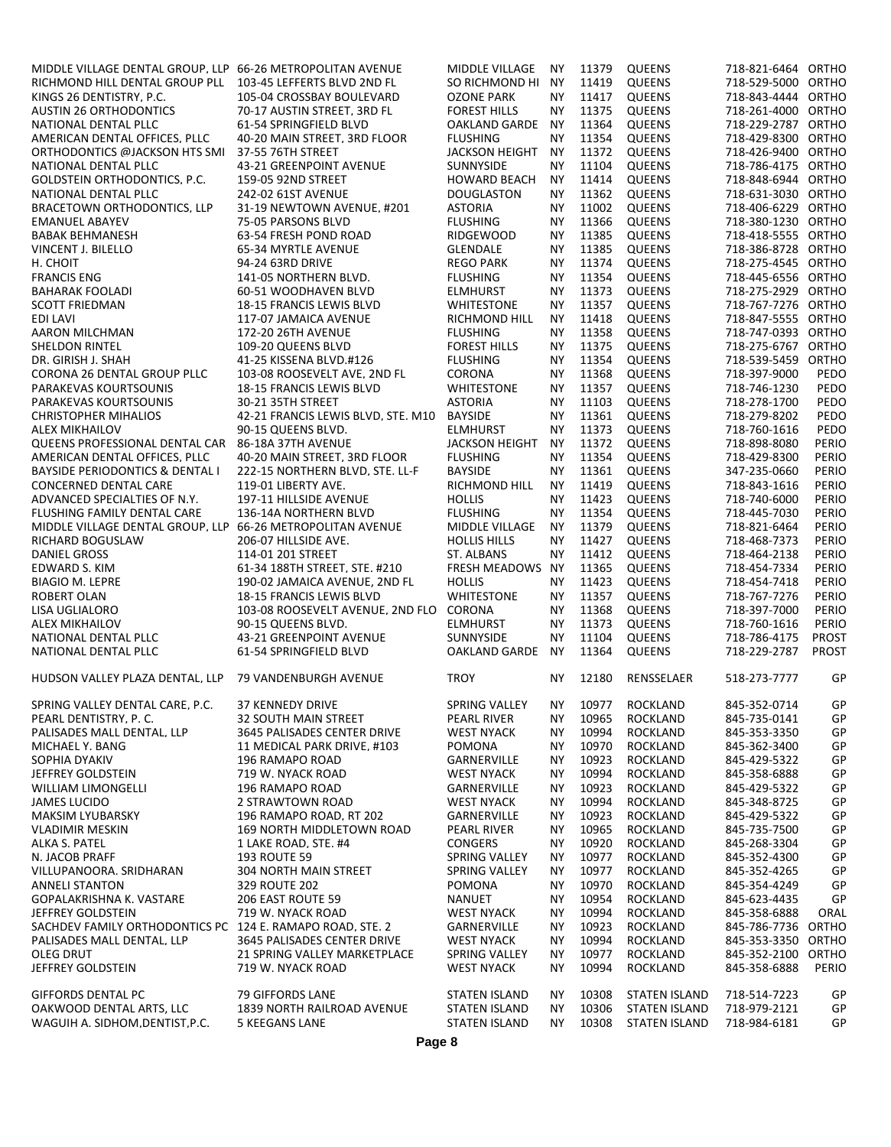| MIDDLE VILLAGE DENTAL GROUP, LLP 66-26 METROPOLITAN AVENUE  |                                                     | <b>MIDDLE VILLAGE</b>                        | <b>NY</b> | 11379          | <b>QUEENS</b>                         | 718-821-6464 ORTHO           |              |
|-------------------------------------------------------------|-----------------------------------------------------|----------------------------------------------|-----------|----------------|---------------------------------------|------------------------------|--------------|
| RICHMOND HILL DENTAL GROUP PLL                              | 103-45 LEFFERTS BLVD 2ND FL                         | SO RICHMOND HI NY                            |           | 11419          | <b>QUEENS</b>                         | 718-529-5000 ORTHO           |              |
|                                                             |                                                     |                                              |           |                |                                       |                              |              |
| KINGS 26 DENTISTRY, P.C.                                    | 105-04 CROSSBAY BOULEVARD                           | <b>OZONE PARK</b>                            | <b>NY</b> | 11417          | <b>QUEENS</b>                         | 718-843-4444 ORTHO           |              |
| <b>AUSTIN 26 ORTHODONTICS</b>                               | 70-17 AUSTIN STREET. 3RD FL                         | <b>FOREST HILLS</b>                          | NY        | 11375          | <b>QUEENS</b>                         | 718-261-4000 ORTHO           |              |
| NATIONAL DENTAL PLLC                                        | 61-54 SPRINGFIELD BLVD                              | OAKLAND GARDE                                | <b>NY</b> | 11364          | <b>QUEENS</b>                         | 718-229-2787 ORTHO           |              |
| AMERICAN DENTAL OFFICES. PLLC                               | 40-20 MAIN STREET. 3RD FLOOR                        | <b>FLUSHING</b>                              | <b>NY</b> | 11354          | <b>QUEENS</b>                         | 718-429-8300 ORTHO           |              |
| ORTHODONTICS @JACKSON HTS SMI                               | 37-55 76TH STREET                                   | <b>JACKSON HEIGHT</b>                        | <b>NY</b> | 11372          | <b>QUEENS</b>                         | 718-426-9400 ORTHO           |              |
|                                                             |                                                     |                                              |           |                |                                       |                              |              |
| NATIONAL DENTAL PLLC                                        | 43-21 GREENPOINT AVENUE                             | <b>SUNNYSIDE</b>                             | NΥ        | 11104          | <b>QUEENS</b>                         | 718-786-4175 ORTHO           |              |
| GOLDSTEIN ORTHODONTICS. P.C.                                | 159-05 92ND STREET                                  | <b>HOWARD BEACH</b>                          | <b>NY</b> | 11414          | <b>QUEENS</b>                         | 718-848-6944 ORTHO           |              |
| NATIONAL DENTAL PLLC                                        | 242-02 61ST AVENUE                                  | <b>DOUGLASTON</b>                            | <b>NY</b> | 11362          | <b>QUEENS</b>                         | 718-631-3030 ORTHO           |              |
| BRACETOWN ORTHODONTICS. LLP                                 | 31-19 NEWTOWN AVENUE. #201                          | <b>ASTORIA</b>                               | <b>NY</b> | 11002          | <b>QUEENS</b>                         | 718-406-6229 ORTHO           |              |
| <b>EMANUEL ABAYEV</b>                                       | 75-05 PARSONS BLVD                                  | <b>FLUSHING</b>                              | <b>NY</b> | 11366          | <b>QUEENS</b>                         | 718-380-1230 ORTHO           |              |
|                                                             |                                                     |                                              |           |                |                                       |                              |              |
| <b>BABAK BEHMANESH</b>                                      | 63-54 FRESH POND ROAD                               | <b>RIDGEWOOD</b>                             | NY.       | 11385          | <b>QUEENS</b>                         | 718-418-5555 ORTHO           |              |
| <b>VINCENT J. BILELLO</b>                                   | 65-34 MYRTLE AVENUE                                 | <b>GLENDALE</b>                              | <b>NY</b> | 11385          | <b>QUEENS</b>                         | 718-386-8728 ORTHO           |              |
| H. CHOIT                                                    | 94-24 63RD DRIVE                                    | <b>REGO PARK</b>                             | NY.       | 11374          | <b>QUEENS</b>                         | 718-275-4545 ORTHO           |              |
| <b>FRANCIS ENG</b>                                          | 141-05 NORTHERN BLVD.                               | <b>FLUSHING</b>                              | <b>NY</b> | 11354          | <b>QUEENS</b>                         | 718-445-6556 ORTHO           |              |
|                                                             |                                                     |                                              | <b>NY</b> | 11373          | <b>QUEENS</b>                         | 718-275-2929 ORTHO           |              |
| <b>BAHARAK FOOLADI</b>                                      | 60-51 WOODHAVEN BLVD                                | <b>ELMHURST</b>                              |           |                |                                       |                              |              |
| <b>SCOTT FRIEDMAN</b>                                       | 18-15 FRANCIS LEWIS BLVD                            | <b>WHITESTONE</b>                            | <b>NY</b> | 11357          | <b>QUEENS</b>                         | 718-767-7276 ORTHO           |              |
| EDI LAVI                                                    | 117-07 JAMAICA AVENUE                               | RICHMOND HILL                                | NY.       | 11418          | <b>QUEENS</b>                         | 718-847-5555 ORTHO           |              |
| AARON MILCHMAN                                              | 172-20 26TH AVENUE                                  | <b>FLUSHING</b>                              | <b>NY</b> | 11358          | <b>QUEENS</b>                         | 718-747-0393 ORTHO           |              |
| <b>SHELDON RINTEL</b>                                       | 109-20 QUEENS BLVD                                  | <b>FOREST HILLS</b>                          | <b>NY</b> | 11375          | <b>QUEENS</b>                         | 718-275-6767 ORTHO           |              |
|                                                             |                                                     |                                              |           |                |                                       |                              |              |
| DR. GIRISH J. SHAH                                          | 41-25 KISSENA BLVD.#126                             | <b>FLUSHING</b>                              | <b>NY</b> | 11354          | <b>QUEENS</b>                         | 718-539-5459 ORTHO           |              |
| CORONA 26 DENTAL GROUP PLLC                                 | 103-08 ROOSEVELT AVE. 2ND FL                        | <b>CORONA</b>                                | <b>NY</b> | 11368          | <b>QUEENS</b>                         | 718-397-9000                 | PEDO         |
| PARAKEVAS KOURTSOUNIS                                       | 18-15 FRANCIS LEWIS BLVD                            | <b>WHITESTONE</b>                            | NY.       | 11357          | <b>QUEENS</b>                         | 718-746-1230                 | PEDO         |
| PARAKEVAS KOURTSOUNIS                                       | 30-21 35TH STREET                                   | <b>ASTORIA</b>                               | <b>NY</b> | 11103          | <b>QUEENS</b>                         | 718-278-1700                 | PEDO         |
| <b>CHRISTOPHER MIHALIOS</b>                                 | 42-21 FRANCIS LEWIS BLVD, STE, M10                  | <b>BAYSIDE</b>                               | <b>NY</b> | 11361          | <b>QUEENS</b>                         | 718-279-8202                 | PEDO         |
|                                                             |                                                     |                                              |           |                |                                       |                              |              |
| <b>ALEX MIKHAILOV</b>                                       | 90-15 QUEENS BLVD.                                  | <b>ELMHURST</b>                              | NY.       | 11373          | <b>QUEENS</b>                         | 718-760-1616                 | PEDO         |
| QUEENS PROFESSIONAL DENTAL CAR 86-18A 37TH AVENUE           |                                                     | <b>JACKSON HEIGHT</b>                        | <b>NY</b> | 11372          | <b>QUEENS</b>                         | 718-898-8080                 | PERIO        |
| AMERICAN DENTAL OFFICES. PLLC                               | 40-20 MAIN STREET, 3RD FLOOR                        | <b>FLUSHING</b>                              | NΥ        | 11354          | QUEENS                                | 718-429-8300                 | PERIO        |
| <b>BAYSIDE PERIODONTICS &amp; DENTAL I</b>                  | 222-15 NORTHERN BLVD, STE. LL-F                     | <b>BAYSIDE</b>                               | <b>NY</b> | 11361          | <b>QUEENS</b>                         | 347-235-0660                 | PERIO        |
|                                                             |                                                     |                                              |           |                |                                       |                              |              |
| <b>CONCERNED DENTAL CARE</b>                                | 119-01 LIBERTY AVE.                                 | RICHMOND HILL                                | <b>NY</b> | 11419          | <b>QUEENS</b>                         | 718-843-1616                 | PERIO        |
| ADVANCED SPECIALTIES OF N.Y.                                | 197-11 HILLSIDE AVENUE                              | <b>HOLLIS</b>                                | <b>NY</b> | 11423          | <b>QUEENS</b>                         | 718-740-6000                 | PERIO        |
| FLUSHING FAMILY DENTAL CARE                                 | 136-14A NORTHERN BLVD                               | <b>FLUSHING</b>                              | <b>NY</b> | 11354          | <b>QUEENS</b>                         | 718-445-7030                 | PERIO        |
| MIDDLE VILLAGE DENTAL GROUP, LLP 66-26 METROPOLITAN AVENUE  |                                                     | MIDDLE VILLAGE                               | <b>NY</b> | 11379          | <b>QUEENS</b>                         | 718-821-6464                 | PERIO        |
| RICHARD BOGUSLAW                                            | 206-07 HILLSIDE AVE.                                | <b>HOLLIS HILLS</b>                          | <b>NY</b> | 11427          | <b>QUEENS</b>                         | 718-468-7373                 | PERIO        |
|                                                             |                                                     |                                              |           |                |                                       |                              |              |
| DANIEL GROSS                                                | 114-01 201 STREET                                   | ST. ALBANS                                   | <b>NY</b> | 11412          | <b>QUEENS</b>                         | 718-464-2138                 | PERIO        |
| EDWARD S. KIM                                               | 61-34 188TH STREET. STE. #210                       | FRESH MEADOWS NY                             |           | 11365          | <b>QUEENS</b>                         | 718-454-7334                 | PERIO        |
| <b>BIAGIO M. LEPRE</b>                                      | 190-02 JAMAICA AVENUE. 2ND FL                       | <b>HOLLIS</b>                                | <b>NY</b> | 11423          | <b>QUEENS</b>                         | 718-454-7418                 | PERIO        |
| <b>ROBERT OLAN</b>                                          | 18-15 FRANCIS LEWIS BLVD                            | <b>WHITESTONE</b>                            | <b>NY</b> | 11357          | <b>QUEENS</b>                         | 718-767-7276                 | PERIO        |
|                                                             | 103-08 ROOSEVELT AVENUE. 2ND FLO CORONA             |                                              |           | 11368          | <b>QUEENS</b>                         | 718-397-7000                 | PERIO        |
| LISA UGLIALORO                                              |                                                     |                                              | <b>NY</b> |                |                                       |                              |              |
| <b>ALEX MIKHAILOV</b>                                       | 90-15 QUEENS BLVD.                                  | <b>ELMHURST</b>                              | <b>NY</b> | 11373          | <b>QUEENS</b>                         | 718-760-1616                 | PERIO        |
| NATIONAL DENTAL PLLC                                        | <b>43-21 GREENPOINT AVENUE</b>                      | SUNNYSIDE                                    | ΝY        | 11104          | <b>QUEENS</b>                         | 718-786-4175                 | <b>PROST</b> |
| NATIONAL DENTAL PLLC                                        | 61-54 SPRINGFIELD BLVD                              | OAKLAND GARDE                                | <b>NY</b> | 11364          | <b>QUEENS</b>                         | 718-229-2787                 | PROST        |
|                                                             |                                                     |                                              |           |                |                                       |                              |              |
| HUDSON VALLEY PLAZA DENTAL, LLP 79 VANDENBURGH AVENUE       |                                                     | <b>TROY</b>                                  | <b>NY</b> | 12180          | RENSSELAER                            | 518-273-7777                 | GP           |
|                                                             |                                                     |                                              |           |                |                                       |                              |              |
| SPRING VALLEY DENTAL CARE, P.C.                             | 37 KENNEDY DRIVE                                    | SPRING VALLEY                                | <b>NY</b> |                | 10977 ROCKLAND                        | 845-352-0714                 | GP           |
|                                                             |                                                     |                                              |           |                |                                       |                              |              |
| PEARL DENTISTRY, P.C.                                       | 32 SOUTH MAIN STREET                                | PEARL RIVER                                  | ΝY        | 10965          | <b>ROCKLAND</b>                       | 845-735-0141                 | GP           |
| PALISADES MALL DENTAL, LLP                                  | 3645 PALISADES CENTER DRIVE                         | <b>WEST NYACK</b>                            | NΥ        | 10994          | <b>ROCKLAND</b>                       | 845-353-3350                 | GP           |
| MICHAEL Y. BANG                                             | 11 MEDICAL PARK DRIVE. #103                         | POMONA                                       | ΝY        | 10970          | <b>ROCKLAND</b>                       | 845-362-3400                 | GP           |
| SOPHIA DYAKIV                                               | 196 RAMAPO ROAD                                     | GARNERVILLE                                  | ΝY        | 10923          | ROCKLAND                              | 845-429-5322                 | GP           |
|                                                             |                                                     |                                              |           |                |                                       |                              |              |
| <b>JEFFREY GOLDSTEIN</b>                                    | 719 W. NYACK ROAD                                   | <b>WEST NYACK</b>                            | ΝY        | 10994          | <b>ROCKLAND</b>                       | 845-358-6888                 | GP           |
| <b>WILLIAM LIMONGELLI</b>                                   | 196 RAMAPO ROAD                                     | GARNERVILLE                                  | NΥ        | 10923          | ROCKLAND                              | 845-429-5322                 | GP           |
| <b>JAMES LUCIDO</b>                                         | 2 STRAWTOWN ROAD                                    | <b>WEST NYACK</b>                            | ΝY        | 10994          | ROCKLAND                              | 845-348-8725                 | GP           |
| <b>MAKSIM LYUBARSKY</b>                                     | 196 RAMAPO ROAD. RT 202                             | GARNERVILLE                                  | NΥ        | 10923          | <b>ROCKLAND</b>                       | 845-429-5322                 | GP           |
| <b>VLADIMIR MESKIN</b>                                      | 169 NORTH MIDDLETOWN ROAD                           | PEARL RIVER                                  | ΝY        | 10965          | <b>ROCKLAND</b>                       | 845-735-7500                 | GP           |
|                                                             |                                                     |                                              |           |                |                                       |                              |              |
| ALKA S. PATEL                                               | 1 LAKE ROAD, STE, #4                                | <b>CONGERS</b>                               | ΝY        | 10920          | ROCKLAND                              | 845-268-3304                 | GP           |
| N. JACOB PRAFF                                              | 193 ROUTE 59                                        | SPRING VALLEY                                | ΝY        | 10977          | <b>ROCKLAND</b>                       | 845-352-4300                 | GP           |
| VILLUPANOORA. SRIDHARAN                                     | 304 NORTH MAIN STREET                               | <b>SPRING VALLEY</b>                         | ΝY        | 10977          | ROCKLAND                              | 845-352-4265                 | GP           |
| <b>ANNELI STANTON</b>                                       | 329 ROUTE 202                                       | POMONA                                       | ΝY        | 10970          | <b>ROCKLAND</b>                       | 845-354-4249                 | GP           |
|                                                             |                                                     |                                              |           |                |                                       |                              |              |
| GOPALAKRISHNA K. VASTARE                                    | 206 EAST ROUTE 59                                   | <b>NANUET</b>                                | NΥ        | 10954          | <b>ROCKLAND</b>                       | 845-623-4435                 | GP           |
| JEFFREY GOLDSTEIN                                           | 719 W. NYACK ROAD                                   | <b>WEST NYACK</b>                            | ΝY        | 10994          | <b>ROCKLAND</b>                       | 845-358-6888                 | ORAL         |
| SACHDEV FAMILY ORTHODONTICS PC 124 E. RAMAPO ROAD. STE. 2   |                                                     | GARNERVILLE                                  | ΝY        | 10923          | ROCKLAND                              | 845-786-7736 ORTHO           |              |
| PALISADES MALL DENTAL, LLP                                  | 3645 PALISADES CENTER DRIVE                         | <b>WEST NYACK</b>                            | NΥ        | 10994          | <b>ROCKLAND</b>                       | 845-353-3350 ORTHO           |              |
| <b>OLEG DRUT</b>                                            | 21 SPRING VALLEY MARKETPLACE                        | <b>SPRING VALLEY</b>                         | ΝY        | 10977          | <b>ROCKLAND</b>                       | 845-352-2100 ORTHO           |              |
|                                                             |                                                     |                                              |           |                |                                       |                              |              |
| JEFFREY GOLDSTEIN                                           | 719 W. NYACK ROAD                                   | <b>WEST NYACK</b>                            | NΥ        | 10994          | <b>ROCKLAND</b>                       | 845-358-6888                 | PERIO        |
|                                                             |                                                     |                                              |           |                |                                       |                              |              |
|                                                             |                                                     |                                              |           |                |                                       |                              |              |
| GIFFORDS DENTAL PC                                          | 79 GIFFORDS LANE                                    | <b>STATEN ISLAND</b>                         | ΝY        | 10308          | STATEN ISLAND                         | 718-514-7223                 | GP           |
| OAKWOOD DENTAL ARTS. LLC<br>WAGUIH A. SIDHOM, DENTIST, P.C. | 1839 NORTH RAILROAD AVENUE<br><b>5 KEEGANS LANE</b> | <b>STATEN ISLAND</b><br><b>STATEN ISLAND</b> | NΥ        | 10306<br>10308 | STATEN ISLAND<br><b>STATEN ISLAND</b> | 718-979-2121<br>718-984-6181 | GP<br>GP     |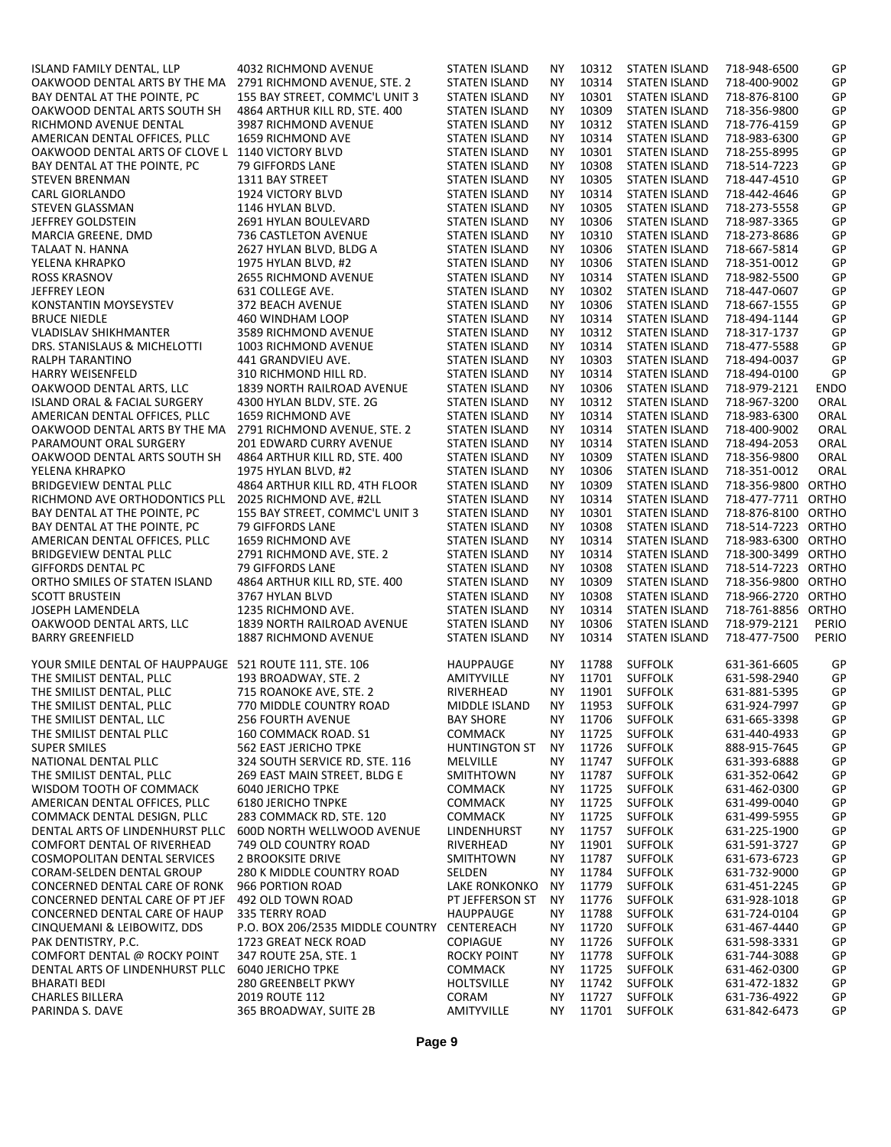| ISLAND FAMILY DENTAL, LLP                              | 4032 RICHMOND AVENUE              | <b>STATEN ISLAND</b> | <b>NY</b> | 10312 | <b>STATEN ISLAND</b> | 718-948-6500       | GP          |
|--------------------------------------------------------|-----------------------------------|----------------------|-----------|-------|----------------------|--------------------|-------------|
| OAKWOOD DENTAL ARTS BY THE MA                          |                                   |                      |           |       | <b>STATEN ISLAND</b> |                    |             |
|                                                        | 2791 RICHMOND AVENUE, STE. 2      | <b>STATEN ISLAND</b> | NΥ        | 10314 |                      | 718-400-9002       | GP          |
| BAY DENTAL AT THE POINTE, PC                           | 155 BAY STREET, COMMC'L UNIT 3    | <b>STATEN ISLAND</b> | NΥ        | 10301 | <b>STATEN ISLAND</b> | 718-876-8100       | GP          |
| OAKWOOD DENTAL ARTS SOUTH SH                           | 4864 ARTHUR KILL RD. STE. 400     | <b>STATEN ISLAND</b> | <b>NY</b> | 10309 | STATEN ISLAND        | 718-356-9800       | GP          |
| RICHMOND AVENUE DENTAL                                 | 3987 RICHMOND AVENUE              | <b>STATEN ISLAND</b> | <b>NY</b> | 10312 | <b>STATEN ISLAND</b> | 718-776-4159       | GP          |
| AMERICAN DENTAL OFFICES. PLLC                          | 1659 RICHMOND AVE                 | <b>STATEN ISLAND</b> | NΥ        | 10314 | <b>STATEN ISLAND</b> | 718-983-6300       | GP          |
| OAKWOOD DENTAL ARTS OF CLOVE L 1140 VICTORY BLVD       |                                   | <b>STATEN ISLAND</b> | NY.       | 10301 | <b>STATEN ISLAND</b> | 718-255-8995       | GP          |
|                                                        |                                   |                      |           |       |                      |                    |             |
| BAY DENTAL AT THE POINTE. PC                           | 79 GIFFORDS LANE                  | STATEN ISLAND        | NΥ        | 10308 | STATEN ISLAND        | 718-514-7223       | GP          |
| <b>STEVEN BRENMAN</b>                                  | 1311 BAY STREET                   | <b>STATEN ISLAND</b> | <b>NY</b> | 10305 | <b>STATEN ISLAND</b> | 718-447-4510       | GP          |
| CARL GIORLANDO                                         | 1924 VICTORY BLVD                 | <b>STATEN ISLAND</b> | NΥ        | 10314 | <b>STATEN ISLAND</b> | 718-442-4646       | GP          |
| <b>STEVEN GLASSMAN</b>                                 | 1146 HYLAN BLVD.                  | <b>STATEN ISLAND</b> | <b>NY</b> | 10305 | <b>STATEN ISLAND</b> | 718-273-5558       | GP          |
|                                                        |                                   |                      |           |       |                      |                    |             |
| JEFFREY GOLDSTEIN                                      | 2691 HYLAN BOULEVARD              | <b>STATEN ISLAND</b> | <b>NY</b> | 10306 | <b>STATEN ISLAND</b> | 718-987-3365       | GP          |
| MARCIA GREENE, DMD                                     | 736 CASTLETON AVENUE              | <b>STATEN ISLAND</b> | NΥ        | 10310 | <b>STATEN ISLAND</b> | 718-273-8686       | GP          |
| TALAAT N. HANNA                                        | 2627 HYLAN BLVD, BLDG A           | <b>STATEN ISLAND</b> | NΥ        | 10306 | <b>STATEN ISLAND</b> | 718-667-5814       | GP          |
| YELENA KHRAPKO                                         | 1975 HYLAN BLVD, #2               | <b>STATEN ISLAND</b> | NY.       | 10306 | <b>STATEN ISLAND</b> | 718-351-0012       | GP          |
| <b>ROSS KRASNOV</b>                                    |                                   | <b>STATEN ISLAND</b> | NΥ        | 10314 | <b>STATEN ISLAND</b> | 718-982-5500       | GP          |
|                                                        | <b>2655 RICHMOND AVENUE</b>       |                      |           |       |                      |                    |             |
| <b>JEFFREY LEON</b>                                    | 631 COLLEGE AVE.                  | <b>STATEN ISLAND</b> | <b>NY</b> | 10302 | <b>STATEN ISLAND</b> | 718-447-0607       | GP          |
| KONSTANTIN MOYSEYSTEV                                  | 372 BEACH AVENUE                  | <b>STATEN ISLAND</b> | NΥ        | 10306 | <b>STATEN ISLAND</b> | 718-667-1555       | GP          |
| <b>BRUCE NIEDLE</b>                                    | 460 WINDHAM LOOP                  | <b>STATEN ISLAND</b> | NΥ        | 10314 | <b>STATEN ISLAND</b> | 718-494-1144       | GP          |
| <b>VLADISLAV SHIKHMANTER</b>                           | 3589 RICHMOND AVENUE              | <b>STATEN ISLAND</b> | NY.       | 10312 | <b>STATEN ISLAND</b> | 718-317-1737       | GP          |
|                                                        |                                   |                      |           | 10314 |                      |                    | GP          |
| DRS. STANISLAUS & MICHELOTTI                           | 1003 RICHMOND AVENUE              | <b>STATEN ISLAND</b> | <b>NY</b> |       | <b>STATEN ISLAND</b> | 718-477-5588       |             |
| RALPH TARANTINO                                        | 441 GRANDVIEU AVE.                | <b>STATEN ISLAND</b> | <b>NY</b> | 10303 | <b>STATEN ISLAND</b> | 718-494-0037       | GP          |
| <b>HARRY WEISENFELD</b>                                | 310 RICHMOND HILL RD.             | <b>STATEN ISLAND</b> | NY.       | 10314 | <b>STATEN ISLAND</b> | 718-494-0100       | GP          |
| OAKWOOD DENTAL ARTS. LLC                               | 1839 NORTH RAILROAD AVENUE        | STATEN ISLAND        | NΥ        | 10306 | STATEN ISLAND        | 718-979-2121       | <b>ENDO</b> |
| ISLAND ORAL & FACIAL SURGERY                           | 4300 HYLAN BLDV. STE. 2G          | <b>STATEN ISLAND</b> | <b>NY</b> | 10312 | <b>STATEN ISLAND</b> | 718-967-3200       | ORAL        |
|                                                        |                                   |                      |           |       |                      |                    |             |
| AMERICAN DENTAL OFFICES, PLLC                          | 1659 RICHMOND AVE                 | <b>STATEN ISLAND</b> | <b>NY</b> | 10314 | <b>STATEN ISLAND</b> | 718-983-6300       | ORAL        |
| OAKWOOD DENTAL ARTS BY THE MA                          | 2791 RICHMOND AVENUE. STE. 2      | <b>STATEN ISLAND</b> | <b>NY</b> | 10314 | <b>STATEN ISLAND</b> | 718-400-9002       | ORAL        |
| PARAMOUNT ORAL SURGERY                                 | 201 EDWARD CURRY AVENUE           | <b>STATEN ISLAND</b> | NY.       | 10314 | <b>STATEN ISLAND</b> | 718-494-2053       | ORAL        |
| OAKWOOD DENTAL ARTS SOUTH SH                           | 4864 ARTHUR KILL RD, STE. 400     | STATEN ISLAND        | NΥ        | 10309 | STATEN ISLAND        | 718-356-9800       | ORAL        |
| YELENA KHRAPKO                                         | 1975 HYLAN BLVD, #2               | <b>STATEN ISLAND</b> | <b>NY</b> | 10306 | <b>STATEN ISLAND</b> | 718-351-0012       | ORAL        |
|                                                        |                                   |                      |           |       |                      |                    |             |
| <b>BRIDGEVIEW DENTAL PLLC</b>                          | 4864 ARTHUR KILL RD, 4TH FLOOR    | <b>STATEN ISLAND</b> | NΥ        | 10309 | <b>STATEN ISLAND</b> | 718-356-9800 ORTHO |             |
| RICHMOND AVE ORTHODONTICS PLL                          | 2025 RICHMOND AVE, #2LL           | <b>STATEN ISLAND</b> | <b>NY</b> | 10314 | <b>STATEN ISLAND</b> | 718-477-7711 ORTHO |             |
| BAY DENTAL AT THE POINTE. PC                           | 155 BAY STREET. COMMC'L UNIT 3    | <b>STATEN ISLAND</b> | <b>NY</b> | 10301 | <b>STATEN ISLAND</b> | 718-876-8100 ORTHO |             |
| BAY DENTAL AT THE POINTE, PC                           | 79 GIFFORDS LANE                  | <b>STATEN ISLAND</b> | <b>NY</b> | 10308 | <b>STATEN ISLAND</b> | 718-514-7223 ORTHO |             |
|                                                        |                                   |                      |           |       |                      |                    |             |
| AMERICAN DENTAL OFFICES. PLLC                          | 1659 RICHMOND AVE                 | <b>STATEN ISLAND</b> | NΥ        | 10314 | <b>STATEN ISLAND</b> | 718-983-6300 ORTHO |             |
| <b>BRIDGEVIEW DENTAL PLLC</b>                          | 2791 RICHMOND AVE. STE. 2         | <b>STATEN ISLAND</b> | NY.       | 10314 | <b>STATEN ISLAND</b> | 718-300-3499 ORTHO |             |
| <b>GIFFORDS DENTAL PC</b>                              | 79 GIFFORDS LANE                  | STATEN ISLAND        | NΥ        | 10308 | STATEN ISLAND        | 718-514-7223 ORTHO |             |
| ORTHO SMILES OF STATEN ISLAND                          | 4864 ARTHUR KILL RD. STE. 400     | <b>STATEN ISLAND</b> | <b>NY</b> | 10309 | <b>STATEN ISLAND</b> | 718-356-9800 ORTHO |             |
| <b>SCOTT BRUSTEIN</b>                                  | 3767 HYLAN BLVD                   | <b>STATEN ISLAND</b> | <b>NY</b> | 10308 | <b>STATEN ISLAND</b> | 718-966-2720 ORTHO |             |
|                                                        |                                   |                      |           |       |                      |                    |             |
| JOSEPH LAMENDELA                                       | 1235 RICHMOND AVE.                | <b>STATEN ISLAND</b> | <b>NY</b> | 10314 | <b>STATEN ISLAND</b> | 718-761-8856 ORTHO |             |
| OAKWOOD DENTAL ARTS, LLC                               | 1839 NORTH RAILROAD AVENUE        | STATEN ISLAND        | NY.       | 10306 | STATEN ISLAND        | 718-979-2121       | PERIO       |
| <b>BARRY GREENFIELD</b>                                | 1887 RICHMOND AVENUE              | <b>STATEN ISLAND</b> | <b>NY</b> | 10314 | <b>STATEN ISLAND</b> | 718-477-7500       | PERIO       |
|                                                        |                                   |                      |           |       |                      |                    |             |
| YOUR SMILE DENTAL OF HAUPPAUGE 521 ROUTE 111. STE. 106 |                                   | <b>HAUPPAUGE</b>     |           | 11788 | <b>SUFFOLK</b>       |                    | GP          |
|                                                        |                                   |                      | ΝY        |       |                      | 631-361-6605       |             |
| THE SMILIST DENTAL, PLLC                               | 193 BROADWAY, STE. 2              | AMITYVILLE           | NΥ        | 11701 | <b>SUFFOLK</b>       | 631-598-2940       | GP          |
| THE SMILIST DENTAL, PLLC                               | 715 ROANOKE AVE, STE. 2           | RIVERHEAD            | NY.       | 11901 | <b>SUFFOLK</b>       | 631-881-5395       | GP          |
| THE SMILIST DENTAL, PLLC                               | 770 MIDDLE COUNTRY ROAD           | MIDDLE ISLAND        | ΝY        | 11953 | <b>SUFFOLK</b>       | 631-924-7997       | GP          |
| THE SMILIST DENTAL, LLC                                | <b>256 FOURTH AVENUE</b>          | <b>BAY SHORE</b>     | NΥ        | 11706 | <b>SUFFOLK</b>       | 631-665-3398       | GP          |
|                                                        |                                   |                      |           |       |                      |                    |             |
| THE SMILIST DENTAL PLLC                                | 160 COMMACK ROAD. S1              | <b>COMMACK</b>       | ΝY        | 11725 | <b>SUFFOLK</b>       | 631-440-4933       | GP          |
| <b>SUPER SMILES</b>                                    | 562 EAST JERICHO TPKE             | <b>HUNTINGTON ST</b> | ΝY        | 11726 | <b>SUFFOLK</b>       | 888-915-7645       | GP          |
| NATIONAL DENTAL PLLC                                   | 324 SOUTH SERVICE RD. STE. 116    | <b>MELVILLE</b>      | NΥ        | 11747 | <b>SUFFOLK</b>       | 631-393-6888       | GP          |
| THE SMILIST DENTAL. PLLC                               | 269 EAST MAIN STREET. BLDG E      | SMITHTOWN            | NΥ        | 11787 | <b>SUFFOLK</b>       | 631-352-0642       | GP          |
| WISDOM TOOTH OF COMMACK                                | <b>6040 JERICHO TPKE</b>          | <b>COMMACK</b>       | ΝY        | 11725 | <b>SUFFOLK</b>       | 631-462-0300       | GP          |
|                                                        |                                   |                      |           |       |                      |                    |             |
| AMERICAN DENTAL OFFICES. PLLC                          | <b>6180 JERICHO TNPKE</b>         | <b>COMMACK</b>       | ΝY        | 11725 | <b>SUFFOLK</b>       | 631-499-0040       | GP          |
| COMMACK DENTAL DESIGN, PLLC                            | 283 COMMACK RD, STE. 120          | <b>COMMACK</b>       | ΝY        | 11725 | <b>SUFFOLK</b>       | 631-499-5955       | GP          |
| DENTAL ARTS OF LINDENHURST PLLC                        | <b>600D NORTH WELLWOOD AVENUE</b> | LINDENHURST          | NΥ        | 11757 | <b>SUFFOLK</b>       | 631-225-1900       | GP          |
| <b>COMFORT DENTAL OF RIVERHEAD</b>                     | 749 OLD COUNTRY ROAD              | RIVERHEAD            | ΝY        | 11901 | <b>SUFFOLK</b>       | 631-591-3727       | GP          |
|                                                        | <b>2 BROOKSITE DRIVE</b>          |                      | ΝY        | 11787 | <b>SUFFOLK</b>       | 631-673-6723       | GP          |
| COSMOPOLITAN DENTAL SERVICES                           |                                   | SMITHTOWN            |           |       |                      |                    |             |
| CORAM-SELDEN DENTAL GROUP                              | 280 K MIDDLE COUNTRY ROAD         | SELDEN               | ΝY        | 11784 | <b>SUFFOLK</b>       | 631-732-9000       | GP          |
| CONCERNED DENTAL CARE OF RONK                          | 966 PORTION ROAD                  | LAKE RONKONKO        | NΥ        | 11779 | <b>SUFFOLK</b>       | 631-451-2245       | GP          |
| CONCERNED DENTAL CARE OF PT JEF                        | 492 OLD TOWN ROAD                 | PT JEFFERSON ST      | ΝY        | 11776 | <b>SUFFOLK</b>       | 631-928-1018       | GP          |
| CONCERNED DENTAL CARE OF HAUP                          | <b>335 TERRY ROAD</b>             | <b>HAUPPAUGE</b>     | ΝY        | 11788 | <b>SUFFOLK</b>       | 631-724-0104       | GP          |
|                                                        |                                   |                      |           |       |                      |                    |             |
| CINQUEMANI & LEIBOWITZ, DDS                            | P.O. BOX 206/2535 MIDDLE COUNTRY  | CENTEREACH           | ΝY        | 11720 | <b>SUFFOLK</b>       | 631-467-4440       | GP          |
| PAK DENTISTRY, P.C.                                    | 1723 GREAT NECK ROAD              | <b>COPIAGUE</b>      | ΝY        | 11726 | <b>SUFFOLK</b>       | 631-598-3331       | GP          |
| COMFORT DENTAL @ ROCKY POINT                           | 347 ROUTE 25A. STE. 1             | ROCKY POINT          | ΝY        | 11778 | <b>SUFFOLK</b>       | 631-744-3088       | GP          |
| DENTAL ARTS OF LINDENHURST PLLC                        | <b>6040 JERICHO TPKE</b>          | <b>COMMACK</b>       | ΝY        | 11725 | <b>SUFFOLK</b>       | 631-462-0300       | GP          |
| BHARATI BEDI                                           | 280 GREENBELT PKWY                | <b>HOLTSVILLE</b>    | ΝY        | 11742 | <b>SUFFOLK</b>       | 631-472-1832       | GP          |
|                                                        |                                   |                      |           |       |                      |                    |             |
| <b>CHARLES BILLERA</b>                                 | 2019 ROUTE 112                    | CORAM                | ΝY        | 11727 | <b>SUFFOLK</b>       | 631-736-4922       | GP          |
| PARINDA S. DAVE                                        | 365 BROADWAY, SUITE 2B            | AMITYVILLE           | NY.       | 11701 | <b>SUFFOLK</b>       | 631-842-6473       | GP          |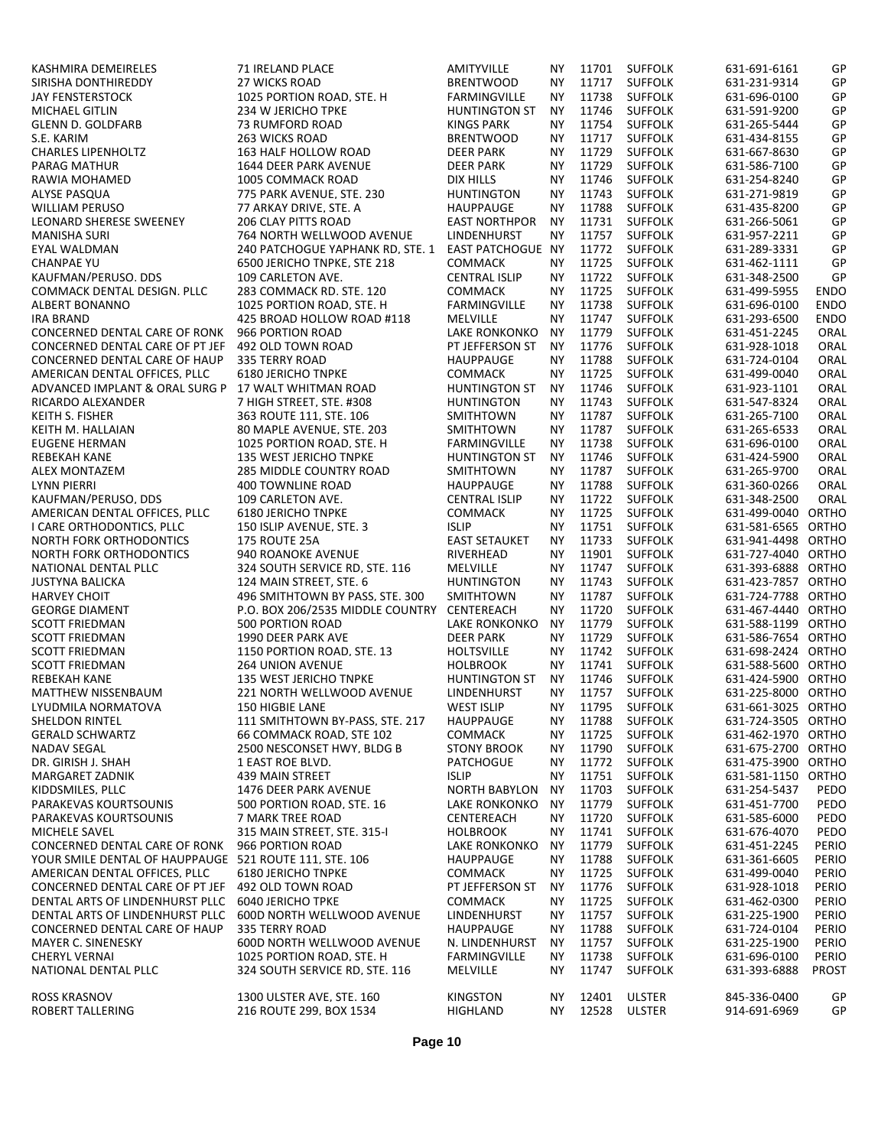| KASHMIRA DEMEIRELES                                    | 71 IRELAND PLACE                 | AMITYVILLE               | ΝY        | 11701 | <b>SUFFOLK</b>                   | 631-691-6161       | GP           |
|--------------------------------------------------------|----------------------------------|--------------------------|-----------|-------|----------------------------------|--------------------|--------------|
| SIRISHA DONTHIREDDY                                    | 27 WICKS ROAD                    | <b>BRENTWOOD</b>         | <b>NY</b> | 11717 | <b>SUFFOLK</b>                   | 631-231-9314       | GP           |
| <b>JAY FENSTERSTOCK</b>                                | 1025 PORTION ROAD, STE. H        | FARMINGVILLE             | <b>NY</b> | 11738 | <b>SUFFOLK</b>                   | 631-696-0100       | GP           |
| MICHAEL GITLIN                                         | 234 W JERICHO TPKE               | <b>HUNTINGTON ST</b>     | <b>NY</b> | 11746 | <b>SUFFOLK</b>                   | 631-591-9200       | GP           |
| <b>GLENN D. GOLDFARB</b>                               | 73 RUMFORD ROAD                  | <b>KINGS PARK</b>        | <b>NY</b> | 11754 | <b>SUFFOLK</b>                   | 631-265-5444       | GP           |
| S.E. KARIM                                             | 263 WICKS ROAD                   | <b>BRENTWOOD</b>         | <b>NY</b> | 11717 | <b>SUFFOLK</b>                   | 631-434-8155       | GP           |
| <b>CHARLES LIPENHOLTZ</b>                              | 163 HALF HOLLOW ROAD             | <b>DEER PARK</b>         | <b>NY</b> | 11729 | <b>SUFFOLK</b>                   | 631-667-8630       | GP           |
| PARAG MATHUR                                           | <b>1644 DEER PARK AVENUE</b>     | <b>DEER PARK</b>         | <b>NY</b> | 11729 | <b>SUFFOLK</b>                   | 631-586-7100       | GP           |
| RAWIA MOHAMED                                          | 1005 COMMACK ROAD                | <b>DIX HILLS</b>         | <b>NY</b> | 11746 | <b>SUFFOLK</b>                   | 631-254-8240       | GP           |
| ALYSE PASQUA                                           | 775 PARK AVENUE, STE. 230        | <b>HUNTINGTON</b>        | <b>NY</b> | 11743 | <b>SUFFOLK</b>                   | 631-271-9819       | GP           |
| <b>WILLIAM PERUSO</b>                                  | 77 ARKAY DRIVE. STE. A           | <b>HAUPPAUGE</b>         | <b>NY</b> | 11788 | <b>SUFFOLK</b>                   | 631-435-8200       | GP           |
| <b>LEONARD SHERESE SWEENEY</b>                         | 206 CLAY PITTS ROAD              | <b>EAST NORTHPOR</b>     | <b>NY</b> | 11731 | <b>SUFFOLK</b>                   | 631-266-5061       | GP           |
| <b>MANISHA SURI</b>                                    | 764 NORTH WELLWOOD AVENUE        | LINDENHURST              | <b>NY</b> | 11757 | <b>SUFFOLK</b>                   | 631-957-2211       | GP           |
| EYAL WALDMAN                                           | 240 PATCHOGUE YAPHANK RD. STE. 1 | <b>EAST PATCHOGUE NY</b> |           | 11772 | <b>SUFFOLK</b>                   | 631-289-3331       | GP           |
| <b>CHANPAE YU</b>                                      | 6500 JERICHO TNPKE, STE 218      | <b>COMMACK</b>           | <b>NY</b> | 11725 | <b>SUFFOLK</b>                   | 631-462-1111       | GP           |
| KAUFMAN/PERUSO, DDS                                    | 109 CARLETON AVE.                | <b>CENTRAL ISLIP</b>     | <b>NY</b> | 11722 | <b>SUFFOLK</b>                   | 631-348-2500       | GP           |
| COMMACK DENTAL DESIGN. PLLC                            | 283 COMMACK RD. STE. 120         | <b>COMMACK</b>           | <b>NY</b> | 11725 | <b>SUFFOLK</b>                   | 631-499-5955       | <b>ENDO</b>  |
| <b>ALBERT BONANNO</b>                                  | 1025 PORTION ROAD, STE. H        | FARMINGVILLE             | <b>NY</b> | 11738 | <b>SUFFOLK</b>                   | 631-696-0100       | <b>ENDO</b>  |
| <b>IRA BRAND</b>                                       | 425 BROAD HOLLOW ROAD #118       | MELVILLE                 | <b>NY</b> | 11747 | <b>SUFFOLK</b>                   | 631-293-6500       | <b>ENDO</b>  |
| CONCERNED DENTAL CARE OF RONK                          | 966 PORTION ROAD                 | LAKE RONKONKO            | <b>NY</b> | 11779 | <b>SUFFOLK</b>                   | 631-451-2245       | ORAL         |
| CONCERNED DENTAL CARE OF PT JEF                        | 492 OLD TOWN ROAD                | PT JEFFERSON ST          | <b>NY</b> | 11776 | <b>SUFFOLK</b>                   | 631-928-1018       | ORAL         |
| CONCERNED DENTAL CARE OF HAUP                          | 335 TERRY ROAD                   | <b>HAUPPAUGE</b>         | <b>NY</b> | 11788 | <b>SUFFOLK</b>                   | 631-724-0104       | ORAL         |
| AMERICAN DENTAL OFFICES. PLLC                          | <b>6180 JERICHO TNPKE</b>        | <b>COMMACK</b>           | <b>NY</b> | 11725 | <b>SUFFOLK</b>                   | 631-499-0040       | ORAL         |
| ADVANCED IMPLANT & ORAL SURG P                         | 17 WALT WHITMAN ROAD             | <b>HUNTINGTON ST</b>     | <b>NY</b> | 11746 | <b>SUFFOLK</b>                   | 631-923-1101       | ORAL         |
| RICARDO ALEXANDER                                      | 7 HIGH STREET. STE. #308         | <b>HUNTINGTON</b>        | <b>NY</b> | 11743 | <b>SUFFOLK</b>                   | 631-547-8324       | ORAL         |
| KEITH S. FISHER                                        | 363 ROUTE 111, STE. 106          | SMITHTOWN                | <b>NY</b> | 11787 | <b>SUFFOLK</b>                   | 631-265-7100       | ORAL         |
| KEITH M. HALLAIAN                                      | 80 MAPLE AVENUE, STE, 203        | SMITHTOWN                | <b>NY</b> | 11787 | <b>SUFFOLK</b>                   | 631-265-6533       | ORAL         |
| <b>EUGENE HERMAN</b>                                   | 1025 PORTION ROAD, STE. H        | FARMINGVILLE             | <b>NY</b> | 11738 | <b>SUFFOLK</b>                   | 631-696-0100       | ORAL         |
| REBEKAH KANE                                           | <b>135 WEST JERICHO TNPKE</b>    | <b>HUNTINGTON ST</b>     | <b>NY</b> | 11746 | <b>SUFFOLK</b>                   | 631-424-5900       | ORAL         |
| <b>ALEX MONTAZEM</b>                                   | <b>285 MIDDLE COUNTRY ROAD</b>   | SMITHTOWN                | <b>NY</b> | 11787 | <b>SUFFOLK</b>                   | 631-265-9700       | ORAL         |
| <b>LYNN PIERRI</b>                                     | <b>400 TOWNLINE ROAD</b>         | <b>HAUPPAUGE</b>         | <b>NY</b> | 11788 | <b>SUFFOLK</b>                   | 631-360-0266       | ORAL         |
| KAUFMAN/PERUSO, DDS                                    | 109 CARLETON AVE.                | <b>CENTRAL ISLIP</b>     | <b>NY</b> | 11722 | <b>SUFFOLK</b>                   | 631-348-2500       | ORAL         |
| AMERICAN DENTAL OFFICES. PLLC                          | <b>6180 JERICHO TNPKE</b>        | <b>COMMACK</b>           | <b>NY</b> | 11725 | <b>SUFFOLK</b>                   | 631-499-0040 ORTHO |              |
| I CARE ORTHODONTICS, PLLC                              | 150 ISLIP AVENUE, STE. 3         | <b>ISLIP</b>             | <b>NY</b> | 11751 | <b>SUFFOLK</b>                   | 631-581-6565 ORTHO |              |
| NORTH FORK ORTHODONTICS                                | <b>175 ROUTE 25A</b>             | <b>EAST SETAUKET</b>     | <b>NY</b> | 11733 | <b>SUFFOLK</b>                   | 631-941-4498 ORTHO |              |
| <b>NORTH FORK ORTHODONTICS</b>                         | 940 ROANOKE AVENUE               | RIVERHEAD                | <b>NY</b> | 11901 | <b>SUFFOLK</b>                   | 631-727-4040 ORTHO |              |
| NATIONAL DENTAL PLLC                                   | 324 SOUTH SERVICE RD. STE. 116   | MELVILLE                 | <b>NY</b> | 11747 | <b>SUFFOLK</b>                   | 631-393-6888 ORTHO |              |
| <b>JUSTYNA BALICKA</b>                                 | 124 MAIN STREET. STE. 6          | <b>HUNTINGTON</b>        | <b>NY</b> | 11743 | <b>SUFFOLK</b>                   | 631-423-7857 ORTHO |              |
| <b>HARVEY CHOIT</b>                                    | 496 SMITHTOWN BY PASS. STE. 300  | SMITHTOWN                | <b>NY</b> | 11787 | <b>SUFFOLK</b>                   | 631-724-7788 ORTHO |              |
| <b>GEORGE DIAMENT</b>                                  | P.O. BOX 206/2535 MIDDLE COUNTRY | CENTEREACH               | <b>NY</b> | 11720 | <b>SUFFOLK</b>                   | 631-467-4440 ORTHO |              |
| <b>SCOTT FRIEDMAN</b>                                  | 500 PORTION ROAD                 | LAKE RONKONKO            | <b>NY</b> | 11779 | <b>SUFFOLK</b>                   | 631-588-1199 ORTHO |              |
| <b>SCOTT FRIEDMAN</b>                                  | 1990 DEER PARK AVE               | <b>DEER PARK</b>         | <b>NY</b> | 11729 | <b>SUFFOLK</b>                   | 631-586-7654 ORTHO |              |
| <b>SCOTT FRIEDMAN</b>                                  | 1150 PORTION ROAD. STE. 13       | <b>HOLTSVILLE</b>        | <b>NY</b> | 11742 | <b>SUFFOLK</b>                   | 631-698-2424 ORTHO |              |
| <b>SCOTT FRIEDMAN</b>                                  | <b>264 UNION AVENUE</b>          | <b>HOLBROOK</b>          | ΝY        | 11741 | <b>SUFFOLK</b>                   | 631-588-5600 ORTHO |              |
| <b>REBEKAH KANE</b>                                    | 135 WEST JERICHO TNPKE           | <b>HUNTINGTON ST</b>     | <b>NY</b> | 11746 | <b>SUFFOLK</b>                   | 631-424-5900 ORTHO |              |
| <b>MATTHEW NISSENBAUM</b>                              | 221 NORTH WELLWOOD AVENUE        | LINDENHURST              | NY.       | 11757 | <b>SUFFOLK</b>                   | 631-225-8000 ORTHO |              |
| LYUDMILA NORMATOVA                                     | 150 HIGBIL LANE                  | WEST ISLIP               | ΝY        | 11795 | <b>SUFFOLK</b>                   | 631-661-3025 ORTHO |              |
| <b>SHELDON RINTEL</b>                                  | 111 SMITHTOWN BY-PASS, STE. 217  | HAUPPAUGE                | ΝY        | 11788 | <b>SUFFOLK</b>                   | 631-724-3505 ORTHO |              |
| <b>GERALD SCHWARTZ</b>                                 | 66 COMMACK ROAD, STE 102         | <b>COMMACK</b>           | NΥ        | 11725 | <b>SUFFOLK</b>                   | 631-462-1970 ORTHO |              |
| NADAV SEGAL                                            | 2500 NESCONSET HWY, BLDG B       | <b>STONY BROOK</b>       | ΝY        | 11790 | <b>SUFFOLK</b>                   | 631-675-2700 ORTHO |              |
| DR. GIRISH J. SHAH                                     | 1 EAST ROE BLVD.                 | <b>PATCHOGUE</b>         | NΥ        | 11772 | <b>SUFFOLK</b>                   | 631-475-3900 ORTHO |              |
| MARGARET ZADNIK                                        | 439 MAIN STREET                  | <b>ISLIP</b>             | ΝY        | 11751 | <b>SUFFOLK</b>                   | 631-581-1150 ORTHO |              |
| KIDDSMILES. PLLC                                       | 1476 DEER PARK AVENUE            | <b>NORTH BABYLON</b>     | ΝY        | 11703 | <b>SUFFOLK</b>                   | 631-254-5437       | PEDO         |
| PARAKEVAS KOURTSOUNIS                                  | 500 PORTION ROAD. STE. 16        | LAKE RONKONKO            | ΝY        | 11779 | <b>SUFFOLK</b>                   | 631-451-7700       | PEDO         |
| PARAKEVAS KOURTSOUNIS                                  | 7 MARK TREE ROAD                 | CENTEREACH               | ΝY        | 11720 | <b>SUFFOLK</b>                   | 631-585-6000       | PEDO         |
| MICHELE SAVEL                                          | 315 MAIN STREET. STE. 315-1      | <b>HOLBROOK</b>          | NΥ        | 11741 | <b>SUFFOLK</b>                   | 631-676-4070       | PEDO         |
| CONCERNED DENTAL CARE OF RONK                          | 966 PORTION ROAD                 | LAKE RONKONKO            | ΝY        | 11779 | <b>SUFFOLK</b>                   | 631-451-2245       | PERIO        |
| YOUR SMILE DENTAL OF HAUPPAUGE 521 ROUTE 111, STE. 106 |                                  | <b>HAUPPAUGE</b>         | ΝY        | 11788 | <b>SUFFOLK</b>                   | 631-361-6605       | PERIO        |
| AMERICAN DENTAL OFFICES, PLLC                          | <b>6180 JERICHO TNPKE</b>        | <b>COMMACK</b>           | ΝY        | 11725 | <b>SUFFOLK</b>                   | 631-499-0040       | PERIO        |
| CONCERNED DENTAL CARE OF PT JEF                        | 492 OLD TOWN ROAD                | PT JEFFERSON ST          | ΝY        | 11776 | <b>SUFFOLK</b>                   | 631-928-1018       | PERIO        |
| DENTAL ARTS OF LINDENHURST PLLC                        | <b>6040 JERICHO TPKE</b>         | <b>COMMACK</b>           | NΥ        | 11725 | <b>SUFFOLK</b>                   | 631-462-0300       | PERIO        |
| DENTAL ARTS OF LINDENHURST PLLC                        | 600D NORTH WELLWOOD AVENUE       | LINDENHURST              | ΝY        | 11757 | <b>SUFFOLK</b>                   | 631-225-1900       | PERIO        |
| CONCERNED DENTAL CARE OF HAUP                          | 335 TERRY ROAD                   | <b>HAUPPAUGE</b>         | ΝY        | 11788 | <b>SUFFOLK</b>                   | 631-724-0104       | PERIO        |
| <b>MAYER C. SINENESKY</b>                              | 600D NORTH WELLWOOD AVENUE       | N. LINDENHURST           | NΥ        | 11757 | <b>SUFFOLK</b>                   | 631-225-1900       | PERIO        |
| <b>CHERYL VERNAI</b>                                   | 1025 PORTION ROAD. STE. H        |                          |           | 11738 |                                  | 631-696-0100       | PERIO        |
| NATIONAL DENTAL PLLC                                   | 324 SOUTH SERVICE RD, STE. 116   | FARMINGVILLE             | NΥ        | 11747 | <b>SUFFOLK</b><br><b>SUFFOLK</b> | 631-393-6888       | <b>PROST</b> |
|                                                        |                                  | MELVILLE                 | NΥ        |       |                                  |                    |              |
| <b>ROSS KRASNOV</b>                                    | 1300 ULSTER AVE. STE. 160        | KINGSTON                 | NY.       | 12401 | <b>ULSTER</b>                    | 845-336-0400       | GP           |
| ROBERT TALLERING                                       | 216 ROUTE 299, BOX 1534          | HIGHLAND                 | NΥ        | 12528 | <b>ULSTER</b>                    | 914-691-6969       | GP           |
|                                                        |                                  |                          |           |       |                                  |                    |              |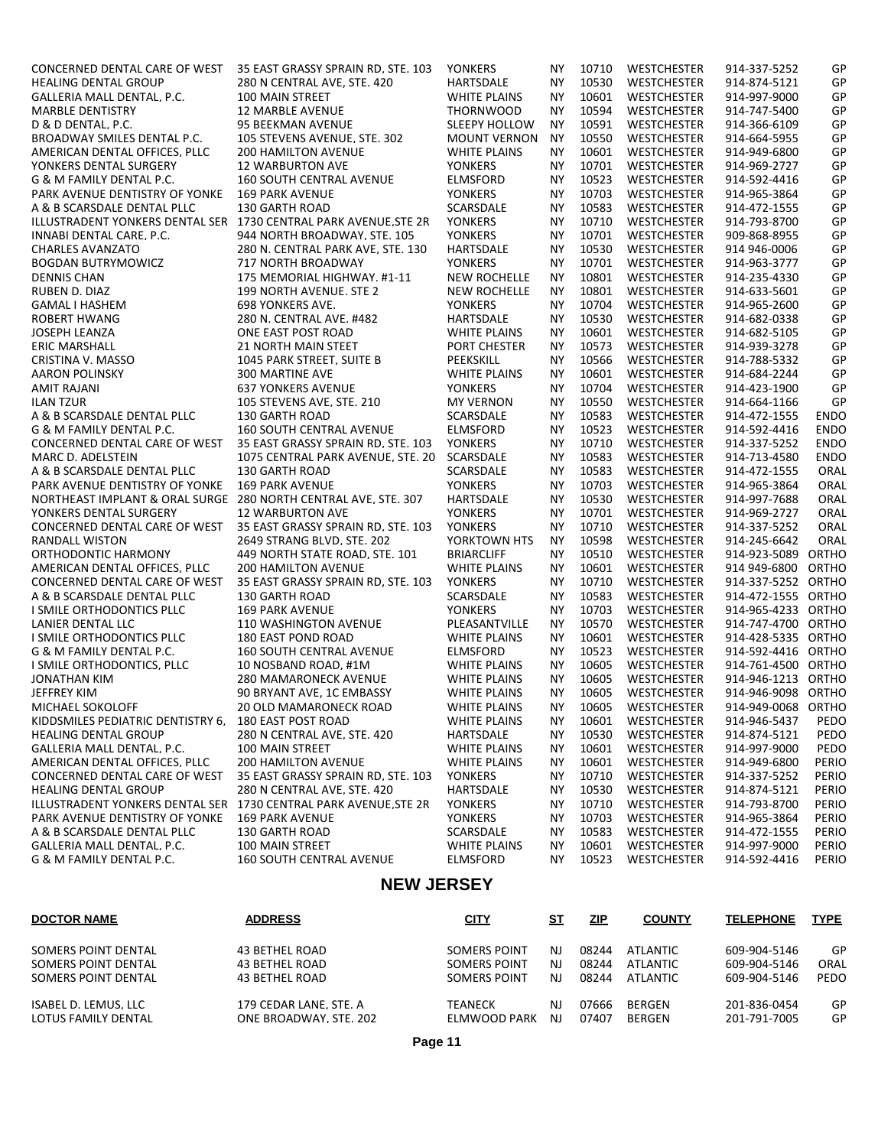| CONCERNED DENTAL CARE OF WEST                                    | 35 EAST GRASSY SPRAIN RD, STE. 103                 | <b>YONKERS</b>                         | ΝY        | 10710          | <b>WESTCHESTER</b>                       | 914-337-5252                 | GP             |
|------------------------------------------------------------------|----------------------------------------------------|----------------------------------------|-----------|----------------|------------------------------------------|------------------------------|----------------|
| <b>HEALING DENTAL GROUP</b>                                      | 280 N CENTRAL AVE, STE. 420                        | <b>HARTSDALE</b>                       | ΝY        | 10530          | <b>WESTCHESTER</b>                       | 914-874-5121                 | GP             |
| GALLERIA MALL DENTAL, P.C.                                       | 100 MAIN STREET                                    | <b>WHITE PLAINS</b>                    | <b>NY</b> | 10601          | WESTCHESTER                              | 914-997-9000                 | GP             |
| <b>MARBLE DENTISTRY</b>                                          | <b>12 MARBLE AVENUE</b>                            | <b>THORNWOOD</b>                       | <b>NY</b> | 10594          | <b>WESTCHESTER</b>                       | 914-747-5400                 | GP             |
| D & D DENTAL. P.C.                                               | 95 BEEKMAN AVENUE                                  | <b>SLEEPY HOLLOW</b>                   | <b>NY</b> | 10591          | WESTCHESTER                              | 914-366-6109                 | GP             |
| BROADWAY SMILES DENTAL P.C.                                      | 105 STEVENS AVENUE. STE. 302                       | <b>MOUNT VERNON</b>                    | <b>NY</b> | 10550          | <b>WESTCHESTER</b>                       | 914-664-5955                 | GP             |
| AMERICAN DENTAL OFFICES. PLLC                                    | <b>200 HAMILTON AVENUE</b>                         | <b>WHITE PLAINS</b>                    | <b>NY</b> | 10601          | WESTCHESTER                              | 914-949-6800                 | GP             |
| YONKERS DENTAL SURGERY                                           | <b>12 WARBURTON AVE</b>                            | <b>YONKERS</b>                         | <b>NY</b> | 10701          | <b>WESTCHESTER</b>                       | 914-969-2727                 | GP             |
| G & M FAMILY DENTAL P.C.                                         | <b>160 SOUTH CENTRAL AVENUE</b>                    | <b>ELMSFORD</b>                        | <b>NY</b> | 10523          | WESTCHESTER                              | 914-592-4416                 | GP             |
| PARK AVENUE DENTISTRY OF YONKE                                   | 169 PARK AVENUE                                    | <b>YONKERS</b>                         | <b>NY</b> | 10703          | WESTCHESTER                              | 914-965-3864                 | GP             |
| A & B SCARSDALE DENTAL PLLC                                      | 130 GARTH ROAD                                     | SCARSDALE                              | <b>NY</b> | 10583          | <b>WESTCHESTER</b>                       | 914-472-1555                 | GP             |
| ILLUSTRADENT YONKERS DENTAL SER 1730 CENTRAL PARK AVENUE, STE 2R |                                                    | <b>YONKERS</b>                         | <b>NY</b> | 10710          | <b>WESTCHESTER</b>                       | 914-793-8700                 | GP             |
| INNABI DENTAL CARE, P.C.                                         | 944 NORTH BROADWAY, STE. 105                       | <b>YONKERS</b>                         | <b>NY</b> | 10701          | WESTCHESTER                              | 909-868-8955                 | GP             |
| <b>CHARLES AVANZATO</b>                                          | 280 N. CENTRAL PARK AVE, STE. 130                  | <b>HARTSDALE</b>                       | <b>NY</b> | 10530          | <b>WESTCHESTER</b>                       | 914 946-0006                 | GP             |
| <b>BOGDAN BUTRYMOWICZ</b>                                        | 717 NORTH BROADWAY                                 | <b>YONKERS</b>                         | <b>NY</b> | 10701          | WESTCHESTER                              | 914-963-3777                 | GP             |
| <b>DENNIS CHAN</b>                                               | 175 MEMORIAL HIGHWAY, #1-11                        | <b>NEW ROCHELLE</b>                    | <b>NY</b> | 10801          | <b>WESTCHESTER</b>                       | 914-235-4330                 | GP             |
| RUBEN D. DIAZ                                                    | 199 NORTH AVENUE. STE 2                            | <b>NEW ROCHELLE</b>                    | <b>NY</b> | 10801          | WESTCHESTER                              | 914-633-5601                 | GP             |
| GAMAL I HASHEM                                                   | <b>698 YONKERS AVE.</b>                            | <b>YONKERS</b>                         | <b>NY</b> | 10704          | <b>WESTCHESTER</b>                       | 914-965-2600                 | GP             |
| <b>ROBERT HWANG</b>                                              | 280 N. CENTRAL AVE. #482                           | <b>HARTSDALE</b>                       | <b>NY</b> | 10530          | <b>WESTCHESTER</b>                       | 914-682-0338                 | GP             |
| JOSEPH LEANZA                                                    | ONE EAST POST ROAD                                 | <b>WHITE PLAINS</b>                    | <b>NY</b> | 10601          | WESTCHESTER                              | 914-682-5105                 | GP             |
| <b>ERIC MARSHALL</b>                                             | <b>21 NORTH MAIN STEET</b>                         | PORT CHESTER                           | <b>NY</b> | 10573          | <b>WESTCHESTER</b>                       | 914-939-3278                 | GP             |
| CRISTINA V. MASSO                                                | 1045 PARK STREET. SUITE B                          | PEEKSKILL                              | <b>NY</b> | 10566          | <b>WESTCHESTER</b>                       | 914-788-5332                 | GP             |
| <b>AARON POLINSKY</b>                                            | <b>300 MARTINE AVE</b>                             | <b>WHITE PLAINS</b>                    | <b>NY</b> | 10601          | WESTCHESTER                              | 914-684-2244                 | GP             |
| <b>AMIT RAJANI</b>                                               | <b>637 YONKERS AVENUE</b>                          | <b>YONKERS</b>                         | <b>NY</b> | 10704          | <b>WESTCHESTER</b>                       | 914-423-1900                 | GP             |
| <b>ILAN TZUR</b>                                                 | 105 STEVENS AVE. STE. 210                          | <b>MY VERNON</b>                       | <b>NY</b> | 10550          | <b>WESTCHESTER</b>                       | 914-664-1166                 | GP             |
| A & B SCARSDALE DENTAL PLLC                                      | <b>130 GARTH ROAD</b>                              | SCARSDALE                              | <b>NY</b> | 10583          | WESTCHESTER                              | 914-472-1555                 | <b>ENDO</b>    |
| G & M FAMILY DENTAL P.C.                                         | <b>160 SOUTH CENTRAL AVENUE</b>                    | <b>ELMSFORD</b>                        | <b>NY</b> | 10523          | WESTCHESTER                              | 914-592-4416                 | <b>ENDO</b>    |
| CONCERNED DENTAL CARE OF WEST                                    | 35 EAST GRASSY SPRAIN RD, STE. 103                 | <b>YONKERS</b>                         | <b>NY</b> | 10710          | <b>WESTCHESTER</b>                       | 914-337-5252                 | <b>ENDO</b>    |
| <b>MARC D. ADELSTEIN</b>                                         | 1075 CENTRAL PARK AVENUE, STE. 20                  | SCARSDALE                              | <b>NY</b> | 10583          | <b>WESTCHESTER</b>                       | 914-713-4580                 | <b>ENDO</b>    |
| A & B SCARSDALE DENTAL PLLC                                      | <b>130 GARTH ROAD</b>                              | SCARSDALE                              | <b>NY</b> | 10583          | WESTCHESTER                              | 914-472-1555                 | ORAL           |
| PARK AVENUE DENTISTRY OF YONKE                                   | <b>169 PARK AVENUE</b>                             | <b>YONKERS</b>                         | <b>NY</b> | 10703          | <b>WESTCHESTER</b>                       | 914-965-3864                 | ORAL           |
| NORTHEAST IMPLANT & ORAL SURGE                                   | 280 NORTH CENTRAL AVE, STE. 307                    | HARTSDALE                              | <b>NY</b> | 10530          | WESTCHESTER                              | 914-997-7688                 | ORAL           |
| YONKERS DENTAL SURGERY                                           | <b>12 WARBURTON AVE</b>                            | <b>YONKERS</b>                         | <b>NY</b> | 10701          | <b>WESTCHESTER</b>                       | 914-969-2727                 | ORAL           |
| CONCERNED DENTAL CARE OF WEST                                    | 35 EAST GRASSY SPRAIN RD, STE. 103                 | <b>YONKERS</b>                         | <b>NY</b> | 10710          | WESTCHESTER                              | 914-337-5252                 | ORAL           |
| <b>RANDALL WISTON</b>                                            | 2649 STRANG BLVD. STE. 202                         | YORKTOWN HTS                           | <b>NY</b> | 10598          | <b>WESTCHESTER</b>                       | 914-245-6642                 | ORAL           |
| ORTHODONTIC HARMONY                                              | 449 NORTH STATE ROAD. STE. 101                     | <b>BRIARCLIFF</b>                      | <b>NY</b> | 10510          | WESTCHESTER                              | 914-923-5089 ORTHO           |                |
| AMERICAN DENTAL OFFICES. PLLC                                    | <b>200 HAMILTON AVENUE</b>                         | <b>WHITE PLAINS</b>                    | <b>NY</b> | 10601          | <b>WESTCHESTER</b>                       | 914 949-6800 ORTHO           |                |
| CONCERNED DENTAL CARE OF WEST                                    | 35 EAST GRASSY SPRAIN RD. STE. 103                 | <b>YONKERS</b>                         | <b>NY</b> | 10710          | <b>WESTCHESTER</b>                       | 914-337-5252 ORTHO           |                |
| A & B SCARSDALE DENTAL PLLC                                      | 130 GARTH ROAD                                     | SCARSDALE                              | <b>NY</b> | 10583          | <b>WESTCHESTER</b>                       | 914-472-1555 ORTHO           |                |
| I SMILE ORTHODONTICS PLLC                                        | <b>169 PARK AVENUE</b>                             | <b>YONKERS</b>                         | <b>NY</b> | 10703          | <b>WESTCHESTER</b>                       | 914-965-4233 ORTHO           |                |
| <b>LANIER DENTAL LLC</b>                                         | <b>110 WASHINGTON AVENUE</b>                       | PLEASANTVILLE                          | <b>NY</b> | 10570          | <b>WESTCHESTER</b>                       | 914-747-4700 ORTHO           |                |
| I SMILE ORTHODONTICS PLLC                                        | <b>180 EAST POND ROAD</b>                          | <b>WHITE PLAINS</b>                    | <b>NY</b> | 10601          | WESTCHESTER                              | 914-428-5335 ORTHO           |                |
| G & M FAMILY DENTAL P.C.                                         | <b>160 SOUTH CENTRAL AVENUE</b>                    | <b>ELMSFORD</b>                        | <b>NY</b> | 10523          | <b>WESTCHESTER</b>                       | 914-592-4416 ORTHO           |                |
| I SMILE ORTHODONTICS, PLLC                                       | 10 NOSBAND ROAD, #1M                               | <b>WHITE PLAINS</b>                    | <b>NY</b> | 10605          | <b>WESTCHESTER</b>                       | 914-761-4500 ORTHO           |                |
| <b>JONATHAN KIM</b>                                              | 280 MAMARONECK AVENUE                              | <b>WHITE PLAINS</b>                    | <b>NY</b> | 10605          | WESTCHESTER                              | 914-946-1213 ORTHO           |                |
| JEFFREY KIM                                                      | 90 BRYANT AVE, 1C EMBASSY                          | <b>WHITE PLAINS</b>                    | <b>NY</b> | 10605          | WESTCHESTER                              | 914-946-9098 ORTHO           |                |
| MICHAEL SOKOLOFF                                                 | 20 OLD MAMARONECK ROAD                             | <b>WHITE PLAINS</b>                    | <b>NY</b> | 10605          | WESTCHESTER                              | 914-949-0068 ORTHO           |                |
| KIDDSMILES PEDIATRIC DENTISTRY 6,                                | 180 EAST POST ROAD                                 | <b>WHITE PLAINS</b>                    | ΝY        | 10601          | WESTCHESTER                              | 914-946-5437                 | PEDO           |
| <b>HEALING DENTAL GROUP</b>                                      | 280 N CENTRAL AVE. STE. 420                        | <b>HARTSDALE</b>                       | NΥ        | 10530          | WESTCHESTER                              | 914-874-5121                 | PEDO           |
| GALLERIA MALL DENTAL, P.C.                                       | 100 MAIN STREET                                    | <b>WHITE PLAINS</b>                    | ΝY        | 10601          | WESTCHESTER                              | 914-997-9000                 | PEDO           |
| AMERICAN DENTAL OFFICES. PLLC                                    | <b>200 HAMILTON AVENUE</b>                         | <b>WHITE PLAINS</b>                    | ΝY        | 10601          | <b>WESTCHESTER</b>                       | 914-949-6800                 | PERIO          |
| CONCERNED DENTAL CARE OF WEST                                    | 35 EAST GRASSY SPRAIN RD. STE. 103                 | YONKERS                                | NΥ        | 10710          | <b>WESTCHESTER</b>                       | 914-337-5252                 | PERIO          |
| <b>HEALING DENTAL GROUP</b>                                      | 280 N CENTRAL AVE. STE. 420                        | HARTSDALE                              | ΝY        | 10530          | <b>WESTCHESTER</b>                       | 914-874-5121                 | PERIO          |
| ILLUSTRADENT YONKERS DENTAL SER                                  | 1730 CENTRAL PARK AVENUE.STE 2R                    | <b>YONKERS</b>                         | ΝY        | 10710          | <b>WESTCHESTER</b>                       | 914-793-8700                 | PERIO          |
| PARK AVENUE DENTISTRY OF YONKE                                   | <b>169 PARK AVENUE</b>                             | YONKERS                                | NΥ        | 10703          | WESTCHESTER                              | 914-965-3864                 | PERIO          |
| A & B SCARSDALE DENTAL PLLC                                      | 130 GARTH ROAD                                     | SCARSDALE                              | ΝY        | 10583          | WESTCHESTER                              | 914-472-1555                 | PERIO<br>PERIO |
| GALLERIA MALL DENTAL, P.C.<br>G & M FAMILY DENTAL P.C.           | 100 MAIN STREET<br><b>160 SOUTH CENTRAL AVENUE</b> | <b>WHITE PLAINS</b><br><b>ELMSFORD</b> | NY.<br>ΝY | 10601<br>10523 | <b>WESTCHESTER</b><br><b>WESTCHESTER</b> | 914-997-9000<br>914-592-4416 | PERIO          |
|                                                                  |                                                    |                                        |           |                |                                          |                              |                |
|                                                                  | <b>NEW JERSEY</b>                                  |                                        |           |                |                                          |                              |                |

#### **NEW JERSEY**

| <b>DOCTOR NAME</b>   | <b>ADDRESS</b>         | <b>CITY</b>    | SТ  | <u>ZIP</u> | <b>COUNTY</b> | <b>TELEPHONE</b> | <b>TYPE</b> |
|----------------------|------------------------|----------------|-----|------------|---------------|------------------|-------------|
| SOMERS POINT DENTAL  | <b>43 BETHEL ROAD</b>  | SOMERS POINT   | NJ. | 08244      | ATLANTIC      | 609-904-5146     | GP          |
| SOMERS POINT DENTAL  | 43 BETHEL ROAD         | SOMERS POINT   | ΝI  | 08244      | ATI ANTIC     | 609-904-5146     | ORAL        |
| SOMERS POINT DENTAL  | <b>43 BETHEL ROAD</b>  | SOMERS POINT   | NJ. | 08244      | ATLANTIC      | 609-904-5146     | PEDO        |
| ISABEL D. LEMUS. LLC | 179 CEDAR LANE, STE, A | <b>TEANECK</b> | NJ  | 07666      | <b>BERGEN</b> | 201-836-0454     | GP          |
| LOTUS FAMILY DENTAL  | ONE BROADWAY, STE, 202 | ELMWOOD PARK   | NJ. | 07407      | <b>BERGEN</b> | 201-791-7005     | GP          |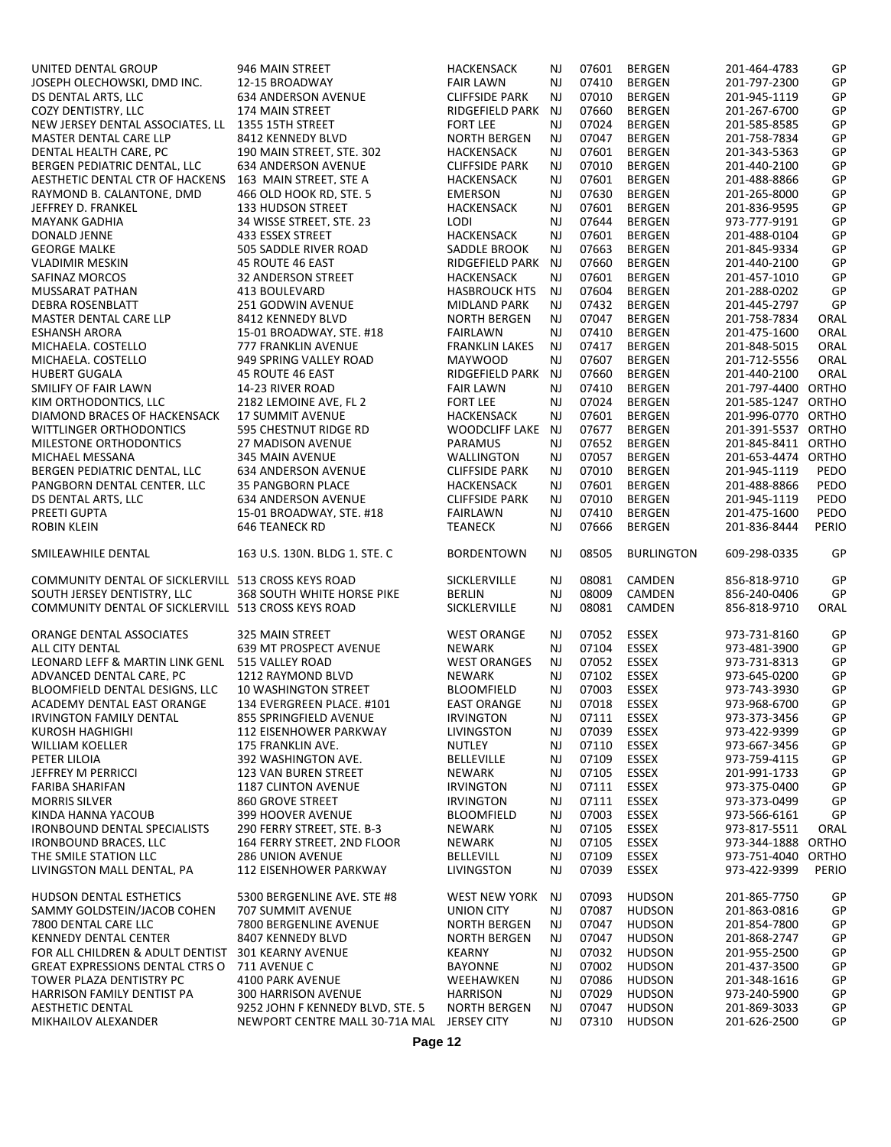UNITED DENTAL GROUP 946 MAIN STREET HACKENSACK NJ 07601 BERGEN 201-464-4783 GP<br>JOSEPH OLECHOWSKI, DMD INC. 12-15 BROADWAY FAIR LAWN NJ 07410 BERGEN 201-797-2300 GP JOSEPH OLECHOWSKI, DMD INC. 12-15 BROADWAY FAIR LAWN NJ 07410 BERGEN 201-797-2300 GP DS DENTAL ARTS, LLC 634 ANDERSON AVENUE CLIFFSIDE PARK NJ 07010 BERGEN 201-945-1119 GP COZY DENTISTRY, LLC 174 MAIN STREET RIDGEFIELD PARK NJ 07660 BERGEN 201-267-6700 GP NEW JERSEY DENTAL ASSOCIATES. LL 1355 15TH STREET FORT LEE NJ 07024 BERGEN 201-585-8585 GP<br>MASTER DENTAL CARE LLP 8412 KENNEDY BLVD NORTH BERGEN NJ 07047 BERGEN 201-758-7834 GP MASTER DENTAL CARE LLP 8412 KENNEDY BLVD NORTH BERGEN NJ 07047 BERGEN 201-758-7834 GP DENTAL HEALTH CARE, PC 190 MAIN STREET, STE. 302 HACKENSACK NJ 07601 BERGEN 201-343-5363 GP BERGEN PEDIATRIC DENTAL, LLC 634 ANDERSON AVENUE CLIFFSIDE PARK NJ 07010 BERGEN 201-440-2100 GP AESTHETIC DENTAL CTR OF HACKENS 163 MAIN STREET. STE A A HACKENSACK NJ 07601 BERGEN 201-488-8866 GP<br>RAYMOND B. CALANTONE, DMD 466 OLD HOOK RD, STE. 5 EMERSON NJ 07630 BERGEN 201-265-8000 GP RAYMOND B. CALANTONE, DMD 466 OLD HOOK RD, STE. 5 EMERSON NJ 07630 BERGEN 201-265-8000 GP JEFFREY D. FRANKEL 133 HUDSON STREET HACKENSACK NJ 07601 BERGEN 201-836-9595 GP MAYANK GADHIA 34 WISSE STREET, STE. 23 LODI NJ 07644 BERGEN 973-777-9191 GP DONALD JENNE 433 ESSEX STREET HACKENSACK NJ 07601 BERGEN 201-488-0104 GP GEORGE MALKE 505 SADDLE RIVER ROAD SADDLE BROOK NJ 07663 BERGEN 201-845-9334 GP VLADIMIR MESKIN 45 ROUTE 46 EAST RIDGEFIELD PARK NJ 07660 BERGEN 201-440-2100 GP SAFINAZ MORCOS 32 ANDERSON STREET HACKENSACK NJ 07601 BERGEN 201-457-1010 GP MUSSARAT PATHAN 413 BOULEVARD HASBROUCK HTS NJ 07604 BERGEN 201-288-0202 GP DEBRA ROSENBLATT 251 GODWIN AVENUE MIDLAND PARK NJ 07432 BERGEN 201-445-2797 GP MASTER DENTAL CARE LLP 8412 KENNEDY BLVD NORTH BERGEN NJ 07047 BERGEN 201-758-7834 ORAL 201-475-1600 DRAL 201-475-1600 ORAL ESHANSH AROADWAY, STE. #18 FAIRLAWN NJ 07410 BERGEN 15-01 BANGANG PAIRLAWN NJ 07417 BERGEN 2014 MICHAELA. COSTELLO 777 FRANKLIN AVENUE FRANKLIN LAKES NJ 07417 BERGEN 201-848-5015 ORAL MICHAELA. COSTELLO 949 SPRING VALLEY ROAD MAYWOOD NJ 07607 BERGEN 201-712-5556 ORAL HUBERT GUGALA 45 ROUTE 46 EAST RIDGEFIELD PARK NJ 07660 BERGEN 201-440-2100 ORAL SMILIFY OF FAIR LAWN 14-23 RIVER ROAD FAIR LAWN NJ 07410 BERGEN 201-797-4400 ORTHO<br>14-23 RIVER ROAD FORT LEE NJ 07024 BERGEN 201-585-1247 ORTHO KIM ORTHODONTICS, LLC 2182 LEMOINE AVE, FL 2 FORT LEE NJ 07024 BERGEN 201-585-1247 ORTHO DIAMOND BRACES OF HACKENSACK 17 SUMMIT AVENUE HACKENSACK NJ 07601 BERGEN 201-996-0770 ORTHO WITTLINGER ORTHODONTICS 595 CHESTNUT RIDGE RD WOODCLIFF LAKE NJ 07677 BERGEN 201-391-5537 ORTHO MILESTONE ORTHODONTICS 27 MADISON AVENUE PARAMUS NJ 07652 BERGEN 201-845-8411 ORTHO MICHAEL MESSANA 345 MAIN AVENUE WALLINGTON NJ 07057 BERGEN 201-653-4474 ORTHO BERGEN PEDIATRIC DENTAL, LLC 634 ANDERSON AVENUE CLIFFSIDE PARK NJ 07010 BERGEN 201-945-1119 PEDO PANGBORN DENTAL CENTER, LLC 35 PANGBORN PLACE HACKENSACK NJ 07601 BERGEN 201-488-8866 PEDO DS DENTAL ARTS, LLC 634 ANDERSON AVENUE CLIFFSIDE PARK NJ 07010 BERGEN 201-945-1119 PEDO PREETI GUPTA 15-01 BROADWAY, STE. #18 FAIRLAWN NJ 07410 BERGEN 201-475-1600 PEDO ROBIN KLEIN 646 TEANECK RD TEANECK NJ 07666 BERGEN 201-836-8444 PERIO SMILEAWHILE DENTAL 163 U.S. 130N. BLDG 1, STE. C BORDENTOWN NJ 08505 BURLINGTON 609-298-0335 GP COMMUNITY DENTAL OF SICKLERVILL 513 CROSS KEYS ROAD SICKLERVILLE NJ 08081 CAMDEN 856-818-9710 GP<br>SOUTH JERSEY DENTISTRY. I J.C. 368 SOUTH WHITE HORSE PIKE BERLIN NJ 08009 CAMDEN 856-240-0406 GP SOUTH WHITE HORSE PIKE BERLIN NJ 08009 CAMDEN 856-240-0406 GP<br>SI3 CROSS KEYS ROAD SICKLERVILLE NJ 08081 CAMDEN 856-818-9710 ORAL COMMUNITY DENTAL OF SICKLERVILL 513 CROSS KEYS ROAD ORANGE DENTAL ASSOCIATES 325 MAIN STREET WEST ORANGE NJ 07052 ESSEX 973-731-8160 GP ALL CITY DENTAL 639 MT PROSPECT AVENUE NEWARK NJ 07104 ESSEX 973-481-3900 GP LEONARD LEFF & MARTIN LINK GENL 515 VALLEY ROAD WEST ORANGES NJ 07052 ESSEX 973-731-8313 GP ADVANCED DENTAL CARE, PC 1212 RAYMOND BLVD NEWARK NJ 07102 ESSEX 973-645-0200 GP<br>BLOOMFIELD DENTAL DESIGNS. LLC 10 WASHINGTON STREET BLOOMFIELD NJ 07003 ESSEX 973-743-3930 GP BLOOMFIELD DENTAL DESIGNS, LLC 10 WASHINGTON STREET BLOOMFIELD NJ 07003 ESSEX 973-743-3930 GP ACADEMY DENTAL EAST ORANGE 134 EVERGREEN PLACE, #101 EAST ORANGE NJ 07018<br>IRVINGTON FAMILY DENTAL 855 SPRINGFIELD AVENUE IRVINGTON NJ 07111 IRVINGTON FAMILY DENTAL 855 SPRINGFIELD AVENUE IRVINGTON NJ 07111 ESSEX 973-373-3456 GP KUROSH HAGHIGHI 112 EISENHOWER PARKWAY LIVINGSTON NJ 07039 ESSEX 973-422-9399 GP WILLIAM KOELLER 175 FRANKLIN AVE. NUTLEY NJ 07110 ESSEX 973-667-3456 GP PETER LILOIA 392 WASHINGTON AVE. BELLEVILLE NJ 07109 ESSEX 973-759-4115 GP JEFFREY M PERRICCI 123 VAN BUREN STREET NEWARK NJ 07105 ESSEX 201-991-1733 GP FARIBA SHARIFAN 1187 CLINTON AVENUE IRVINGTON NJ 07111 ESSEX 973-375-0400 GP MORRIS SILVER 860 GROVE STREET IRVINGTON NJ 07111 ESSEX 973-373-0499 GP KINDA HANNA YACOUB 399 HOOVER AVENUE BLOOMFIELD NJ 07003 ESSEX 973-566-6161 GP IRONBOUND DENTAL SPECIALISTS 1 290 FERRY STREET. STE. B-3 NEWARK NU 1 07105 ESSEX 973-817-5511 ORAL 1898 ORTHO<br>IRONBOUND BRACES, LLC 164 FERRY STREET, 2ND FLOOR NEWARK NJ 07105 ESSEX 973-344-1888 ORTHO IRONBOUND BRACES, LLC 164 FERRY STREET, 2ND FLOOR NEWARK NJ 07105 ESSEX 973-344-1888 ORTHO THE SMILE STATION LLC 286 UNION AVENUE BELLEVILL NJ 07109 ESSEX 973-751-4040 ORTHO LIVINGSTON MALL DENTAL, PA 112 EISENHOWER PARKWAY LIVINGSTON NJ 07039 ESSEX 973-422-9399 PERIO HUDSON DENTAL ESTHETICS 5300 BERGENLINE AVE. STE #8 WEST NEW YORK NJ 07093 HUDSON 201-865-7750 GP SAMMY GOLDSTEIN/JACOB COHEN 707 SUMMIT AVENUE UNION CITY NJ 07087 HUDSON 201-863-0816 GP 7800 DENTAL CARE LLC 7800 BERGENLINE AVENUE NORTH BERGEN NJ 07047 HUDSON 201-854-7800 GP KENNEDY DENTAL CENTER 8407 KENNEDY BLVD NORTH BERGEN NJ 07047 HUDSON 201-868-2747 GP FOR ALL CHILDREN & ADULT DENTIST 301 KEARNY AVENUE KEARNY NJ 07032 HUDSON 201-955-2500 GP GREAT EXPRESSIONS DENTAL CTRS O 711 AVENUE C BAYONNE NJ 07002 HUDSON 201-437-3500 GP TOWER PLAZA DENTISTRY PC 4100 PARK AVENUE WEEHAWKEN NJ 07086 HUDSON 201-348-1616 GP HARRISON FAMILY DENTIST PA AESTHETIC DENTAL 9252 JOHN F KENNEDY BLVD, STE. 5 NORTH BERGEN NJ 07047 HUDSON 201-869-3033 GP MIKHAILOV ALEXANDER NEWPORT CENTRE MALL 30-71A MAL JERSEY CITY NJ 07310 HUDSON 201-626-2500 GP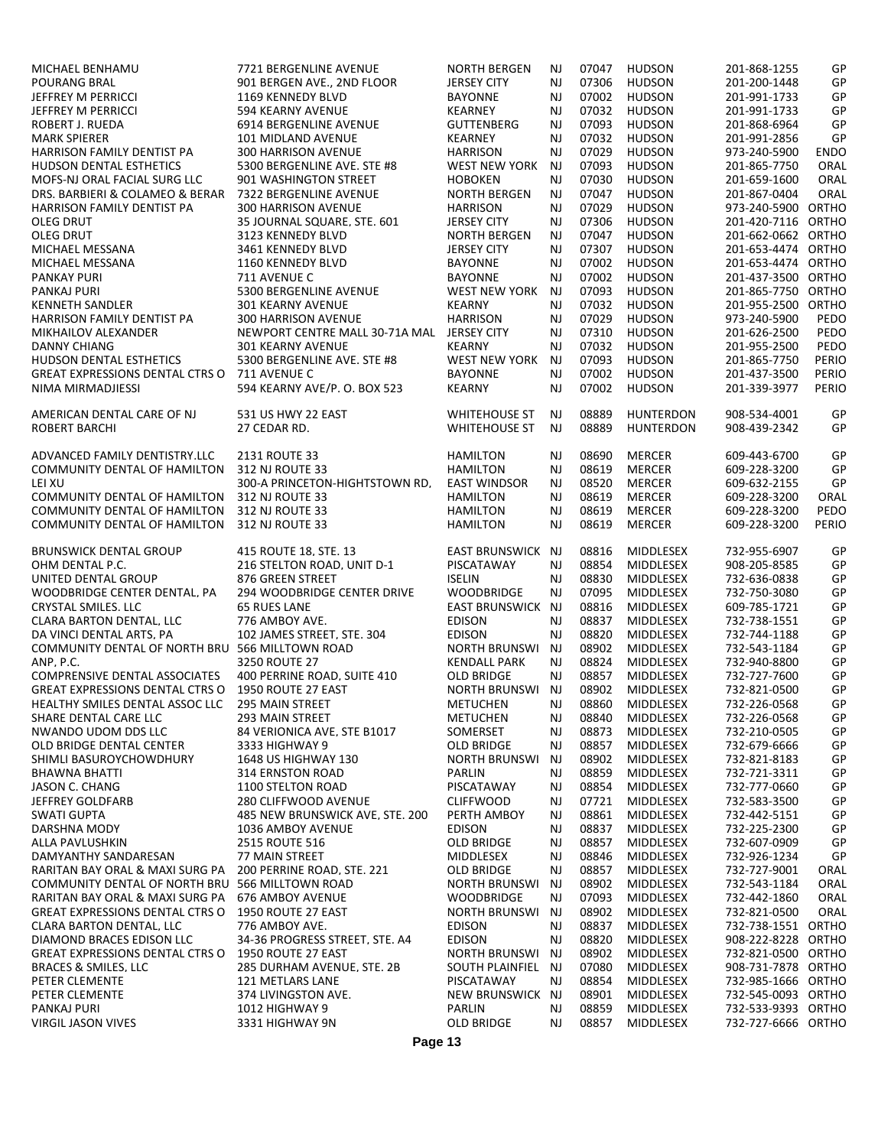| MICHAEL BENHAMU                                         | 7721 BERGENLINE AVENUE                       | <b>NORTH BERGEN</b>                | NJ        | 07047          | <b>HUDSON</b>          | 201-868-1255                 | GP           |
|---------------------------------------------------------|----------------------------------------------|------------------------------------|-----------|----------------|------------------------|------------------------------|--------------|
| <b>POURANG BRAL</b>                                     | 901 BERGEN AVE., 2ND FLOOR                   | <b>JERSEY CITY</b>                 | <b>NJ</b> | 07306          | <b>HUDSON</b>          | 201-200-1448                 | GP           |
| <b>JEFFREY M PERRICCI</b>                               | 1169 KENNEDY BLVD                            | <b>BAYONNE</b>                     | NJ        | 07002          | <b>HUDSON</b>          | 201-991-1733                 | GP           |
| JEFFREY M PERRICCI                                      | 594 KEARNY AVENUE                            | <b>KEARNEY</b>                     | <b>NJ</b> | 07032          | <b>HUDSON</b>          | 201-991-1733                 | GP           |
| ROBERT J. RUEDA                                         | 6914 BERGENLINE AVENUE                       | <b>GUTTENBERG</b>                  | NJ        | 07093          | <b>HUDSON</b>          | 201-868-6964                 | GP           |
| <b>MARK SPIERER</b>                                     | 101 MIDLAND AVENUE                           | <b>KEARNEY</b>                     | <b>NJ</b> | 07032          | <b>HUDSON</b>          | 201-991-2856                 | GP           |
| <b>HARRISON FAMILY DENTIST PA</b>                       | <b>300 HARRISON AVENUE</b>                   | <b>HARRISON</b>                    | NJ        | 07029          | <b>HUDSON</b>          | 973-240-5900                 | <b>ENDO</b>  |
| HUDSON DENTAL ESTHETICS                                 | 5300 BERGENLINE AVE. STE #8                  | WEST NEW YORK                      | NJ        | 07093          | <b>HUDSON</b>          | 201-865-7750                 | ORAL         |
| MOFS-NJ ORAL FACIAL SURG LLC                            | 901 WASHINGTON STREET                        | <b>HOBOKEN</b>                     | NJ        | 07030          | <b>HUDSON</b>          | 201-659-1600                 | ORAL         |
| DRS. BARBIERI & COLAMEO & BERAR                         | 7322 BERGENLINE AVENUE                       | <b>NORTH BERGEN</b>                | <b>NJ</b> | 07047          | <b>HUDSON</b>          | 201-867-0404                 | ORAL         |
| HARRISON FAMILY DENTIST PA                              | 300 HARRISON AVENUE                          | <b>HARRISON</b>                    | <b>NJ</b> | 07029          | <b>HUDSON</b>          | 973-240-5900 ORTHO           |              |
| OLEG DRUT                                               | 35 JOURNAL SQUARE, STE. 601                  | <b>JERSEY CITY</b>                 | NJ        | 07306          | <b>HUDSON</b>          | 201-420-7116 ORTHO           |              |
| <b>OLEG DRUT</b>                                        | 3123 KENNEDY BLVD                            | <b>NORTH BERGEN</b>                | <b>NJ</b> | 07047          | <b>HUDSON</b>          | 201-662-0662 ORTHO           |              |
| MICHAEL MESSANA                                         | 3461 KENNEDY BLVD                            | <b>JERSEY CITY</b>                 | <b>NJ</b> | 07307          | <b>HUDSON</b>          | 201-653-4474 ORTHO           |              |
| MICHAEL MESSANA                                         | 1160 KENNEDY BLVD                            | <b>BAYONNE</b>                     | <b>NJ</b> | 07002          | <b>HUDSON</b>          | 201-653-4474 ORTHO           |              |
| <b>PANKAY PURI</b>                                      | 711 AVENUE C                                 | <b>BAYONNE</b>                     | <b>NJ</b> | 07002          | <b>HUDSON</b>          | 201-437-3500 ORTHO           |              |
| PANKAJ PURI                                             | 5300 BERGENLINE AVENUE                       | WEST NEW YORK                      | NJ        | 07093          | <b>HUDSON</b>          | 201-865-7750 ORTHO           |              |
| <b>KENNETH SANDLER</b>                                  | <b>301 KEARNY AVENUE</b>                     | <b>KEARNY</b>                      | <b>NJ</b> | 07032          | <b>HUDSON</b>          | 201-955-2500 ORTHO           |              |
| HARRISON FAMILY DENTIST PA                              | <b>300 HARRISON AVENUE</b>                   | <b>HARRISON</b>                    | <b>NJ</b> | 07029          | <b>HUDSON</b>          | 973-240-5900                 | PEDO         |
| MIKHAILOV ALEXANDER                                     | NEWPORT CENTRE MALL 30-71A MAL JERSEY CITY   |                                    | <b>NJ</b> | 07310          | <b>HUDSON</b>          | 201-626-2500                 | PEDO         |
| <b>DANNY CHIANG</b>                                     | <b>301 KEARNY AVENUE</b>                     | <b>KEARNY</b>                      | <b>NJ</b> | 07032          | <b>HUDSON</b>          | 201-955-2500                 | PEDO         |
| HUDSON DENTAL ESTHETICS                                 | 5300 BERGENLINE AVE. STE #8                  | WEST NEW YORK                      | NJ        | 07093          | <b>HUDSON</b>          | 201-865-7750                 | PERIO        |
| <b>GREAT EXPRESSIONS DENTAL CTRS O</b>                  | 711 AVENUE C                                 | <b>BAYONNE</b>                     | <b>NJ</b> | 07002          | <b>HUDSON</b>          | 201-437-3500                 | PERIO        |
| NIMA MIRMADJIESSI                                       | 594 KEARNY AVE/P. O. BOX 523                 | <b>KEARNY</b>                      | <b>NJ</b> | 07002          | <b>HUDSON</b>          | 201-339-3977                 | PERIO        |
| AMERICAN DENTAL CARE OF NJ                              | 531 US HWY 22 EAST                           | <b>WHITEHOUSE ST</b>               | <b>NJ</b> | 08889          | <b>HUNTERDON</b>       | 908-534-4001                 | GP           |
| <b>ROBERT BARCHI</b>                                    | 27 CEDAR RD.                                 | <b>WHITEHOUSE ST</b>               | NJ.       | 08889          | <b>HUNTERDON</b>       | 908-439-2342                 | GP           |
|                                                         |                                              |                                    |           |                |                        |                              |              |
| ADVANCED FAMILY DENTISTRY, LLC                          | 2131 ROUTE 33                                | <b>HAMILTON</b>                    | <b>NJ</b> | 08690          | <b>MERCER</b>          | 609-443-6700                 | GP           |
| <b>COMMUNITY DENTAL OF HAMILTON</b>                     | 312 NJ ROUTE 33                              | <b>HAMILTON</b>                    | NJ        | 08619          | <b>MERCER</b>          | 609-228-3200                 | GP           |
| LEI XU                                                  | 300-A PRINCETON-HIGHTSTOWN RD,               | <b>EAST WINDSOR</b>                | NJ        | 08520          | <b>MERCER</b>          | 609-632-2155                 | GP           |
| COMMUNITY DENTAL OF HAMILTON                            | 312 NJ ROUTE 33                              | <b>HAMILTON</b>                    | NJ        | 08619          | <b>MERCER</b>          | 609-228-3200                 | ORAL         |
| COMMUNITY DENTAL OF HAMILTON                            | 312 NJ ROUTE 33                              | <b>HAMILTON</b>                    | <b>NJ</b> | 08619          | <b>MERCER</b>          | 609-228-3200                 | PEDO         |
| COMMUNITY DENTAL OF HAMILTON                            | 312 NJ ROUTE 33                              | <b>HAMILTON</b>                    | NJ        | 08619          | <b>MERCER</b>          | 609-228-3200                 | PERIO        |
|                                                         |                                              |                                    |           |                |                        |                              |              |
| <b>BRUNSWICK DENTAL GROUP</b>                           | 415 ROUTE 18. STE. 13                        | EAST BRUNSWICK NJ                  |           | 08816          | MIDDLESEX              | 732-955-6907                 | GP           |
| OHM DENTAL P.C.                                         | 216 STELTON ROAD. UNIT D-1                   | PISCATAWAY                         | NJ        | 08854          | MIDDLESEX              | 908-205-8585                 | GP           |
| UNITED DENTAL GROUP                                     | 876 GREEN STREET                             | <b>ISELIN</b>                      | <b>NJ</b> | 08830          | MIDDLESEX              | 732-636-0838                 | GP           |
| WOODBRIDGE CENTER DENTAL. PA                            | 294 WOODBRIDGE CENTER DRIVE                  | <b>WOODBRIDGE</b>                  | NJ        | 07095          | MIDDLESEX              | 732-750-3080                 | GP           |
| CRYSTAL SMILES. LLC                                     | <b>65 RUES LANE</b>                          | EAST BRUNSWICK NJ                  |           | 08816          | MIDDLESEX              | 609-785-1721                 | GP           |
| CLARA BARTON DENTAL, LLC                                | 776 AMBOY AVE.                               | <b>EDISON</b>                      | NJ        | 08837          | MIDDLESEX              | 732-738-1551                 | GP           |
| DA VINCI DENTAL ARTS. PA                                | 102 JAMES STREET, STE, 304                   | <b>EDISON</b>                      | <b>NJ</b> | 08820          | <b>MIDDLESEX</b>       | 732-744-1188                 | GP           |
| COMMUNITY DENTAL OF NORTH BRU 566 MILLTOWN ROAD         |                                              | <b>NORTH BRUNSWI NJ</b>            |           | 08902          | MIDDLESEX              | 732-543-1184                 | GP           |
| ANP, P.C.                                               | 3250 ROUTE 27                                | <b>KENDALL PARK</b>                | NJ        | 08824          | MIDDLESEX              | 732-940-8800                 | GP           |
| <b>COMPRENSIVE DENTAL ASSOCIATES</b>                    | 400 PERRINE ROAD, SUITE 410                  | <b>OLD BRIDGE</b>                  | <b>NJ</b> | 08857          | <b>MIDDLESEX</b>       | 732-727-7600                 | GP           |
| <b>GREAT EXPRESSIONS DENTAL CTRS O</b>                  | 1950 ROUTE 27 EAST                           | NORTH BRUNSWI NJ                   |           | 08902          | MIDDLESEX              | 732-821-0500                 | GP           |
| HEALTHY SMILES DENTAL ASSOC LLC 295 MAIN STREET         |                                              | <b>METUCHEN</b>                    | NJ        |                | 08860 MIDDLESEX        | 732-226-0568                 | GP           |
| SHARE DENTAL CARE LLC                                   | 293 MAIN STREET                              | METUCHEN                           | NJ        | 08840          | MIDDLESEX              | 732-226-0568                 | GP           |
| NWANDO UDOM DDS LLC                                     | 84 VERIONICA AVE, STE B1017                  | SOMERSET                           | NJ        | 08873          | MIDDLESEX              | 732-210-0505                 | GP           |
| OLD BRIDGE DENTAL CENTER                                | 3333 HIGHWAY 9                               | OLD BRIDGE                         | NJ        | 08857          | MIDDLESEX              | 732-679-6666                 | GP           |
| SHIMLI BASUROYCHOWDHURY                                 | 1648 US HIGHWAY 130                          | <b>NORTH BRUNSWI</b>               | NJ        | 08902          | MIDDLESEX              | 732-821-8183                 | GP           |
| <b>BHAWNA BHATTI</b>                                    | 314 ERNSTON ROAD                             | <b>PARLIN</b>                      | NJ        | 08859          | MIDDLESEX              | 732-721-3311                 | GP           |
| JASON C. CHANG                                          | 1100 STELTON ROAD                            | PISCATAWAY                         | NJ        | 08854          | MIDDLESEX              | 732-777-0660                 | GP           |
| <b>JEFFREY GOLDFARB</b>                                 | 280 CLIFFWOOD AVENUE                         | <b>CLIFFWOOD</b>                   | NJ        | 07721          | MIDDLESEX              | 732-583-3500                 | GP           |
| <b>SWATI GUPTA</b>                                      | 485 NEW BRUNSWICK AVE. STE. 200              | PERTH AMBOY                        | NJ        | 08861          | MIDDLESEX              | 732-442-5151                 | GP           |
| DARSHNA MODY                                            | 1036 AMBOY AVENUE                            | <b>EDISON</b>                      | NJ        | 08837          | MIDDLESEX              | 732-225-2300                 | GP           |
| ALLA PAVLUSHKIN                                         | 2515 ROUTE 516                               | <b>OLD BRIDGE</b>                  | NJ        | 08857          | MIDDLESEX              | 732-607-0909                 | GP           |
| DAMYANTHY SANDARESAN<br>RARITAN BAY ORAL & MAXI SURG PA | 77 MAIN STREET<br>200 PERRINE ROAD, STE. 221 | MIDDLESEX                          | NJ        | 08846<br>08857 | <b>MIDDLESEX</b>       | 732-926-1234                 | GP           |
| COMMUNITY DENTAL OF NORTH BRU                           |                                              | OLD BRIDGE                         | NJ<br>NJ  | 08902          | MIDDLESEX              | 732-727-9001<br>732-543-1184 | ORAL<br>ORAL |
| RARITAN BAY ORAL & MAXI SURG PA                         | 566 MILLTOWN ROAD<br>676 AMBOY AVENUE        | NORTH BRUNSWI<br><b>WOODBRIDGE</b> | NJ        | 07093          | MIDDLESEX<br>MIDDLESEX | 732-442-1860                 | ORAL         |
| <b>GREAT EXPRESSIONS DENTAL CTRS O</b>                  | 1950 ROUTE 27 EAST                           | NORTH BRUNSWI                      | NJ        | 08902          | MIDDLESEX              | 732-821-0500                 | ORAL         |
| CLARA BARTON DENTAL, LLC                                | 776 AMBOY AVE.                               | <b>EDISON</b>                      | NJ        | 08837          | MIDDLESEX              | 732-738-1551 ORTHO           |              |
| DIAMOND BRACES EDISON LLC                               | 34-36 PROGRESS STREET. STE. A4               | <b>EDISON</b>                      | NJ        | 08820          | MIDDLESEX              | 908-222-8228 ORTHO           |              |
| GREAT EXPRESSIONS DENTAL CTRS O                         | 1950 ROUTE 27 EAST                           | <b>NORTH BRUNSWI</b>               | NJ        | 08902          | MIDDLESEX              | 732-821-0500 ORTHO           |              |
| BRACES & SMILES. LLC                                    | 285 DURHAM AVENUE. STE. 2B                   | SOUTH PLAINFIEL NJ                 |           | 07080          | MIDDLESEX              | 908-731-7878 ORTHO           |              |
| PETER CLEMENTE                                          | 121 METLARS LANE                             | PISCATAWAY                         | NJ        | 08854          | MIDDLESEX              | 732-985-1666 ORTHO           |              |
| PETER CLEMENTE                                          | 374 LIVINGSTON AVE.                          | NEW BRUNSWICK NJ                   |           | 08901          | MIDDLESEX              | 732-545-0093 ORTHO           |              |
| <b>PANKAJ PURI</b>                                      | 1012 HIGHWAY 9                               | PARLIN                             | NJ        | 08859          | MIDDLESEX              | 732-533-9393 ORTHO           |              |
| VIRGIL JASON VIVES                                      | 3331 HIGHWAY 9N                              | <b>OLD BRIDGE</b>                  | NJ        | 08857          | MIDDLESEX              | 732-727-6666 ORTHO           |              |
|                                                         |                                              |                                    |           |                |                        |                              |              |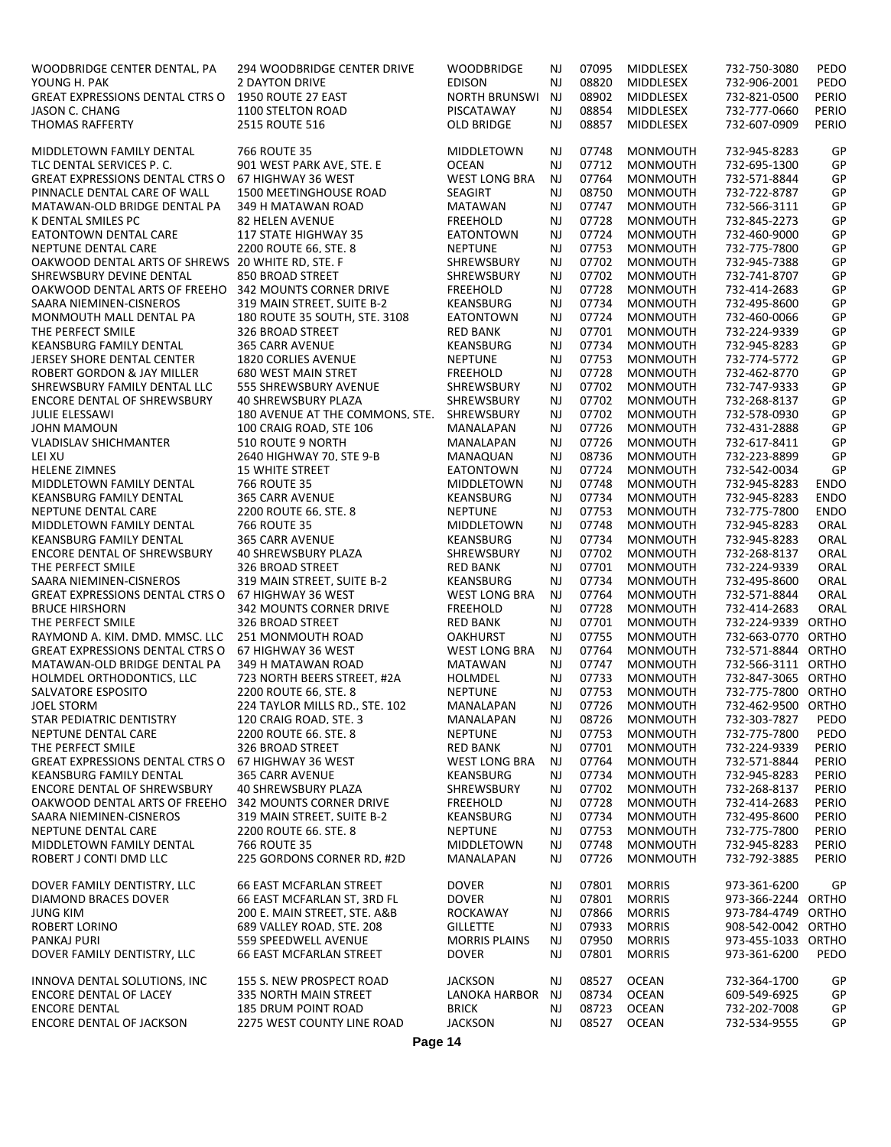| WOODBRIDGE CENTER DENTAL, PA                          | 294 WOODBRIDGE CENTER DRIVE     | <b>WOODBRIDGE</b>    | NJ        | 07095 | <b>MIDDLESEX</b> | 732-750-3080       | PEDO        |
|-------------------------------------------------------|---------------------------------|----------------------|-----------|-------|------------------|--------------------|-------------|
| YOUNG H. PAK                                          | <b>2 DAYTON DRIVE</b>           | <b>EDISON</b>        | NJ        | 08820 | <b>MIDDLESEX</b> | 732-906-2001       | PEDO        |
| <b>GREAT EXPRESSIONS DENTAL CTRS O</b>                | 1950 ROUTE 27 EAST              | <b>NORTH BRUNSWI</b> | NJ        | 08902 | MIDDLESEX        | 732-821-0500       | PERIO       |
| JASON C. CHANG                                        | 1100 STELTON ROAD               | PISCATAWAY           | NJ        | 08854 | MIDDLESEX        | 732-777-0660       | PERIO       |
| <b>THOMAS RAFFERTY</b>                                | 2515 ROUTE 516                  | OLD BRIDGE           | NJ        | 08857 | MIDDLESEX        | 732-607-0909       | PERIO       |
|                                                       |                                 |                      |           |       |                  |                    |             |
| MIDDLETOWN FAMILY DENTAL                              | 766 ROUTE 35                    | MIDDLETOWN           | NJ        | 07748 | <b>MONMOUTH</b>  | 732-945-8283       | GP          |
| TLC DENTAL SERVICES P.C.                              | 901 WEST PARK AVE. STE. E       | OCEAN                | <b>NJ</b> | 07712 | <b>MONMOUTH</b>  | 732-695-1300       | GP          |
| <b>GREAT EXPRESSIONS DENTAL CTRS O</b>                | 67 HIGHWAY 36 WEST              | <b>WEST LONG BRA</b> | NJ        | 07764 | MONMOUTH         | 732-571-8844       | GP          |
| PINNACLE DENTAL CARE OF WALL                          | 1500 MEETINGHOUSE ROAD          | <b>SEAGIRT</b>       | <b>NJ</b> | 08750 | <b>MONMOUTH</b>  | 732-722-8787       | GP          |
| MATAWAN-OLD BRIDGE DENTAL PA                          | 349 H MATAWAN ROAD              | MATAWAN              | <b>NJ</b> | 07747 | <b>MONMOUTH</b>  | 732-566-3111       | GP          |
| K DENTAL SMILES PC                                    | <b>82 HELEN AVENUE</b>          | <b>FREEHOLD</b>      | <b>NJ</b> | 07728 | <b>MONMOUTH</b>  | 732-845-2273       | GP          |
| <b>EATONTOWN DENTAL CARE</b>                          | 117 STATE HIGHWAY 35            | EATONTOWN            | <b>NJ</b> | 07724 | MONMOUTH         | 732-460-9000       | GP          |
| NEPTUNE DENTAL CARE                                   | 2200 ROUTE 66, STE, 8           | <b>NEPTUNE</b>       | NJ        | 07753 | <b>MONMOUTH</b>  | 732-775-7800       | GP          |
| OAKWOOD DENTAL ARTS OF SHREWS 20 WHITE RD, STE. F     |                                 | SHREWSBURY           | NJ        | 07702 | <b>MONMOUTH</b>  | 732-945-7388       | GP          |
|                                                       |                                 |                      |           | 07702 |                  |                    |             |
| SHREWSBURY DEVINE DENTAL                              | 850 BROAD STREET                | <b>SHREWSBURY</b>    | <b>NJ</b> |       | <b>MONMOUTH</b>  | 732-741-8707       | GP          |
| OAKWOOD DENTAL ARTS OF FREEHO 342 MOUNTS CORNER DRIVE |                                 | <b>FREEHOLD</b>      | <b>NJ</b> | 07728 | <b>MONMOUTH</b>  | 732-414-2683       | GP          |
| SAARA NIEMINEN-CISNEROS                               | 319 MAIN STREET. SUITE B-2      | KEANSBURG            | NJ        | 07734 | <b>MONMOUTH</b>  | 732-495-8600       | GP          |
| MONMOUTH MALL DENTAL PA                               | 180 ROUTE 35 SOUTH, STE. 3108   | EATONTOWN            | NJ        | 07724 | <b>MONMOUTH</b>  | 732-460-0066       | GP          |
| THE PERFECT SMILE                                     | 326 BROAD STREET                | <b>RED BANK</b>      | <b>NJ</b> | 07701 | <b>MONMOUTH</b>  | 732-224-9339       | GP          |
| KEANSBURG FAMILY DENTAL                               | <b>365 CARR AVENUE</b>          | KEANSBURG            | <b>NJ</b> | 07734 | MONMOUTH         | 732-945-8283       | GP          |
| <b>JERSEY SHORE DENTAL CENTER</b>                     | <b>1820 CORLIES AVENUE</b>      | <b>NEPTUNE</b>       | NJ        | 07753 | <b>MONMOUTH</b>  | 732-774-5772       | GP          |
| <b>ROBERT GORDON &amp; JAY MILLER</b>                 | <b>680 WEST MAIN STRET</b>      | <b>FREEHOLD</b>      | NJ        | 07728 | <b>MONMOUTH</b>  | 732-462-8770       | GP          |
| SHREWSBURY FAMILY DENTAL LLC                          | 555 SHREWSBURY AVENUE           | SHREWSBURY           | <b>NJ</b> | 07702 | <b>MONMOUTH</b>  | 732-747-9333       | GP          |
| <b>ENCORE DENTAL OF SHREWSBURY</b>                    | <b>40 SHREWSBURY PLAZA</b>      | SHREWSBURY           | NJ        | 07702 | <b>MONMOUTH</b>  | 732-268-8137       | GP          |
| <b>JULIE ELESSAWI</b>                                 | 180 AVENUE AT THE COMMONS, STE. | SHREWSBURY           | NJ        | 07702 | MONMOUTH         | 732-578-0930       | GP          |
| <b>JOHN MAMOUN</b>                                    | 100 CRAIG ROAD, STE 106         | MANALAPAN            | NJ        | 07726 | <b>MONMOUTH</b>  | 732-431-2888       | GP          |
| <b>VLADISLAV SHICHMANTER</b>                          | 510 ROUTE 9 NORTH               | MANALAPAN            | NJ        | 07726 | <b>MONMOUTH</b>  | 732-617-8411       | GP          |
| LEI XU                                                | 2640 HIGHWAY 70, STE 9-B        | MANAQUAN             | NJ        | 08736 | <b>MONMOUTH</b>  | 732-223-8899       | GP          |
| <b>HELENE ZIMNES</b>                                  | <b>15 WHITE STREET</b>          | EATONTOWN            | NJ        | 07724 | <b>MONMOUTH</b>  | 732-542-0034       | GP          |
| MIDDLETOWN FAMILY DENTAL                              | 766 ROUTE 35                    | MIDDLETOWN           | NJ        | 07748 | <b>MONMOUTH</b>  | 732-945-8283       | <b>ENDO</b> |
| KEANSBURG FAMILY DENTAL                               | <b>365 CARR AVENUE</b>          | KEANSBURG            | NJ        | 07734 | MONMOUTH         | 732-945-8283       | <b>ENDO</b> |
| NEPTUNE DENTAL CARE                                   | 2200 ROUTE 66, STE. 8           | <b>NEPTUNE</b>       | <b>NJ</b> | 07753 | <b>MONMOUTH</b>  | 732-775-7800       | <b>ENDO</b> |
| MIDDLETOWN FAMILY DENTAL                              | 766 ROUTE 35                    | MIDDLETOWN           | <b>NJ</b> | 07748 | <b>MONMOUTH</b>  | 732-945-8283       | ORAL        |
|                                                       |                                 |                      |           |       |                  |                    |             |
| <b>KEANSBURG FAMILY DENTAL</b>                        | <b>365 CARR AVENUE</b>          | <b>KEANSBURG</b>     | NJ        | 07734 | <b>MONMOUTH</b>  | 732-945-8283       | ORAL        |
| <b>ENCORE DENTAL OF SHREWSBURY</b>                    | <b>40 SHREWSBURY PLAZA</b>      | <b>SHREWSBURY</b>    | NJ        | 07702 | <b>MONMOUTH</b>  | 732-268-8137       | ORAL        |
| THE PERFECT SMILE                                     | 326 BROAD STREET                | <b>RED BANK</b>      | <b>NJ</b> | 07701 | <b>MONMOUTH</b>  | 732-224-9339       | ORAL        |
| SAARA NIEMINEN-CISNEROS                               | 319 MAIN STREET. SUITE B-2      | <b>KEANSBURG</b>     | NJ        | 07734 | <b>MONMOUTH</b>  | 732-495-8600       | ORAL        |
| <b>GREAT EXPRESSIONS DENTAL CTRS O</b>                | 67 HIGHWAY 36 WEST              | <b>WEST LONG BRA</b> | NJ        | 07764 | <b>MONMOUTH</b>  | 732-571-8844       | ORAL        |
| <b>BRUCE HIRSHORN</b>                                 | 342 MOUNTS CORNER DRIVE         | <b>FREEHOLD</b>      | <b>NJ</b> | 07728 | <b>MONMOUTH</b>  | 732-414-2683       | ORAL        |
| THE PERFECT SMILE                                     | 326 BROAD STREET                | <b>RED BANK</b>      | <b>NJ</b> | 07701 | <b>MONMOUTH</b>  | 732-224-9339 ORTHO |             |
| RAYMOND A. KIM, DMD, MMSC, LLC                        | 251 MONMOUTH ROAD               | <b>OAKHURST</b>      | <b>NJ</b> | 07755 | <b>MONMOUTH</b>  | 732-663-0770 ORTHO |             |
| <b>GREAT EXPRESSIONS DENTAL CTRS O</b>                | 67 HIGHWAY 36 WEST              | <b>WEST LONG BRA</b> | NJ        | 07764 | <b>MONMOUTH</b>  | 732-571-8844 ORTHO |             |
| MATAWAN-OLD BRIDGE DENTAL PA                          | 349 H MATAWAN ROAD              | <b>MATAWAN</b>       | <b>NJ</b> | 07747 | <b>MONMOUTH</b>  | 732-566-3111 ORTHO |             |
| <b>HOLMDEL ORTHODONTICS, LLC</b>                      | 723 NORTH BEERS STREET, #2A     | HOLMDEL              | NJ        | 07733 | <b>MONMOUTH</b>  | 732-847-3065 ORTHO |             |
| SALVATORE ESPOSITO                                    | 2200 ROUTE 66, STE. 8           | <b>NEPTUNE</b>       | NJ        | 07753 | <b>MONMOUTH</b>  | 732-775-7800 ORTHO |             |
| <b>JOEL STORM</b>                                     | 224 TAYLOR MILLS RD., STE. 102  | MANALAPAN            | NJ        | 07726 | <b>MONMOUTH</b>  | 732-462-9500 ORTHO |             |
| STAR PEDIATRIC DENTISTRY                              | 120 CRAIG ROAD, STE. 3          | MANALAPAN            | NJ        | 08726 | <b>MONMOUTH</b>  | 732-303-7827       | PEDO        |
| NEPTUNE DENTAL CARE                                   | 2200 ROUTE 66. STE. 8           | <b>NEPTUNE</b>       | NJ        | 07753 | <b>MONMOUTH</b>  | 732-775-7800       | PEDO        |
| THE PERFECT SMILE                                     | 326 BROAD STREET                | <b>RED BANK</b>      | NJ        | 07701 | <b>MONMOUTH</b>  | 732-224-9339       | PERIO       |
| GREAT EXPRESSIONS DENTAL CTRS O 67 HIGHWAY 36 WEST    |                                 | <b>WEST LONG BRA</b> | NJ        | 07764 | <b>MONMOUTH</b>  | 732-571-8844       | PERIO       |
| <b>KEANSBURG FAMILY DENTAL</b>                        | <b>365 CARR AVENUE</b>          | KEANSBURG            | NJ        | 07734 | <b>MONMOUTH</b>  | 732-945-8283       | PERIO       |
| <b>ENCORE DENTAL OF SHREWSBURY</b>                    | <b>40 SHREWSBURY PLAZA</b>      | <b>SHREWSBURY</b>    | NJ        | 07702 | <b>MONMOUTH</b>  | 732-268-8137       | PERIO       |
| OAKWOOD DENTAL ARTS OF FREEHO 342 MOUNTS CORNER DRIVE |                                 | <b>FREEHOLD</b>      | NJ        | 07728 | <b>MONMOUTH</b>  | 732-414-2683       | PERIO       |
| SAARA NIEMINEN-CISNEROS                               | 319 MAIN STREET. SUITE B-2      | <b>KEANSBURG</b>     | NJ        | 07734 | <b>MONMOUTH</b>  | 732-495-8600       | PERIO       |
| NEPTUNE DENTAL CARE                                   | 2200 ROUTE 66. STE. 8           | <b>NEPTUNE</b>       | NJ        | 07753 | MONMOUTH         | 732-775-7800       | PERIO       |
| MIDDLETOWN FAMILY DENTAL                              | 766 ROUTE 35                    | MIDDLETOWN           | NJ        | 07748 | <b>MONMOUTH</b>  | 732-945-8283       | PERIO       |
| ROBERT J CONTI DMD LLC                                | 225 GORDONS CORNER RD, #2D      | MANALAPAN            | NJ        | 07726 | <b>MONMOUTH</b>  | 732-792-3885       | PERIO       |
|                                                       |                                 |                      |           |       |                  |                    |             |
| DOVER FAMILY DENTISTRY, LLC                           | <b>66 EAST MCFARLAN STREET</b>  | <b>DOVER</b>         | NJ        | 07801 | <b>MORRIS</b>    | 973-361-6200       | GP          |
| DIAMOND BRACES DOVER                                  | 66 EAST MCFARLAN ST, 3RD FL     | <b>DOVER</b>         | NJ        | 07801 | <b>MORRIS</b>    | 973-366-2244 ORTHO |             |
| <b>JUNG KIM</b>                                       | 200 E. MAIN STREET, STE. A&B    | <b>ROCKAWAY</b>      | NJ        | 07866 | <b>MORRIS</b>    | 973-784-4749 ORTHO |             |
| <b>ROBERT LORINO</b>                                  | 689 VALLEY ROAD. STE. 208       | <b>GILLETTE</b>      | NJ        | 07933 | <b>MORRIS</b>    | 908-542-0042 ORTHO |             |
| PANKAJ PURI                                           | 559 SPEEDWELL AVENUE            | <b>MORRIS PLAINS</b> | NJ        | 07950 | <b>MORRIS</b>    | 973-455-1033 ORTHO |             |
| DOVER FAMILY DENTISTRY, LLC                           | 66 EAST MCFARLAN STREET         | <b>DOVER</b>         | NJ        | 07801 | <b>MORRIS</b>    | 973-361-6200       | PEDO        |
|                                                       |                                 |                      |           |       |                  |                    |             |
| INNOVA DENTAL SOLUTIONS. INC                          | 155 S. NEW PROSPECT ROAD        | JACKSON              | NJ        | 08527 | <b>OCEAN</b>     | 732-364-1700       | GP          |
| ENCORE DENTAL OF LACEY                                | 335 NORTH MAIN STREET           | LANOKA HARBOR        | NJ        | 08734 | <b>OCEAN</b>     | 609-549-6925       | GP          |
| <b>ENCORE DENTAL</b>                                  | <b>185 DRUM POINT ROAD</b>      | <b>BRICK</b>         | NJ        | 08723 | <b>OCEAN</b>     | 732-202-7008       | GP          |
| ENCORE DENTAL OF JACKSON                              | 2275 WEST COUNTY LINE ROAD      | <b>JACKSON</b>       | NJ        | 08527 | <b>OCEAN</b>     | 732-534-9555       | GP          |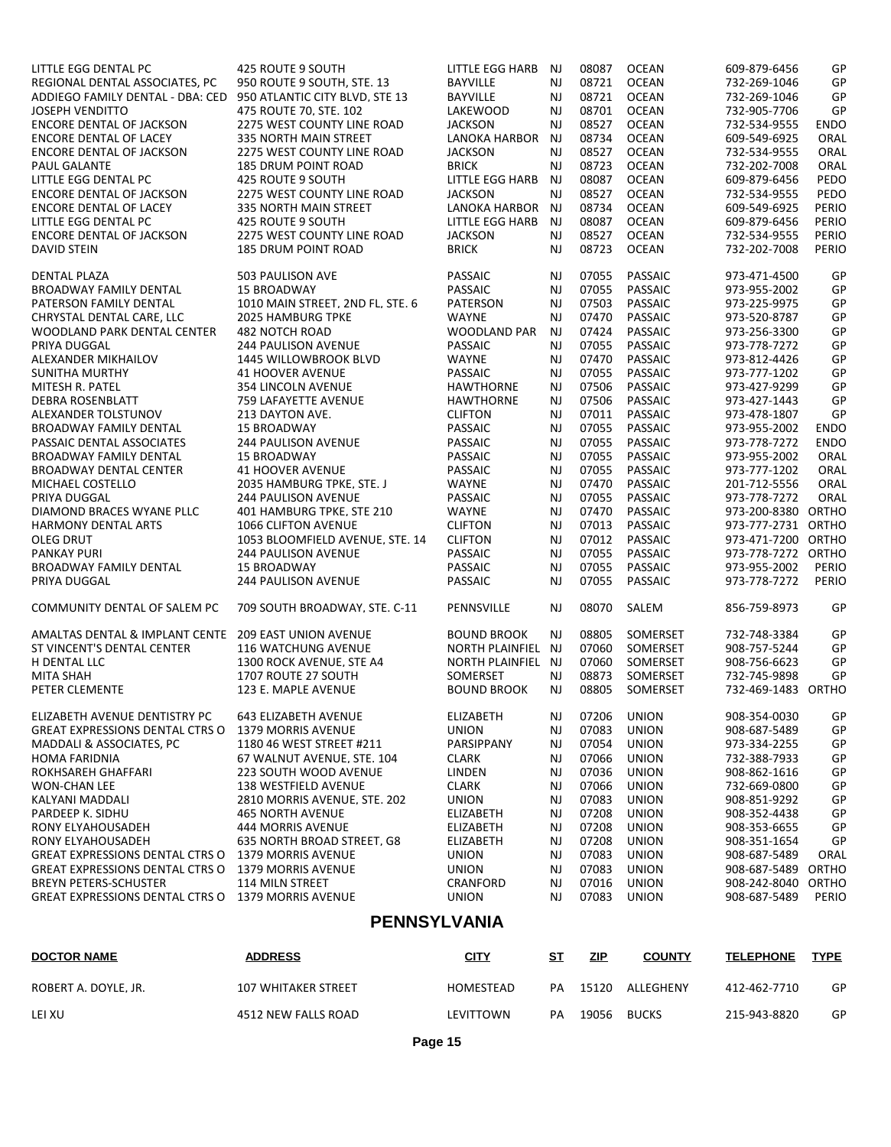| LITTLE EGG DENTAL PC                      | 425 ROUTE 9 SOUTH                | LITTLE EGG HARB        | NJ        | 08087 | <b>OCEAN</b>              | 609-879-6456       | GP          |
|-------------------------------------------|----------------------------------|------------------------|-----------|-------|---------------------------|--------------------|-------------|
| REGIONAL DENTAL ASSOCIATES, PC            | 950 ROUTE 9 SOUTH, STE. 13       | <b>BAYVILLE</b>        | NJ        | 08721 | <b>OCEAN</b>              | 732-269-1046       | GP          |
| ADDIEGO FAMILY DENTAL - DBA: CED          | 950 ATLANTIC CITY BLVD, STE 13   | <b>BAYVILLE</b>        | <b>NJ</b> | 08721 | <b>OCEAN</b>              | 732-269-1046       | GP          |
| <b>JOSEPH VENDITTO</b>                    | 475 ROUTE 70. STE. 102           | LAKEWOOD               | <b>NJ</b> | 08701 | <b>OCEAN</b>              | 732-905-7706       | GP          |
| <b>ENCORE DENTAL OF JACKSON</b>           | 2275 WEST COUNTY LINE ROAD       | <b>JACKSON</b>         | <b>NJ</b> | 08527 | <b>OCEAN</b>              | 732-534-9555       | ENDO        |
| <b>ENCORE DENTAL OF LACEY</b>             | 335 NORTH MAIN STREET            | LANOKA HARBOR          | <b>NJ</b> | 08734 | <b>OCEAN</b>              | 609-549-6925       | ORAL        |
| ENCORE DENTAL OF JACKSON                  | 2275 WEST COUNTY LINE ROAD       | <b>JACKSON</b>         | <b>NJ</b> | 08527 | <b>OCEAN</b>              | 732-534-9555       | ORAL        |
| PAUL GALANTE                              | <b>185 DRUM POINT ROAD</b>       | <b>BRICK</b>           | <b>NJ</b> | 08723 | <b>OCEAN</b>              | 732-202-7008       | ORAL        |
| LITTLE EGG DENTAL PC                      | 425 ROUTE 9 SOUTH                | <b>LITTLE EGG HARB</b> | <b>NJ</b> | 08087 | <b>OCEAN</b>              | 609-879-6456       | PEDO        |
| ENCORE DENTAL OF JACKSON                  | 2275 WEST COUNTY LINE ROAD       | <b>JACKSON</b>         | NJ        | 08527 | <b>OCEAN</b>              | 732-534-9555       | PEDO        |
| <b>ENCORE DENTAL OF LACEY</b>             | 335 NORTH MAIN STREET            | LANOKA HARBOR NJ       |           | 08734 | <b>OCEAN</b>              | 609-549-6925       | PERIO       |
| LITTLE EGG DENTAL PC                      | 425 ROUTE 9 SOUTH                | LITTLE EGG HARB        | <b>NJ</b> | 08087 | <b>OCEAN</b>              | 609-879-6456       | PERIO       |
| ENCORE DENTAL OF JACKSON                  | 2275 WEST COUNTY LINE ROAD       | <b>JACKSON</b>         | NJ        | 08527 | <b>OCEAN</b>              | 732-534-9555       | PERIO       |
| <b>DAVID STEIN</b>                        | <b>185 DRUM POINT ROAD</b>       | <b>BRICK</b>           | <b>NJ</b> | 08723 | <b>OCEAN</b>              | 732-202-7008       | PERIO       |
| <b>DENTAL PLAZA</b>                       | 503 PAULISON AVE                 | <b>PASSAIC</b>         | NJ        | 07055 | <b>PASSAIC</b>            | 973-471-4500       | GP          |
| <b>BROADWAY FAMILY DENTAL</b>             | <b>15 BROADWAY</b>               | PASSAIC                | <b>NJ</b> | 07055 | PASSAIC                   | 973-955-2002       | GP          |
| PATERSON FAMILY DENTAL                    | 1010 MAIN STREET. 2ND FL. STE. 6 | <b>PATERSON</b>        | <b>NJ</b> | 07503 | <b>PASSAIC</b>            | 973-225-9975       | GP          |
| CHRYSTAL DENTAL CARE, LLC                 | <b>2025 HAMBURG TPKE</b>         | <b>WAYNE</b>           | <b>NJ</b> | 07470 | PASSAIC                   | 973-520-8787       | GP          |
| WOODLAND PARK DENTAL CENTER               | 482 NOTCH ROAD                   | WOODLAND PAR           | NJ        | 07424 | <b>PASSAIC</b>            | 973-256-3300       | GP          |
| PRIYA DUGGAL                              | <b>244 PAULISON AVENUE</b>       | PASSAIC                | <b>NJ</b> | 07055 | PASSAIC                   | 973-778-7272       | GP          |
| ALEXANDER MIKHAILOV                       | <b>1445 WILLOWBROOK BLVD</b>     | <b>WAYNE</b>           | <b>NJ</b> | 07470 | PASSAIC                   | 973-812-4426       | GP          |
| <b>SUNITHA MURTHY</b>                     | <b>41 HOOVER AVENUE</b>          | <b>PASSAIC</b>         | NJ        | 07055 | PASSAIC                   | 973-777-1202       | GP          |
| MITESH R. PATEL                           | <b>354 LINCOLN AVENUE</b>        | <b>HAWTHORNE</b>       | <b>NJ</b> | 07506 | <b>PASSAIC</b>            | 973-427-9299       | GP          |
|                                           |                                  |                        |           |       |                           |                    |             |
| <b>DEBRA ROSENBLATT</b>                   | 759 LAFAYETTE AVENUE             | <b>HAWTHORNE</b>       | <b>NJ</b> | 07506 | PASSAIC<br><b>PASSAIC</b> | 973-427-1443       | GP          |
| ALEXANDER TOLSTUNOV                       | 213 DAYTON AVE.                  | <b>CLIFTON</b>         | <b>NJ</b> | 07011 |                           | 973-478-1807       | GP          |
| <b>BROADWAY FAMILY DENTAL</b>             | <b>15 BROADWAY</b>               | <b>PASSAIC</b>         | <b>NJ</b> | 07055 | PASSAIC                   | 973-955-2002       | <b>ENDO</b> |
| PASSAIC DENTAL ASSOCIATES                 | <b>244 PAULISON AVENUE</b>       | PASSAIC                | NJ        | 07055 | <b>PASSAIC</b>            | 973-778-7272       | <b>ENDO</b> |
| BROADWAY FAMILY DENTAL                    | <b>15 BROADWAY</b>               | <b>PASSAIC</b>         | <b>NJ</b> | 07055 | <b>PASSAIC</b>            | 973-955-2002       | ORAL        |
| <b>BROADWAY DENTAL CENTER</b>             | <b>41 HOOVER AVENUE</b>          | PASSAIC                | <b>NJ</b> | 07055 | PASSAIC                   | 973-777-1202       | ORAL        |
| MICHAEL COSTELLO                          | 2035 HAMBURG TPKE, STE. J        | <b>WAYNE</b>           | <b>NJ</b> | 07470 | PASSAIC                   | 201-712-5556       | ORAL        |
| PRIYA DUGGAL                              | <b>244 PAULISON AVENUE</b>       | PASSAIC                | <b>NJ</b> | 07055 | PASSAIC                   | 973-778-7272       | ORAL        |
| DIAMOND BRACES WYANE PLLC                 | 401 HAMBURG TPKE, STE 210        | <b>WAYNE</b>           | <b>NJ</b> | 07470 | <b>PASSAIC</b>            | 973-200-8380 ORTHO |             |
| <b>HARMONY DENTAL ARTS</b>                | 1066 CLIFTON AVENUE              | <b>CLIFTON</b>         | <b>NJ</b> | 07013 | PASSAIC                   | 973-777-2731 ORTHO |             |
| OLEG DRUT                                 | 1053 BLOOMFIELD AVENUE, STE. 14  | <b>CLIFTON</b>         | <b>NJ</b> | 07012 | PASSAIC                   | 973-471-7200 ORTHO |             |
| <b>PANKAY PURI</b>                        | <b>244 PAULISON AVENUE</b>       | <b>PASSAIC</b>         | NJ        | 07055 | PASSAIC                   | 973-778-7272 ORTHO |             |
| <b>BROADWAY FAMILY DENTAL</b>             | <b>15 BROADWAY</b>               | PASSAIC                | <b>NJ</b> | 07055 | PASSAIC                   | 973-955-2002       | PERIO       |
| PRIYA DUGGAL                              | <b>244 PAULISON AVENUE</b>       | PASSAIC                | <b>NJ</b> | 07055 | <b>PASSAIC</b>            | 973-778-7272       | PERIO       |
| COMMUNITY DENTAL OF SALEM PC              | 709 SOUTH BROADWAY. STE. C-11    | PENNSVILLE             | NJ        | 08070 | SALEM                     | 856-759-8973       | GP          |
| <b>AMALTAS DENTAL &amp; IMPLANT CENTE</b> | <b>209 EAST UNION AVENUE</b>     | <b>BOUND BROOK</b>     | <b>NJ</b> | 08805 | SOMERSET                  | 732-748-3384       | GP          |
| ST VINCENT'S DENTAL CENTER                | <b>116 WATCHUNG AVENUE</b>       | NORTH PLAINFIEL NJ     |           | 07060 | SOMERSET                  | 908-757-5244       | GP          |
| H DENTAL LLC                              | 1300 ROCK AVENUE, STE A4         | NORTH PLAINFIEL NJ     |           | 07060 | SOMERSET                  | 908-756-6623       | GP          |
| <b>MITA SHAH</b>                          | 1707 ROUTE 27 SOUTH              | SOMERSET               | NJ        | 08873 | SOMERSET                  | 732-745-9898       | GP          |
| PETER CLEMENTE                            | 123 E. MAPLE AVENUE              | <b>BOUND BROOK</b>     | <b>NJ</b> | 08805 | SOMERSET                  | 732-469-1483 ORTHO |             |
| ELIZABETH AVENUE DENTISTRY PC             | <b>643 ELIZABETH AVENUE</b>      | ELIZABETH              | NJ        | 07206 | <b>UNION</b>              | 908-354-0030       | GP          |
| <b>GREAT EXPRESSIONS DENTAL CTRS O</b>    | <b>1379 MORRIS AVENUE</b>        | <b>UNION</b>           | NJ        | 07083 | <b>UNION</b>              | 908-687-5489       | GP          |
| <b>MADDALI &amp; ASSOCIATES, PC</b>       | 1180 46 WEST STREET #211         | PARSIPPANY             | NJ        | 07054 | <b>UNION</b>              | 973-334-2255       | GP          |
|                                           |                                  |                        |           |       |                           |                    |             |
| <b>HOMA FARIDNIA</b>                      | 67 WALNUT AVENUE. STE. 104       | <b>CLARK</b>           | NJ        | 07066 | <b>UNION</b>              | 732-388-7933       | GP          |
| ROKHSAREH GHAFFARI                        | 223 SOUTH WOOD AVENUE            | LINDEN                 | NJ        | 07036 | <b>UNION</b>              | 908-862-1616       | GP          |
| <b>WON-CHAN LEE</b>                       | <b>138 WESTFIELD AVENUE</b>      | <b>CLARK</b>           | NJ        | 07066 | <b>UNION</b>              | 732-669-0800       | GP          |
| KALYANI MADDALI                           | 2810 MORRIS AVENUE. STE. 202     | <b>UNION</b>           | NJ        | 07083 | <b>UNION</b>              | 908-851-9292       | GP          |
| PARDEEP K. SIDHU                          | <b>465 NORTH AVENUE</b>          | ELIZABETH              | NJ        | 07208 | <b>UNION</b>              | 908-352-4438       | GP          |
| RONY ELYAHOUSADEH                         | 444 MORRIS AVENUE                | ELIZABETH              | NJ        | 07208 | <b>UNION</b>              | 908-353-6655       | GP          |
| RONY ELYAHOUSADEH                         | 635 NORTH BROAD STREET, G8       | ELIZABETH              | NJ        | 07208 | <b>UNION</b>              | 908-351-1654       | GP          |
| <b>GREAT EXPRESSIONS DENTAL CTRS O</b>    | <b>1379 MORRIS AVENUE</b>        | <b>UNION</b>           | NJ        | 07083 | <b>UNION</b>              | 908-687-5489       | ORAL        |
| <b>GREAT EXPRESSIONS DENTAL CTRS O</b>    | <b>1379 MORRIS AVENUE</b>        | <b>UNION</b>           | NJ        | 07083 | <b>UNION</b>              | 908-687-5489 ORTHO |             |
| <b>BREYN PETERS-SCHUSTER</b>              | 114 MILN STREET                  | CRANFORD               | NJ        | 07016 | <b>UNION</b>              | 908-242-8040       | ORTHO       |
| <b>GREAT EXPRESSIONS DENTAL CTRS O</b>    | 1379 MORRIS AVENUE               | <b>UNION</b>           | NJ        | 07083 | <b>UNION</b>              | 908-687-5489       | PERIO       |
|                                           | <b>PENNSYLVANIA</b>              |                        |           |       |                           |                    |             |
| <b>DOCTOR NAME</b>                        | <b>ADDRESS</b>                   | <b>CITY</b>            | <u>ST</u> | ZIP   | <b>COUNTY</b>             | <b>TELEPHONE</b>   | <b>TYPE</b> |
| ROBERT A. DOYLE. JR.                      | 107 WHITAKER STREET              | HOMESTEAD              | PA        | 15120 | ALLEGHENY                 | 412-462-7710       | GP          |
| LEI XU                                    | 4512 NEW FALLS ROAD              | LEVITTOWN              | PA        | 19056 | <b>BUCKS</b>              | 215-943-8820       | GP          |

**Page 15**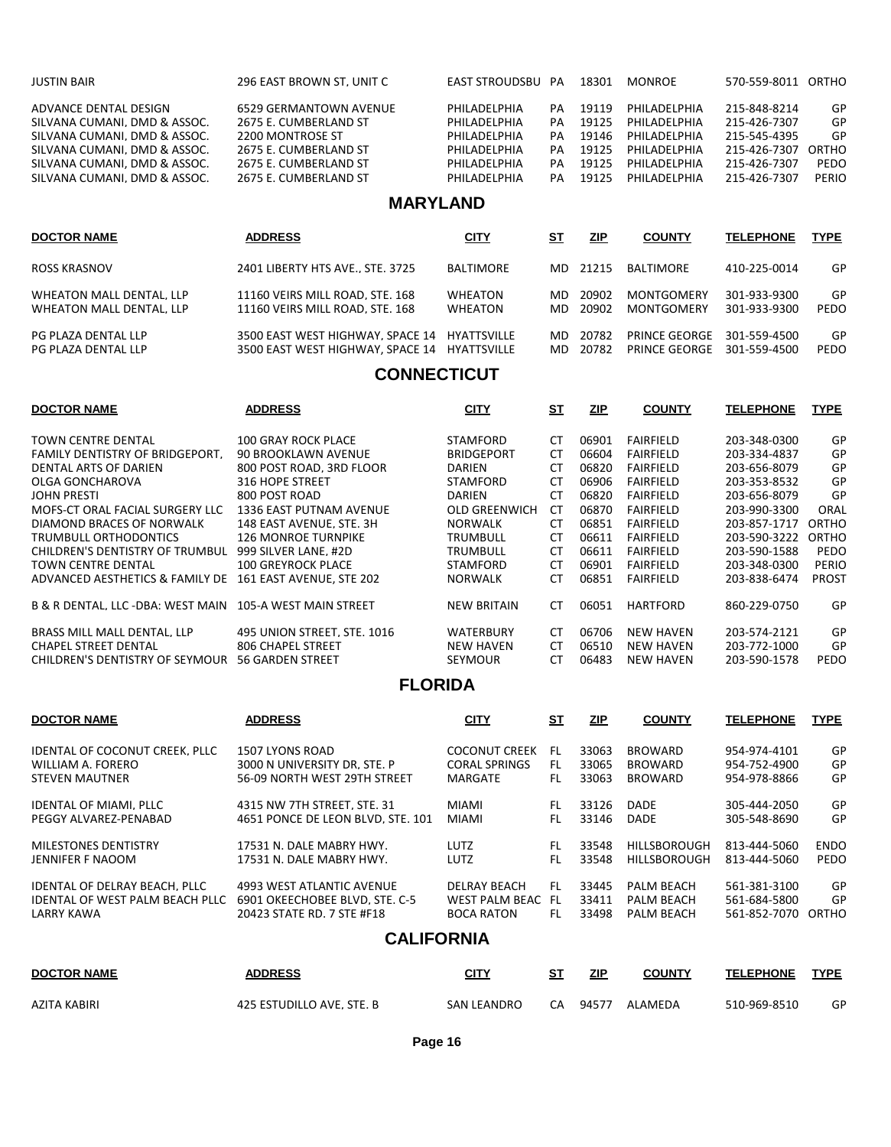| <b>JUSTIN BAIR</b>           | 296 EAST BROWN ST. UNIT C | EAST STROUDSBU  | PА | 18301      | <b>MONROF</b>  | 570-559-8011 ORTHO |       |
|------------------------------|---------------------------|-----------------|----|------------|----------------|--------------------|-------|
| ADVANCE DENTAL DESIGN        | 6529 GERMANTOWN AVENUE    | PHILADELPHIA    | PА | 19119      | PHILADELPHIA   | 215-848-8214       | GP    |
| SILVANA CUMANI. DMD & ASSOC. | 2675 E. CUMBERLAND ST     | PHILADELPHIA    | PА | 19125      | PHILADELPHIA   | 215-426-7307       | GP    |
| SILVANA CUMANI. DMD & ASSOC. | 2200 MONTROSE ST          | PHILADELPHIA    | PA | 19146      | PHILADELPHIA   | 215-545-4395       | GP    |
| SILVANA CUMANI. DMD & ASSOC. | 2675 E. CUMBERLAND ST     | PHILADELPHIA    | PA | 19125      | PHII ADFI PHIA | 215-426-7307       | ORTHO |
| SILVANA CUMANI. DMD & ASSOC. | 2675 E. CUMBERLAND ST     | PHILADELPHIA    | PA | 19125      | PHILADELPHIA   | 215-426-7307       | PEDO  |
| SILVANA CUMANI. DMD & ASSOC. | 2675 E. CUMBERLAND ST     | PHILADELPHIA    | PA | 19125      | PHILADELPHIA   | 215-426-7307       | PERIO |
|                              |                           | <b>MARYLAND</b> |    |            |                |                    |       |
| <b>DOCTOR NAME</b>           | <b>ADDRESS</b>            | <b>CITY</b>     | SТ | <u>ZIP</u> | <b>COUNTY</b>  | <b>TELEPHONE</b>   | TYPE  |

| ROSS KRASNOV                                         | 2401 LIBERTY HTS AVE., STE, 3725                                                             | BALTIMORE          |     | MD 21215          | BALTIMORE                      | 410-225-0014                 | GP         |
|------------------------------------------------------|----------------------------------------------------------------------------------------------|--------------------|-----|-------------------|--------------------------------|------------------------------|------------|
| WHEATON MALL DENTAL. LLP<br>WHEATON MALL DENTAL. LLP | 11160 VEIRS MILL ROAD, STE, 168<br>11160 VEIRS MILL ROAD, STE, 168                           | WHEATON<br>WHEATON | MD. | 20902<br>MD 20902 | MONTGOMERY<br>MONTGOMERY       | 301-933-9300<br>301-933-9300 | GP<br>PEDO |
| PG PLAZA DENTAL LLP<br>PG PLAZA DENTAL LLP           | 3500 EAST WEST HIGHWAY, SPACE 14 HYATTSVILLE<br>3500 EAST WEST HIGHWAY, SPACE 14 HYATTSVILLE |                    | MD. | MD 20782<br>20782 | PRINCF GFORGF<br>PRINCE GEORGE | 301-559-4500<br>301-559-4500 | GP<br>PEDO |

# **CONNECTICUT**

| <b>DOCTOR NAME</b>                     | <b>ADDRESS</b>              | <b>CITY</b>        | S <sub>T</sub> | ZIP   | <b>COUNTY</b>    | <b>TELEPHONE</b> | <b>TYPE</b>  |
|----------------------------------------|-----------------------------|--------------------|----------------|-------|------------------|------------------|--------------|
| <b>TOWN CENTRE DENTAL</b>              | <b>100 GRAY ROCK PLACE</b>  | <b>STAMFORD</b>    | CT             | 06901 | <b>FAIRFIELD</b> | 203-348-0300     | GP           |
| <b>FAMILY DENTISTRY OF BRIDGEPORT.</b> | <b>90 BROOKLAWN AVENUE</b>  | <b>BRIDGEPORT</b>  | СT             | 06604 | <b>FAIRFIELD</b> | 203-334-4837     | GP           |
| DENTAL ARTS OF DARIEN                  | 800 POST ROAD, 3RD FLOOR    | DARIEN             | CT             | 06820 | <b>FAIRFIELD</b> | 203-656-8079     | GP           |
| OLGA GONCHAROVA                        | 316 HOPE STREET             | STAMFORD           | CT             | 06906 | <b>FAIRFIELD</b> | 203-353-8532     | GP           |
| JOHN PRESTI                            | 800 POST ROAD               | <b>DARIEN</b>      | CT             | 06820 | <b>FAIRFIELD</b> | 203-656-8079     | GP           |
| MOFS-CT ORAL FACIAL SURGERY LLC        | 1336 EAST PUTNAM AVENUE     | OLD GREENWICH      | CT             | 06870 | <b>FAIRFIELD</b> | 203-990-3300     | ORAL         |
| DIAMOND BRACES OF NORWALK              | 148 EAST AVENUE, STE, 3H    | <b>NORWALK</b>     | CT             | 06851 | <b>FAIRFIELD</b> | 203-857-1717     | ORTHO        |
| TRUMBULL ORTHODONTICS                  | <b>126 MONROE TURNPIKE</b>  | TRUMBULL           | CT             | 06611 | <b>FAIRFIELD</b> | 203-590-3222     | ORTHO        |
| CHILDREN'S DENTISTRY OF TRUMBUL        | 999 SILVER LANE, #2D        | TRUMBULL           | CT             | 06611 | <b>FAIRFIELD</b> | 203-590-1588     | PEDO         |
| <b>TOWN CENTRE DENTAL</b>              | <b>100 GREYROCK PLACE</b>   | STAMFORD           | CТ             | 06901 | <b>FAIRFIELD</b> | 203-348-0300     | PERIO        |
| ADVANCED AESTHETICS & FAMILY DE        | 161 EAST AVENUE. STE 202    | <b>NORWALK</b>     | СT             | 06851 | <b>FAIRFIELD</b> | 203-838-6474     | <b>PROST</b> |
| B & R DENTAL. LLC -DBA: WEST MAIN      | 105-A WEST MAIN STREET      | <b>NEW BRITAIN</b> | CT             | 06051 | <b>HARTFORD</b>  | 860-229-0750     | GP           |
| BRASS MILL MALL DENTAL. LLP            | 495 UNION STREET. STE. 1016 | <b>WATERBURY</b>   | CT             | 06706 | <b>NEW HAVEN</b> | 203-574-2121     | GP           |
| <b>CHAPEL STREET DENTAL</b>            | 806 CHAPEL STREET           | <b>NEW HAVEN</b>   | <b>CT</b>      | 06510 | <b>NEW HAVEN</b> | 203-772-1000     | GP           |
| CHILDREN'S DENTISTRY OF SEYMOUR        | <b>56 GARDEN STREET</b>     | <b>SEYMOUR</b>     | CT             | 06483 | <b>NEW HAVEN</b> | 203-590-1578     | PEDO         |

### **FLORIDA**

| <b>DOCTOR NAME</b>                     | <b>ADDRESS</b>                    | <b>CITY</b>          | <u>ST</u> | <b>ZIP</b> | <b>COUNTY</b>       | <b>TELEPHONE</b> | <b>TYPE</b> |
|----------------------------------------|-----------------------------------|----------------------|-----------|------------|---------------------|------------------|-------------|
| IDENTAL OF COCONUT CREEK. PLLC         | 1507 LYONS ROAD                   | <b>COCONUT CREEK</b> | FL.       | 33063      | <b>BROWARD</b>      | 954-974-4101     | GP          |
| WILLIAM A. FORERO                      | 3000 N UNIVERSITY DR. STE. P      | <b>CORAL SPRINGS</b> | FL        | 33065      | <b>BROWARD</b>      | 954-752-4900     | GP          |
| <b>STEVEN MAUTNER</b>                  | 56-09 NORTH WEST 29TH STREET      | MARGATE              | FL.       | 33063      | <b>BROWARD</b>      | 954-978-8866     | GP          |
| <b>IDENTAL OF MIAMI, PLLC</b>          | 4315 NW 7TH STREET. STE. 31       | MIAMI                | FL        | 33126      | <b>DADE</b>         | 305-444-2050     | GP          |
| PEGGY ALVAREZ-PENABAD                  | 4651 PONCE DE LEON BLVD. STE. 101 | MIAMI                | FL.       | 33146      | <b>DADE</b>         | 305-548-8690     | GP          |
| MILESTONES DENTISTRY                   | 17531 N. DALE MABRY HWY.          | LUTZ                 | FL        | 33548      | <b>HILLSBOROUGH</b> | 813-444-5060     | <b>ENDO</b> |
| JENNIFER F NAOOM                       | 17531 N. DALE MABRY HWY.          | <b>LUTZ</b>          | EL.       | 33548      | <b>HILLSBOROUGH</b> | 813-444-5060     | PEDO        |
| IDENTAL OF DELRAY BEACH, PLLC          | 4993 WEST ATLANTIC AVENUE         | <b>DELRAY BEACH</b>  | FL.       | 33445      | PALM BEACH          | 561-381-3100     | GP          |
| <b>IDENTAL OF WEST PALM BEACH PLLC</b> | 6901 OKEECHOBEE BLVD. STE. C-5    | WEST PALM BEAC       | FL.       | 33411      | <b>PALM BEACH</b>   | 561-684-5800     | GP          |
| LARRY KAWA                             | 20423 STATE RD, 7 STE #F18        | <b>BOCA RATON</b>    | FL.       | 33498      | <b>PALM BEACH</b>   | 561-852-7070     | ORTHO       |

### **CALIFORNIA**

| <b>DOCTOR NAME</b> | <b>ADDRESS</b>            | <b>CITY</b>        | SТ | ZIP   | <b>COUNTY</b> | <b>TELEPHONE</b> | <b>TYPE</b> |
|--------------------|---------------------------|--------------------|----|-------|---------------|------------------|-------------|
| AZITA KABIRI       | 425 ESTUDILLO AVE. STE. B | <b>SAN LEANDRO</b> | CA | 94577 | ALAMEDA       | 510-969-8510     | GP          |